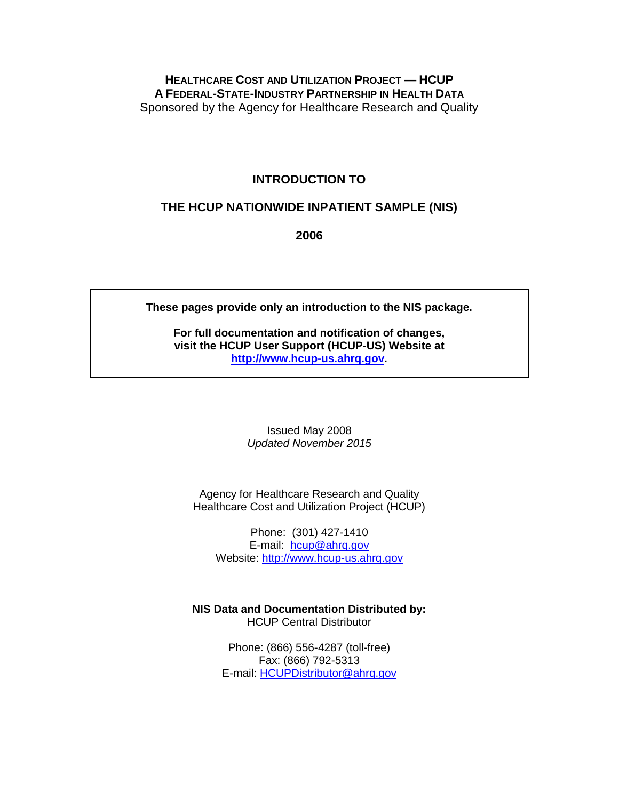## **HEALTHCARE COST AND UTILIZATION PROJECT — HCUP A FEDERAL-STATE-INDUSTRY PARTNERSHIP IN HEALTH DATA** Sponsored by the Agency for Healthcare Research and Quality

## **INTRODUCTION TO**

## **THE HCUP NATIONWIDE INPATIENT SAMPLE (NIS)**

**2006**

**These pages provide only an introduction to the NIS package.**

**For full documentation and notification of changes, visit the HCUP User Support (HCUP-US) Website at [http://www.hcup-us.ahrq.gov.](http://www.hcup-us.ahrq.gov/)**

> Issued May 2008 *Updated November 2015*

Agency for Healthcare Research and Quality Healthcare Cost and Utilization Project (HCUP)

Phone: (301) 427-1410 E-mail: [hcup@ahrq.gov](mailto:hcup@ahrq.gov) Website: [http://www.hcup-us.ahrq.gov](http://www.hcup-us.ahrq.gov/)

**NIS Data and Documentation Distributed by:** HCUP Central Distributor

> Phone: (866) 556-4287 (toll-free) Fax: (866) 792-5313 E-mail: [HCUPDistributor@ahrq.gov](mailto:hcupdistributor@ahrq.gov)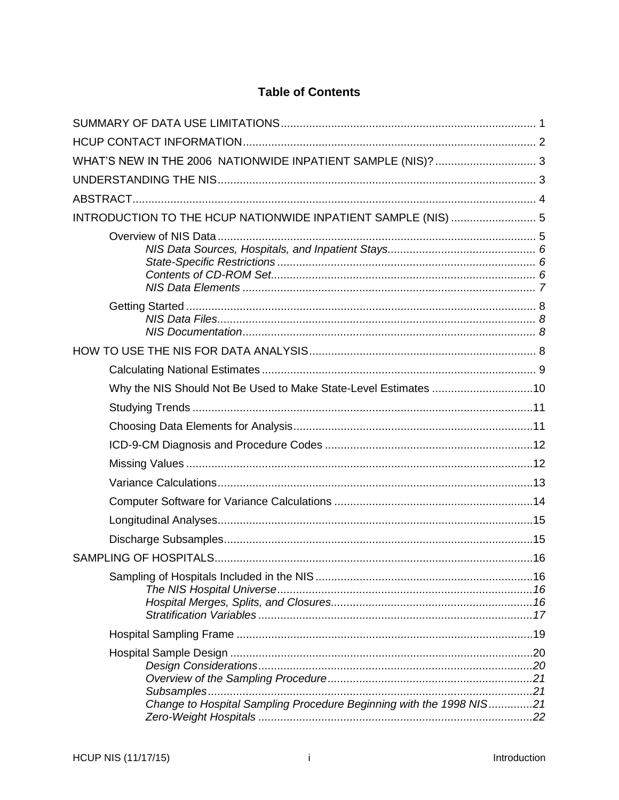# **Table of Contents**

| WHAT'S NEW IN THE 2006 NATIONWIDE INPATIENT SAMPLE (NIS)?  3        |  |
|---------------------------------------------------------------------|--|
|                                                                     |  |
|                                                                     |  |
| INTRODUCTION TO THE HCUP NATIONWIDE INPATIENT SAMPLE (NIS)  5       |  |
|                                                                     |  |
|                                                                     |  |
|                                                                     |  |
|                                                                     |  |
| Why the NIS Should Not Be Used to Make State-Level Estimates 10     |  |
|                                                                     |  |
|                                                                     |  |
|                                                                     |  |
|                                                                     |  |
|                                                                     |  |
|                                                                     |  |
|                                                                     |  |
|                                                                     |  |
|                                                                     |  |
|                                                                     |  |
|                                                                     |  |
| Change to Hospital Sampling Procedure Beginning with the 1998 NIS21 |  |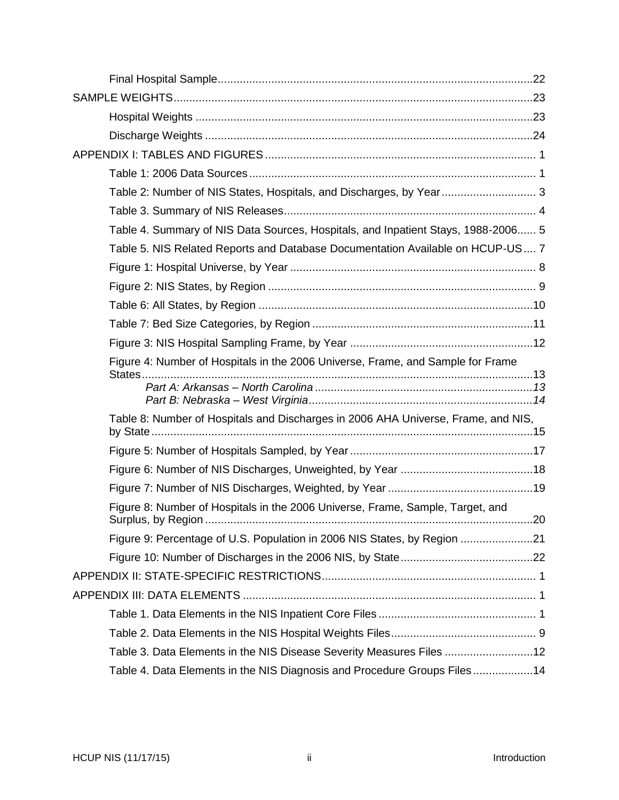| Table 2: Number of NIS States, Hospitals, and Discharges, by Year 3               |     |
|-----------------------------------------------------------------------------------|-----|
|                                                                                   |     |
| Table 4. Summary of NIS Data Sources, Hospitals, and Inpatient Stays, 1988-2006 5 |     |
| Table 5. NIS Related Reports and Database Documentation Available on HCUP-US 7    |     |
|                                                                                   |     |
|                                                                                   |     |
|                                                                                   |     |
|                                                                                   |     |
|                                                                                   |     |
| Figure 4: Number of Hospitals in the 2006 Universe, Frame, and Sample for Frame   |     |
|                                                                                   |     |
|                                                                                   |     |
| Table 8: Number of Hospitals and Discharges in 2006 AHA Universe, Frame, and NIS, |     |
|                                                                                   |     |
|                                                                                   |     |
|                                                                                   |     |
| Figure 8: Number of Hospitals in the 2006 Universe, Frame, Sample, Target, and    | .20 |
| Figure 9: Percentage of U.S. Population in 2006 NIS States, by Region 21          |     |
|                                                                                   |     |
|                                                                                   |     |
|                                                                                   |     |
|                                                                                   |     |
|                                                                                   |     |
| Table 3. Data Elements in the NIS Disease Severity Measures Files 12              |     |
| Table 4. Data Elements in the NIS Diagnosis and Procedure Groups Files14          |     |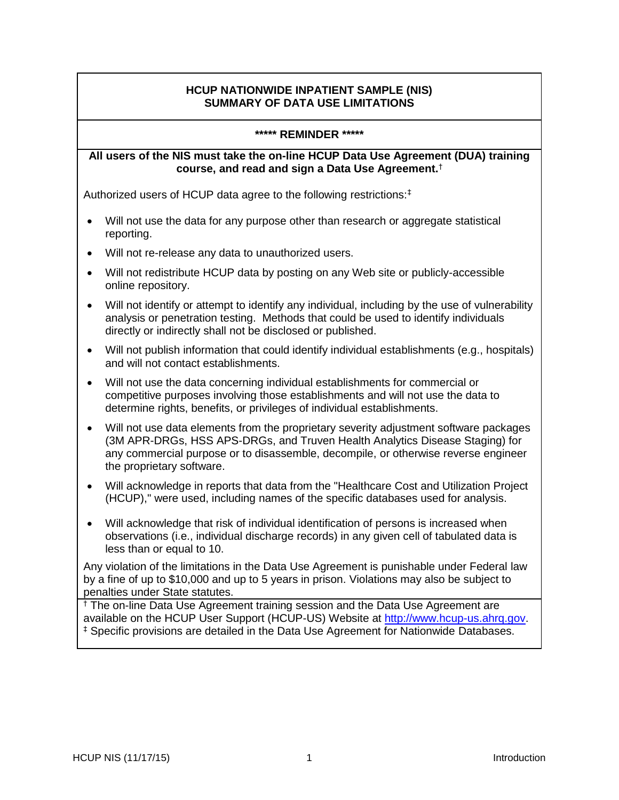## **HCUP NATIONWIDE INPATIENT SAMPLE (NIS) SUMMARY OF DATA USE LIMITATIONS**

#### **\*\*\*\*\* REMINDER \*\*\*\*\***

#### <span id="page-3-0"></span>**All users of the NIS must take the on-line HCUP Data Use Agreement (DUA) training course, and read and sign a Data Use Agreement.**†

Authorized users of HCUP data agree to the following restrictions:‡

- Will not use the data for any purpose other than research or aggregate statistical reporting.
- Will not re-release any data to unauthorized users.
- Will not redistribute HCUP data by posting on any Web site or publicly-accessible online repository.
- Will not identify or attempt to identify any individual, including by the use of vulnerability analysis or penetration testing. Methods that could be used to identify individuals directly or indirectly shall not be disclosed or published.
- Will not publish information that could identify individual establishments (e.g., hospitals) and will not contact establishments.
- Will not use the data concerning individual establishments for commercial or competitive purposes involving those establishments and will not use the data to determine rights, benefits, or privileges of individual establishments.
- Will not use data elements from the proprietary severity adjustment software packages (3M APR-DRGs, HSS APS-DRGs, and Truven Health Analytics Disease Staging) for any commercial purpose or to disassemble, decompile, or otherwise reverse engineer the proprietary software.
- Will acknowledge in reports that data from the "Healthcare Cost and Utilization Project (HCUP)," were used, including names of the specific databases used for analysis.
- Will acknowledge that risk of individual identification of persons is increased when observations (i.e., individual discharge records) in any given cell of tabulated data is less than or equal to 10.

Any violation of the limitations in the Data Use Agreement is punishable under Federal law by a fine of up to \$10,000 and up to 5 years in prison. Violations may also be subject to penalties under State statutes.

† The on-line Data Use Agreement training session and the Data Use Agreement are available on the HCUP User Support (HCUP-US) Website at [http://www.hcup-us.ahrq.gov.](http://www.hcup-us.ahrq.gov/) ‡ Specific provisions are detailed in the Data Use Agreement for Nationwide Databases.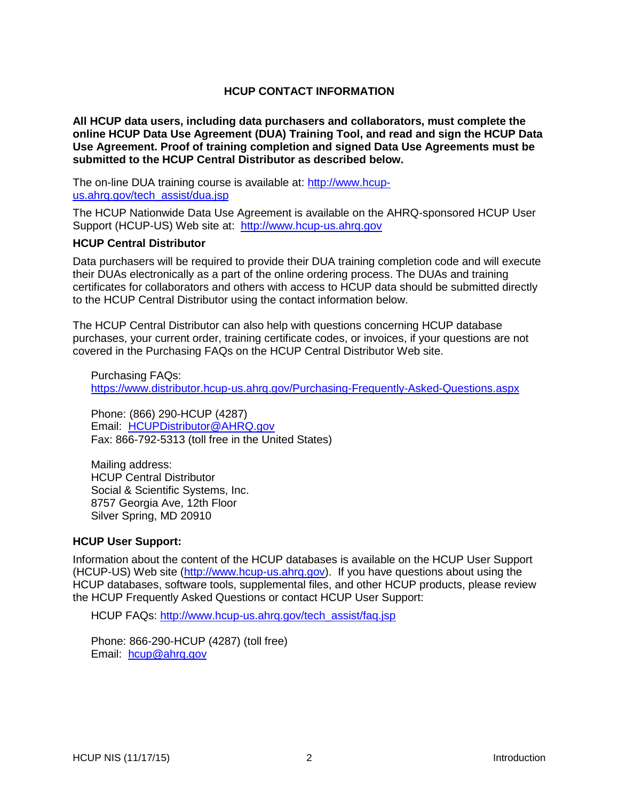### **HCUP CONTACT INFORMATION**

<span id="page-4-0"></span>**All HCUP data users, including data purchasers and collaborators, must complete the online HCUP Data Use Agreement (DUA) Training Tool, and read and sign the HCUP Data Use Agreement. Proof of training completion and signed Data Use Agreements must be submitted to the HCUP Central Distributor as described below.**

The on-line DUA training course is available at: [http://www.hcup](http://www.hcup-us.ahrq.gov/tech_assist/dua.jsp)[us.ahrq.gov/tech\\_assist/dua.jsp](http://www.hcup-us.ahrq.gov/tech_assist/dua.jsp)

The HCUP Nationwide Data Use Agreement is available on the AHRQ-sponsored HCUP User Support (HCUP-US) Web site at: [http://www.hcup-us.ahrq.gov](https://www.hcup-us.ahrq.gov/team/NationwideDUA.jsp)

#### **HCUP Central Distributor**

Data purchasers will be required to provide their DUA training completion code and will execute their DUAs electronically as a part of the online ordering process. The DUAs and training certificates for collaborators and others with access to HCUP data should be submitted directly to the HCUP Central Distributor using the contact information below.

The HCUP Central Distributor can also help with questions concerning HCUP database purchases, your current order, training certificate codes, or invoices, if your questions are not covered in the Purchasing FAQs on the HCUP Central Distributor Web site.

Purchasing FAQs: <https://www.distributor.hcup-us.ahrq.gov/Purchasing-Frequently-Asked-Questions.aspx>

Phone: (866) 290-HCUP (4287) Email: [HCUPDistributor@AHRQ.gov](mailto:HCUPDistributor@AHRQ.gov) Fax: 866-792-5313 (toll free in the United States)

Mailing address: HCUP Central Distributor Social & Scientific Systems, Inc. 8757 Georgia Ave, 12th Floor Silver Spring, MD 20910

#### **HCUP User Support:**

Information about the content of the HCUP databases is available on the HCUP User Support (HCUP-US) Web site [\(http://www.hcup-us.ahrq.gov\)](http://www.hcup-us.ahrq.gov/). If you have questions about using the HCUP databases, software tools, supplemental files, and other HCUP products, please review the HCUP Frequently Asked Questions or contact HCUP User Support:

HCUP FAQs: [http://www.hcup-us.ahrq.gov/tech\\_assist/faq.jsp](http://www.hcup-us.ahrq.gov/tech_assist/faq.jsp)

Phone: 866-290-HCUP (4287) (toll free) Email: [hcup@ahrq.gov](mailto:hcup@ahrq.gov)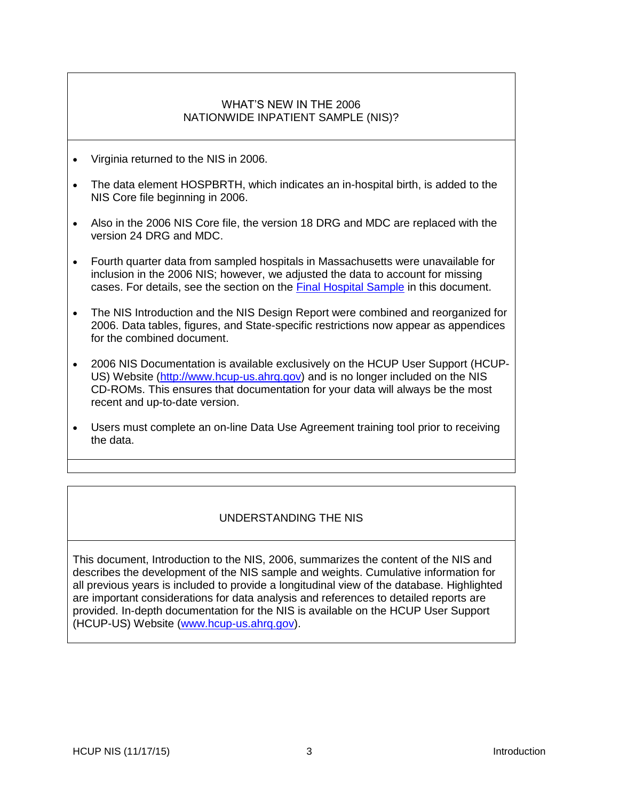### WHAT'S NEW IN THE 2006 NATIONWIDE INPATIENT SAMPLE (NIS)?

- <span id="page-5-0"></span>Virginia returned to the NIS in 2006.
- The data element HOSPBRTH, which indicates an in-hospital birth, is added to the NIS Core file beginning in 2006.
- Also in the 2006 NIS Core file, the version 18 DRG and MDC are replaced with the version 24 DRG and MDC.
- Fourth quarter data from sampled hospitals in Massachusetts were unavailable for inclusion in the 2006 NIS; however, we adjusted the data to account for missing cases. For details, see the section on the [Final Hospital Sample](#page-24-1) in this document.
- The NIS Introduction and the NIS Design Report were combined and reorganized for 2006. Data tables, figures, and State-specific restrictions now appear as appendices for the combined document.
- 2006 NIS Documentation is available exclusively on the HCUP User Support (HCUP-US) Website [\(http://www.hcup-us.ahrq.gov\)](http://www.hcup-us.ahrq.gov/) and is no longer included on the NIS CD-ROMs. This ensures that documentation for your data will always be the most recent and up-to-date version.
- Users must complete an on-line Data Use Agreement training tool prior to receiving the data.

## UNDERSTANDING THE NIS

<span id="page-5-1"></span>This document, Introduction to the NIS, 2006, summarizes the content of the NIS and describes the development of the NIS sample and weights. Cumulative information for all previous years is included to provide a longitudinal view of the database. Highlighted are important considerations for data analysis and references to detailed reports are provided. In-depth documentation for the NIS is available on the HCUP User Support (HCUP-US) Website [\(www.hcup-us.ahrq.gov\)](http://www.hcup-us.ahrq.gov/).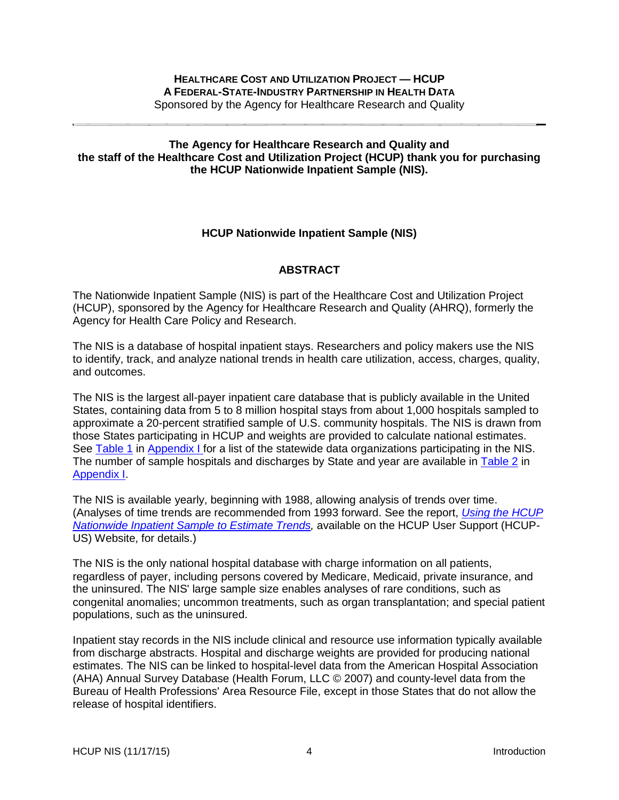#### <span id="page-6-1"></span>**The Agency for Healthcare Research and Quality and the staff of the Healthcare Cost and Utilization Project (HCUP) thank you for purchasing the HCUP Nationwide Inpatient Sample (NIS).**

## **HCUP Nationwide Inpatient Sample (NIS)**

## **ABSTRACT**

<span id="page-6-0"></span>The Nationwide Inpatient Sample (NIS) is part of the Healthcare Cost and Utilization Project (HCUP), sponsored by the Agency for Healthcare Research and Quality (AHRQ), formerly the Agency for Health Care Policy and Research.

The NIS is a database of hospital inpatient stays. Researchers and policy makers use the NIS to identify, track, and analyze national trends in health care utilization, access, charges, quality, and outcomes.

The NIS is the largest all-payer inpatient care database that is publicly available in the United States, containing data from 5 to 8 million hospital stays from about 1,000 hospitals sampled to approximate a 20-percent stratified sample of U.S. community hospitals. The NIS is drawn from those States participating in HCUP and weights are provided to calculate national estimates. See [Table 1](#page-27-1) in [Appendix I f](#page-27-0)or a list of the statewide data organizations participating in the NIS. The number of sample hospitals and discharges by State and year are available in [Table 2](#page-29-0) in [Appendix I.](#page-27-0)

The NIS is available yearly, beginning with 1988, allowing analysis of trends over time. (Analyses of time trends are recommended from 1993 forward. See the report, *[Using the HCUP](http://hcup-us.ahrq.gov/reports/2006_05_NISTrendsReport_1988-2004.pdf)  [Nationwide Inpatient Sample to Estimate Trends,](http://hcup-us.ahrq.gov/reports/2006_05_NISTrendsReport_1988-2004.pdf)* available on the HCUP User Support (HCUP-US) Website, for details.)

The NIS is the only national hospital database with charge information on all patients, regardless of payer, including persons covered by Medicare, Medicaid, private insurance, and the uninsured. The NIS' large sample size enables analyses of rare conditions, such as congenital anomalies; uncommon treatments, such as organ transplantation; and special patient populations, such as the uninsured.

Inpatient stay records in the NIS include clinical and resource use information typically available from discharge abstracts. Hospital and discharge weights are provided for producing national estimates. The NIS can be linked to hospital-level data from the American Hospital Association (AHA) Annual Survey Database (Health Forum, LLC © 2007) and county-level data from the Bureau of Health Professions' Area Resource File, except in those States that do not allow the release of hospital identifiers.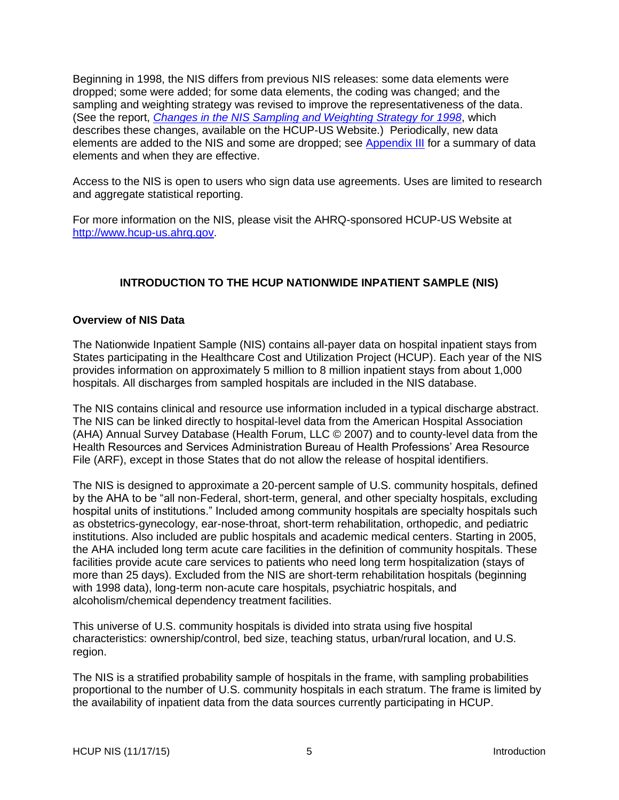Beginning in 1998, the NIS differs from previous NIS releases: some data elements were dropped; some were added; for some data elements, the coding was changed; and the sampling and weighting strategy was revised to improve the representativeness of the data. (See the report, *[Changes in the NIS Sampling and Weighting Strategy for 1998](http://www.hcup-us.ahrq.gov/db/nation/nis/reports/Changes_in_NIS_Design_1998.pdf)*, which describes these changes, available on the HCUP-US Website.) Periodically, new data elements are added to the NIS and some are dropped; see [Appendix III](#page-54-0) for a summary of data elements and when they are effective.

Access to the NIS is open to users who sign data use agreements. Uses are limited to research and aggregate statistical reporting.

For more information on the NIS, please visit the AHRQ-sponsored HCUP-US Website at [http://www.hcup-us.ahrq.gov.](http://www.hcup-us.ahrq.gov/)

## **INTRODUCTION TO THE HCUP NATIONWIDE INPATIENT SAMPLE (NIS)**

#### <span id="page-7-1"></span><span id="page-7-0"></span>**Overview of NIS Data**

The Nationwide Inpatient Sample (NIS) contains all-payer data on hospital inpatient stays from States participating in the Healthcare Cost and Utilization Project (HCUP). Each year of the NIS provides information on approximately 5 million to 8 million inpatient stays from about 1,000 hospitals. All discharges from sampled hospitals are included in the NIS database.

The NIS contains clinical and resource use information included in a typical discharge abstract. The NIS can be linked directly to hospital-level data from the American Hospital Association (AHA) Annual Survey Database (Health Forum, LLC © 2007) and to county-level data from the Health Resources and Services Administration Bureau of Health Professions' Area Resource File (ARF), except in those States that do not allow the release of hospital identifiers.

The NIS is designed to approximate a 20-percent sample of U.S. community hospitals, defined by the AHA to be "all non-Federal, short-term, general, and other specialty hospitals, excluding hospital units of institutions." Included among community hospitals are specialty hospitals such as obstetrics-gynecology, ear-nose-throat, short-term rehabilitation, orthopedic, and pediatric institutions. Also included are public hospitals and academic medical centers. Starting in 2005, the AHA included long term acute care facilities in the definition of community hospitals. These facilities provide acute care services to patients who need long term hospitalization (stays of more than 25 days). Excluded from the NIS are short-term rehabilitation hospitals (beginning with 1998 data), long-term non-acute care hospitals, psychiatric hospitals, and alcoholism/chemical dependency treatment facilities.

This universe of U.S. community hospitals is divided into strata using five hospital characteristics: ownership/control, bed size, teaching status, urban/rural location, and U.S. region.

The NIS is a stratified probability sample of hospitals in the frame, with sampling probabilities proportional to the number of U.S. community hospitals in each stratum. The frame is limited by the availability of inpatient data from the data sources currently participating in HCUP.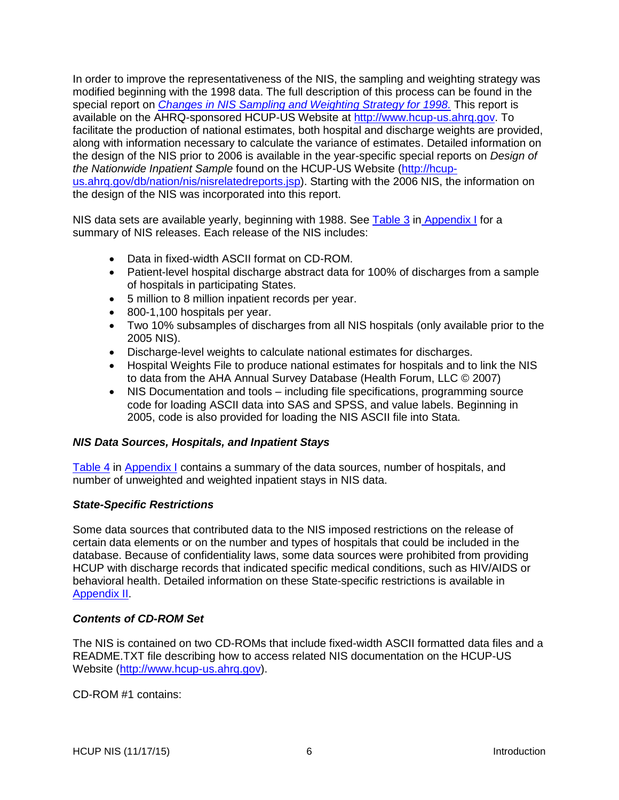In order to improve the representativeness of the NIS, the sampling and weighting strategy was modified beginning with the 1998 data. The full description of this process can be found in the special report on *[Changes in NIS Sampling and Weighting Strategy for 1998.](http://www.hcup-us.ahrq.gov/db/nation/nis/reports/Changes_in_NIS_Design_1998.pdf)* This report is available on the AHRQ-sponsored HCUP-US Website at [http://www.hcup-us.ahrq.gov.](http://www.hcup-us.ahrq.gov/) To facilitate the production of national estimates, both hospital and discharge weights are provided, along with information necessary to calculate the variance of estimates. Detailed information on the design of the NIS prior to 2006 is available in the year-specific special reports on *Design of the Nationwide Inpatient Sample* found on the HCUP-US Website [\(http://hcup](http://hcup-us.ahrq.gov/db/nation/nis/nisrelatedreports.jsp)[us.ahrq.gov/db/nation/nis/nisrelatedreports.jsp\)](http://hcup-us.ahrq.gov/db/nation/nis/nisrelatedreports.jsp). Starting with the 2006 NIS, the information on the design of the NIS was incorporated into this report.

NIS data sets are available yearly, beginning with 1988. See [Table 3](#page-30-0) in [Appendix](#page-27-0) I for a summary of NIS releases. Each release of the NIS includes:

- Data in fixed-width ASCII format on CD-ROM.
- Patient-level hospital discharge abstract data for 100% of discharges from a sample of hospitals in participating States.
- 5 million to 8 million inpatient records per year.
- 800-1,100 hospitals per year.
- Two 10% subsamples of discharges from all NIS hospitals (only available prior to the 2005 NIS).
- Discharge-level weights to calculate national estimates for discharges.
- Hospital Weights File to produce national estimates for hospitals and to link the NIS to data from the AHA Annual Survey Database (Health Forum, LLC © 2007)
- NIS Documentation and tools including file specifications, programming source code for loading ASCII data into SAS and SPSS, and value labels. Beginning in 2005, code is also provided for loading the NIS ASCII file into Stata.

#### <span id="page-8-0"></span>*NIS Data Sources, Hospitals, and Inpatient Stays*

[Table 4](#page-31-0) in [Appendix](#page-27-0) I contains a summary of the data sources, number of hospitals, and number of unweighted and weighted inpatient stays in NIS data.

#### <span id="page-8-1"></span>*State-Specific Restrictions*

Some data sources that contributed data to the NIS imposed restrictions on the release of certain data elements or on the number and types of hospitals that could be included in the database. Because of confidentiality laws, some data sources were prohibited from providing HCUP with discharge records that indicated specific medical conditions, such as HIV/AIDS or behavioral health. Detailed information on these State-specific restrictions is available in [Appendix II.](#page-49-0)

#### <span id="page-8-2"></span>*Contents of CD-ROM Set*

The NIS is contained on two CD-ROMs that include fixed-width ASCII formatted data files and a README.TXT file describing how to access related NIS documentation on the HCUP-US Website [\(http://www.hcup-us.ahrq.gov\)](http://www.hcup-us.ahrq.gov/).

CD-ROM #1 contains: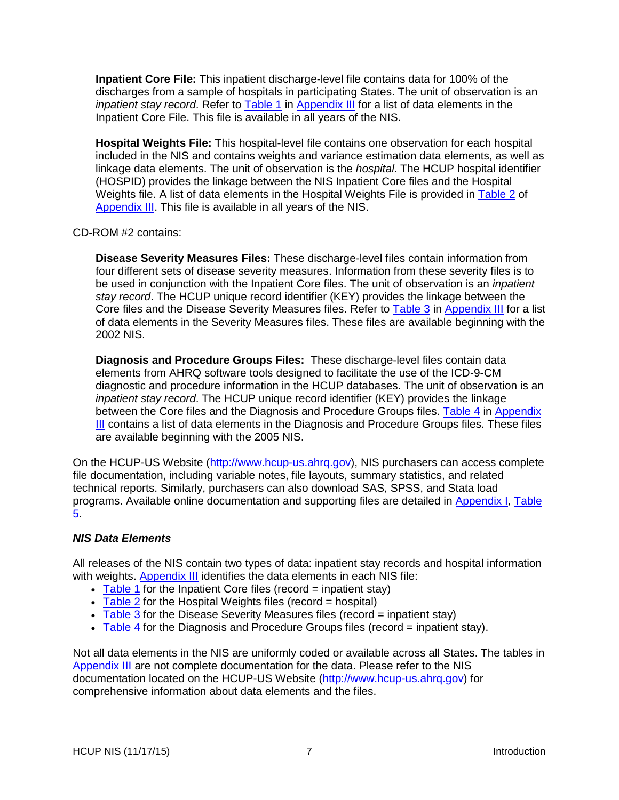**Inpatient Core File:** This inpatient discharge-level file contains data for 100% of the discharges from a sample of hospitals in participating States. The unit of observation is an *inpatient stay record*. Refer to [Table 1](#page-54-1) in [Appendix III](#page-54-0) for a list of data elements in the Inpatient Core File. This file is available in all years of the NIS.

**Hospital Weights File:** This hospital-level file contains one observation for each hospital included in the NIS and contains weights and variance estimation data elements, as well as linkage data elements. The unit of observation is the *hospital*. The HCUP hospital identifier (HOSPID) provides the linkage between the NIS Inpatient Core files and the Hospital Weights file. A list of data elements in the Hospital Weights File is provided in [Table 2](#page-62-0) of [Appendix](#page-54-0) III. This file is available in all years of the NIS.

#### CD-ROM #2 contains:

**Disease Severity Measures Files:** These discharge-level files contain information from four different sets of disease severity measures. Information from these severity files is to be used in conjunction with the Inpatient Core files. The unit of observation is an *inpatient stay record*. The HCUP unique record identifier (KEY) provides the linkage between the Core files and the Disease Severity Measures files. Refer to [Table 3](#page-65-0) in [Appendix III](#page-54-0) for a list of data elements in the Severity Measures files. These files are available beginning with the 2002 NIS.

**Diagnosis and Procedure Groups Files:** These discharge-level files contain data elements from AHRQ software tools designed to facilitate the use of the ICD-9-CM diagnostic and procedure information in the HCUP databases. The unit of observation is an *inpatient stay record*. The HCUP unique record identifier (KEY) provides the linkage between the Core files and the Diagnosis and Procedure Groups files. [Table 4](#page-67-0) in Appendix [III](#page-54-0) contains a list of data elements in the Diagnosis and Procedure Groups files. These files are available beginning with the 2005 NIS.

On the HCUP-US Website [\(http://www.hcup-us.ahrq.gov\)](http://www.hcup-us.ahrq.gov/), NIS purchasers can access complete file documentation, including variable notes, file layouts, summary statistics, and related technical reports. Similarly, purchasers can also download SAS, SPSS, and Stata load programs. Available online documentation and supporting files are detailed in [Appendix I,](#page-27-0) [Table](#page-33-0)  [5.](#page-33-0)

### <span id="page-9-0"></span>*NIS Data Elements*

All releases of the NIS contain two types of data: inpatient stay records and hospital information with weights. [Appendix III](#page-54-0) identifies the data elements in each NIS file:

- $\bullet$  [Table 1](#page-54-1) for the Inpatient Core files (record = inpatient stay)
- $\overline{\phantom{a}}$  [Table 2](#page-62-0) for the Hospital Weights files (record = hospital)
- [Table 3](#page-65-0) for the Disease Severity Measures files (record  $=$  inpatient stay)
- [Table 4](#page-67-0) for the Diagnosis and Procedure Groups files (record = inpatient stay).

Not all data elements in the NIS are uniformly coded or available across all States. The tables in [Appendix](#page-54-0) III are not complete documentation for the data. Please refer to the NIS documentation located on the HCUP-US Website [\(http://www.hcup-us.ahrq.gov\)](http://www.hcup-us.ahrq.gov/) for comprehensive information about data elements and the files.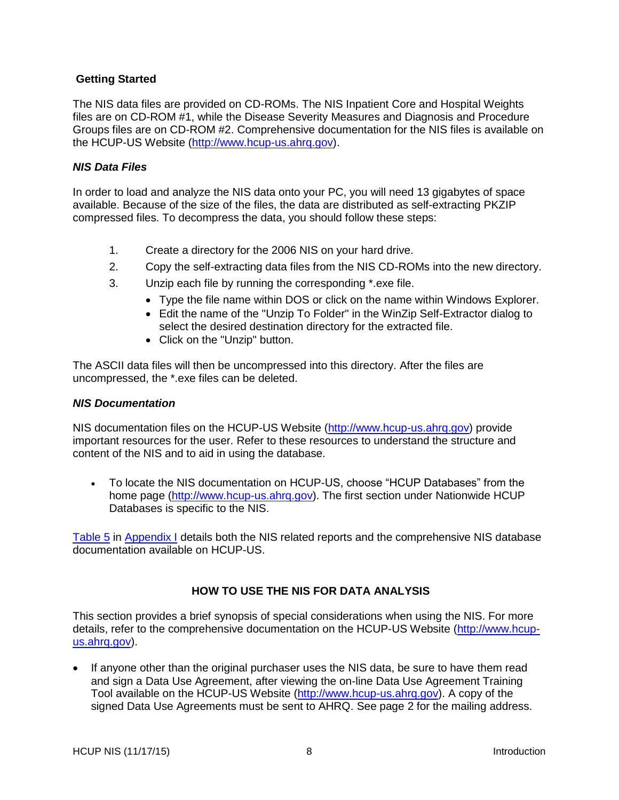### <span id="page-10-0"></span>**Getting Started**

The NIS data files are provided on CD-ROMs. The NIS Inpatient Core and Hospital Weights files are on CD-ROM #1, while the Disease Severity Measures and Diagnosis and Procedure Groups files are on CD-ROM #2. Comprehensive documentation for the NIS files is available on the HCUP-US Website [\(http://www.hcup-us.ahrq.gov\)](http://www.hcup-us.ahrq.gov/).

### <span id="page-10-1"></span>*NIS Data Files*

In order to load and analyze the NIS data onto your PC, you will need 13 gigabytes of space available. Because of the size of the files, the data are distributed as self-extracting PKZIP compressed files. To decompress the data, you should follow these steps:

- 1. Create a directory for the 2006 NIS on your hard drive.
- 2. Copy the self-extracting data files from the NIS CD-ROMs into the new directory.
- 3. Unzip each file by running the corresponding \*.exe file.
	- Type the file name within DOS or click on the name within Windows Explorer.
	- Edit the name of the "Unzip To Folder" in the WinZip Self-Extractor dialog to select the desired destination directory for the extracted file.
	- Click on the "Unzip" button.

The ASCII data files will then be uncompressed into this directory. After the files are uncompressed, the \*.exe files can be deleted.

#### <span id="page-10-2"></span>*NIS Documentation*

NIS documentation files on the HCUP-US Website [\(http://www.hcup-us.ahrq.gov\)](http://www.hcup-us.ahrq.gov/) provide important resources for the user. Refer to these resources to understand the structure and content of the NIS and to aid in using the database.

 To locate the NIS documentation on HCUP-US, choose "HCUP Databases" from the home page [\(http://www.hcup-us.ahrq.gov\)](http://www.hcup-us.ahrq.gov/). The first section under Nationwide HCUP Databases is specific to the NIS.

[Table 5](#page-33-0) in [Appendix I](#page-27-0) details both the NIS related reports and the comprehensive NIS database documentation available on HCUP-US.

## <span id="page-10-3"></span>**HOW TO USE THE NIS FOR DATA ANALYSIS**

This section provides a brief synopsis of special considerations when using the NIS. For more details, refer to the comprehensive documentation on the HCUP-US Website [\(http://www.hcup](http://www.hcup-us.ahrq.gov/)[us.ahrq.gov\)](http://www.hcup-us.ahrq.gov/).

• If anyone other than the original purchaser uses the NIS data, be sure to have them read and sign a Data Use Agreement, after viewing the on-line Data Use Agreement Training Tool available on the HCUP-US Website [\(http://www.hcup-us.ahrq.gov\)](http://www.hcup-us.ahrq.gov/). A copy of the signed Data Use Agreements must be sent to AHRQ. See page 2 for the mailing address.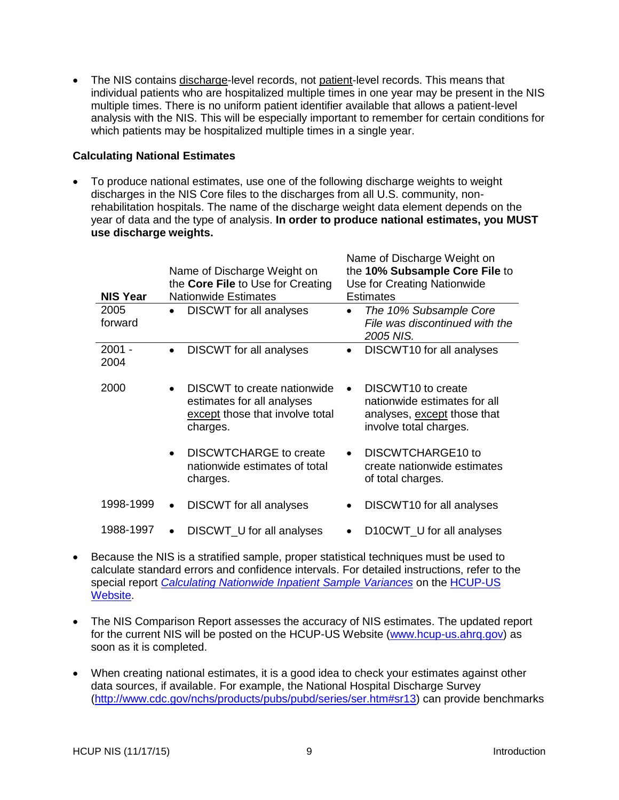The NIS contains discharge-level records, not patient-level records. This means that individual patients who are hospitalized multiple times in one year may be present in the NIS multiple times. There is no uniform patient identifier available that allows a patient-level analysis with the NIS. This will be especially important to remember for certain conditions for which patients may be hospitalized multiple times in a single year.

### <span id="page-11-0"></span>**Calculating National Estimates**

To produce national estimates, use one of the following discharge weights to weight discharges in the NIS Core files to the discharges from all U.S. community, nonrehabilitation hospitals. The name of the discharge weight data element depends on the year of data and the type of analysis. **In order to produce national estimates, you MUST use discharge weights.** 

| <b>NIS Year</b>  | Name of Discharge Weight on<br>the Core File to Use for Creating<br><b>Nationwide Estimates</b>                       | Name of Discharge Weight on<br>the 10% Subsample Core File to<br>Use for Creating Nationwide<br><b>Estimates</b>                     |  |  |
|------------------|-----------------------------------------------------------------------------------------------------------------------|--------------------------------------------------------------------------------------------------------------------------------------|--|--|
| 2005<br>forward  | DISCWT for all analyses<br>$\bullet$                                                                                  | The 10% Subsample Core<br>$\bullet$<br>File was discontinued with the<br>2005 NIS.                                                   |  |  |
| $2001 -$<br>2004 | <b>DISCWT</b> for all analyses<br>$\bullet$                                                                           | DISCWT10 for all analyses<br>$\bullet$                                                                                               |  |  |
| 2000             | DISCWT to create nationwide<br>$\bullet$<br>estimates for all analyses<br>except those that involve total<br>charges. | DISCWT <sub>10</sub> to create<br>$\bullet$<br>nationwide estimates for all<br>analyses, except those that<br>involve total charges. |  |  |
|                  | <b>DISCWTCHARGE to create</b><br>$\bullet$<br>nationwide estimates of total<br>charges.                               | DISCWTCHARGE10 to<br>create nationwide estimates<br>of total charges.                                                                |  |  |
| 1998-1999        | DISCWT for all analyses<br>$\bullet$                                                                                  | DISCWT <sub>10</sub> for all analyses                                                                                                |  |  |
| 1988-1997        | DISCWT_U for all analyses<br>$\bullet$                                                                                | D10CWT_U for all analyses                                                                                                            |  |  |

- Because the NIS is a stratified sample, proper statistical techniques must be used to calculate standard errors and confidence intervals. For detailed instructions, refer to the special report *[Calculating Nationwide Inpatient Sample Variances](http://www.hcup-us.ahrq.gov/reports/CalculatingNISVariances200106092005.pdf)* on the [HCUP-US](http://www.hcup-us.ahrq.gov/db/nation/nis/nisrelatedreports.jsp)  [Website.](http://www.hcup-us.ahrq.gov/db/nation/nis/nisrelatedreports.jsp)
- The NIS Comparison Report assesses the accuracy of NIS estimates. The updated report for the current NIS will be posted on the HCUP-US Website [\(www.hcup-us.ahrq.gov\)](http://www.hcup-us.ahrq.gov/) as soon as it is completed.
- When creating national estimates, it is a good idea to check your estimates against other data sources, if available. For example, the National Hospital Discharge Survey [\(http://www.cdc.gov/nchs/products/pubs/pubd/series/ser.htm#sr13\)](http://www.cdc.gov/nchs/products/pubs/pubd/series/ser.htm#sr13) can provide benchmarks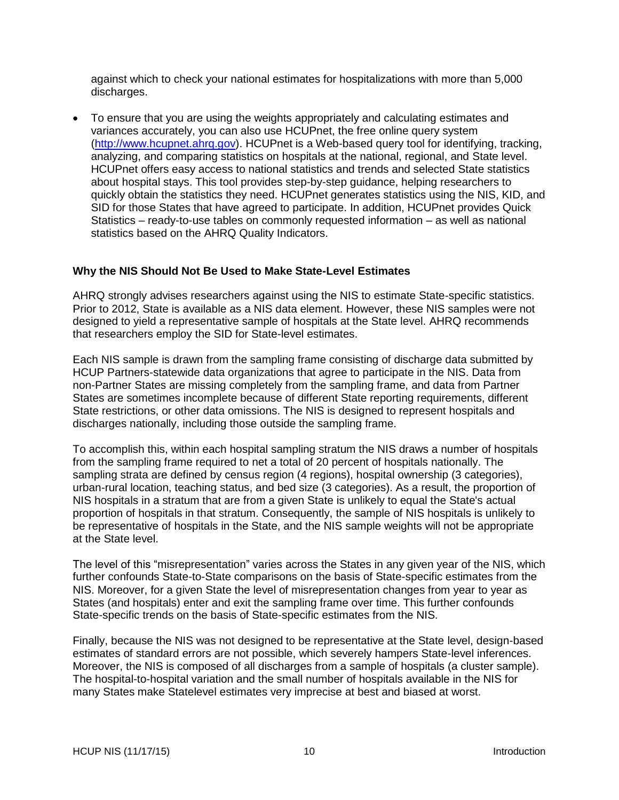against which to check your national estimates for hospitalizations with more than 5,000 discharges.

 To ensure that you are using the weights appropriately and calculating estimates and variances accurately, you can also use HCUPnet, the free online query system [\(http://www.hcupnet.ahrq.gov\)](http://www.hcupnet.ahrq.gov/). HCUPnet is a Web-based query tool for identifying, tracking, analyzing, and comparing statistics on hospitals at the national, regional, and State level. HCUPnet offers easy access to national statistics and trends and selected State statistics about hospital stays. This tool provides step-by-step guidance, helping researchers to quickly obtain the statistics they need. HCUPnet generates statistics using the NIS, KID, and SID for those States that have agreed to participate. In addition, HCUPnet provides Quick Statistics – ready-to-use tables on commonly requested information – as well as national statistics based on the AHRQ Quality Indicators.

### <span id="page-12-0"></span>**Why the NIS Should Not Be Used to Make State-Level Estimates**

AHRQ strongly advises researchers against using the NIS to estimate State-specific statistics. Prior to 2012, State is available as a NIS data element. However, these NIS samples were not designed to yield a representative sample of hospitals at the State level. AHRQ recommends that researchers employ the SID for State-level estimates.

Each NIS sample is drawn from the sampling frame consisting of discharge data submitted by HCUP Partners-statewide data organizations that agree to participate in the NIS. Data from non-Partner States are missing completely from the sampling frame, and data from Partner States are sometimes incomplete because of different State reporting requirements, different State restrictions, or other data omissions. The NIS is designed to represent hospitals and discharges nationally, including those outside the sampling frame.

To accomplish this, within each hospital sampling stratum the NIS draws a number of hospitals from the sampling frame required to net a total of 20 percent of hospitals nationally. The sampling strata are defined by census region (4 regions), hospital ownership (3 categories), urban-rural location, teaching status, and bed size (3 categories). As a result, the proportion of NIS hospitals in a stratum that are from a given State is unlikely to equal the State's actual proportion of hospitals in that stratum. Consequently, the sample of NIS hospitals is unlikely to be representative of hospitals in the State, and the NIS sample weights will not be appropriate at the State level.

The level of this "misrepresentation" varies across the States in any given year of the NIS, which further confounds State-to-State comparisons on the basis of State-specific estimates from the NIS. Moreover, for a given State the level of misrepresentation changes from year to year as States (and hospitals) enter and exit the sampling frame over time. This further confounds State-specific trends on the basis of State-specific estimates from the NIS.

Finally, because the NIS was not designed to be representative at the State level, design-based estimates of standard errors are not possible, which severely hampers State-level inferences. Moreover, the NIS is composed of all discharges from a sample of hospitals (a cluster sample). The hospital-to-hospital variation and the small number of hospitals available in the NIS for many States make Statelevel estimates very imprecise at best and biased at worst.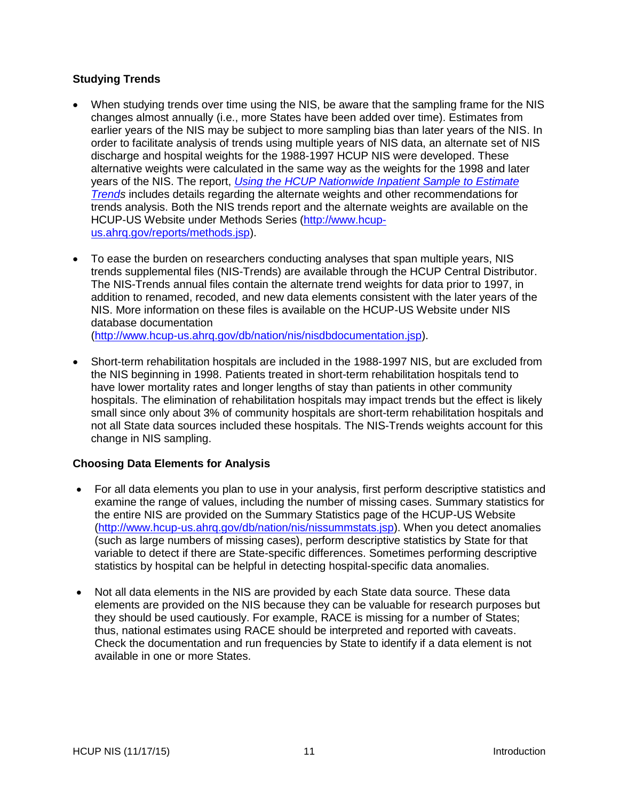## <span id="page-13-0"></span>**Studying Trends**

- When studying trends over time using the NIS, be aware that the sampling frame for the NIS changes almost annually (i.e., more States have been added over time). Estimates from earlier years of the NIS may be subject to more sampling bias than later years of the NIS. In order to facilitate analysis of trends using multiple years of NIS data, an alternate set of NIS discharge and hospital weights for the 1988-1997 HCUP NIS were developed. These alternative weights were calculated in the same way as the weights for the 1998 and later years of the NIS. The report, *[Using the HCUP Nationwide Inpatient Sample to Estimate](http://hcup-us.ahrq.gov/reports/2006_05_NISTrendsReport_1988-2004.pdf)  [Trends](http://hcup-us.ahrq.gov/reports/2006_05_NISTrendsReport_1988-2004.pdf)* includes details regarding the alternate weights and other recommendations for trends analysis. Both the NIS trends report and the alternate weights are available on the HCUP-US Website under Methods Series [\(http://www.hcup](http://www.hcup-us.ahrq.gov/reports/methods.jsp)[us.ahrq.gov/reports/methods.jsp\)](http://www.hcup-us.ahrq.gov/reports/methods.jsp).
- To ease the burden on researchers conducting analyses that span multiple years, NIS trends supplemental files (NIS-Trends) are available through the HCUP Central Distributor. The NIS-Trends annual files contain the alternate trend weights for data prior to 1997, in addition to renamed, recoded, and new data elements consistent with the later years of the NIS. More information on these files is available on the HCUP-US Website under NIS database documentation

[\(http://www.hcup-us.ahrq.gov/db/nation/nis/nisdbdocumentation.jsp\)](http://www.hcup-us.ahrq.gov/db/nation/nis/nisdbdocumentation.jsp).

 Short-term rehabilitation hospitals are included in the 1988-1997 NIS, but are excluded from the NIS beginning in 1998. Patients treated in short-term rehabilitation hospitals tend to have lower mortality rates and longer lengths of stay than patients in other community hospitals. The elimination of rehabilitation hospitals may impact trends but the effect is likely small since only about 3% of community hospitals are short-term rehabilitation hospitals and not all State data sources included these hospitals. The NIS-Trends weights account for this change in NIS sampling.

## <span id="page-13-1"></span>**Choosing Data Elements for Analysis**

- For all data elements you plan to use in your analysis, first perform descriptive statistics and examine the range of values, including the number of missing cases. Summary statistics for the entire NIS are provided on the Summary Statistics page of the HCUP-US Website [\(http://www.hcup-us.ahrq.gov/db/nation/nis/nissummstats.jsp\)](http://www.hcup-us.ahrq.gov/db/nation/nis/nissummstats.jsp). When you detect anomalies (such as large numbers of missing cases), perform descriptive statistics by State for that variable to detect if there are State-specific differences. Sometimes performing descriptive statistics by hospital can be helpful in detecting hospital-specific data anomalies.
- Not all data elements in the NIS are provided by each State data source. These data elements are provided on the NIS because they can be valuable for research purposes but they should be used cautiously. For example, RACE is missing for a number of States; thus, national estimates using RACE should be interpreted and reported with caveats. Check the documentation and run frequencies by State to identify if a data element is not available in one or more States.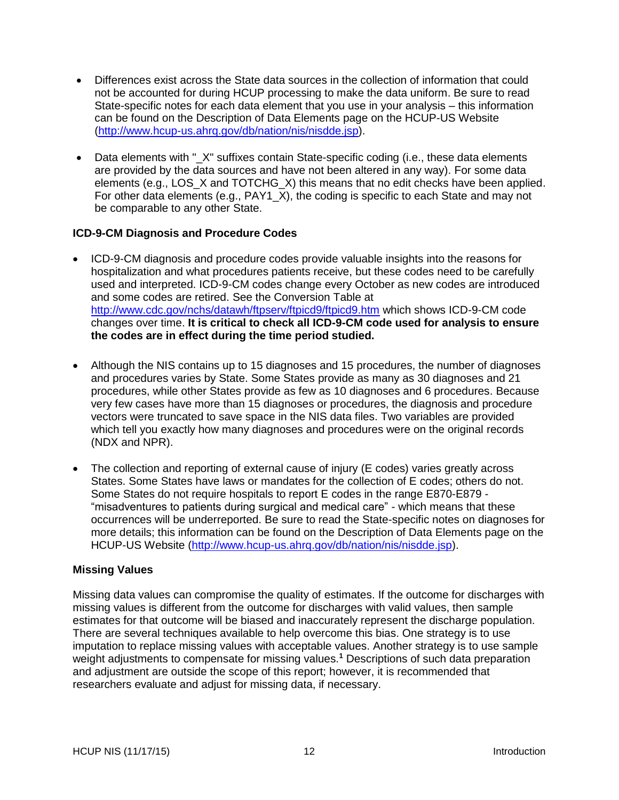- Differences exist across the State data sources in the collection of information that could not be accounted for during HCUP processing to make the data uniform. Be sure to read State-specific notes for each data element that you use in your analysis – this information can be found on the Description of Data Elements page on the HCUP-US Website [\(http://www.hcup-us.ahrq.gov/db/nation/nis/nisdde.jsp\)](http://www.hcup-us.ahrq.gov/db/nation/nis/nisdde.jsp).
- Data elements with " X" suffixes contain State-specific coding (i.e., these data elements are provided by the data sources and have not been altered in any way). For some data elements (e.g., LOS\_X and TOTCHG\_X) this means that no edit checks have been applied. For other data elements (e.g., PAY1\_X), the coding is specific to each State and may not be comparable to any other State.

## <span id="page-14-0"></span>**ICD-9-CM Diagnosis and Procedure Codes**

- ICD-9-CM diagnosis and procedure codes provide valuable insights into the reasons for hospitalization and what procedures patients receive, but these codes need to be carefully used and interpreted. ICD-9-CM codes change every October as new codes are introduced and some codes are retired. See the Conversion Table at <http://www.cdc.gov/nchs/datawh/ftpserv/ftpicd9/ftpicd9.htm> which shows ICD-9-CM code changes over time. **It is critical to check all ICD-9-CM code used for analysis to ensure the codes are in effect during the time period studied.**
- Although the NIS contains up to 15 diagnoses and 15 procedures, the number of diagnoses and procedures varies by State. Some States provide as many as 30 diagnoses and 21 procedures, while other States provide as few as 10 diagnoses and 6 procedures. Because very few cases have more than 15 diagnoses or procedures, the diagnosis and procedure vectors were truncated to save space in the NIS data files. Two variables are provided which tell you exactly how many diagnoses and procedures were on the original records (NDX and NPR).
- The collection and reporting of external cause of injury (E codes) varies greatly across States. Some States have laws or mandates for the collection of E codes; others do not. Some States do not require hospitals to report E codes in the range E870-E879 - "misadventures to patients during surgical and medical care" - which means that these occurrences will be underreported. Be sure to read the State-specific notes on diagnoses for more details; this information can be found on the Description of Data Elements page on the HCUP-US Website [\(http://www.hcup-us.ahrq.gov/db/nation/nis/nisdde.jsp\)](http://www.hcup-us.ahrq.gov/db/nation/nis/nisdde.jsp).

### <span id="page-14-1"></span>**Missing Values**

Missing data values can compromise the quality of estimates. If the outcome for discharges with missing values is different from the outcome for discharges with valid values, then sample estimates for that outcome will be biased and inaccurately represent the discharge population. There are several techniques available to help overcome this bias. One strategy is to use imputation to replace missing values with acceptable values. Another strategy is to use sample weight adjustments to compensate for missing values.**<sup>1</sup>** Descriptions of such data preparation and adjustment are outside the scope of this report; however, it is recommended that researchers evaluate and adjust for missing data, if necessary.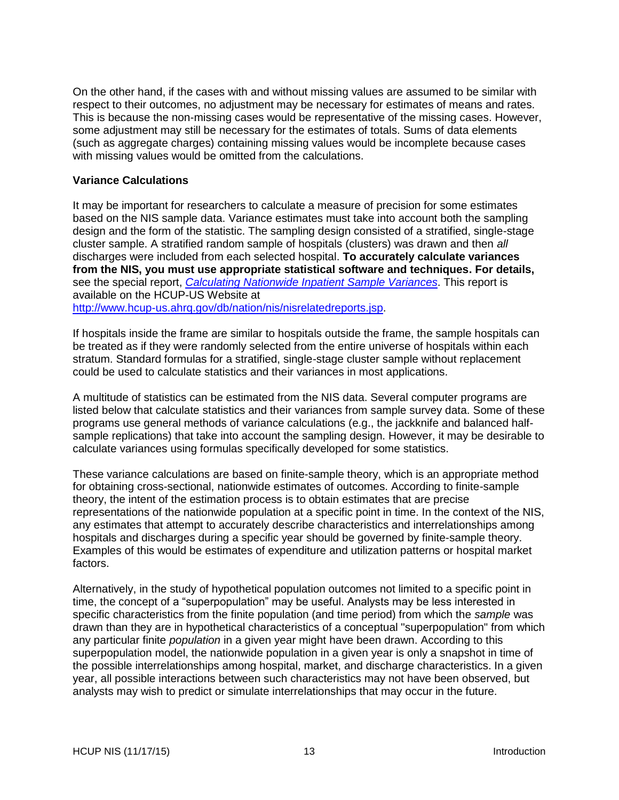On the other hand, if the cases with and without missing values are assumed to be similar with respect to their outcomes, no adjustment may be necessary for estimates of means and rates. This is because the non-missing cases would be representative of the missing cases. However, some adjustment may still be necessary for the estimates of totals. Sums of data elements (such as aggregate charges) containing missing values would be incomplete because cases with missing values would be omitted from the calculations.

#### <span id="page-15-0"></span>**Variance Calculations**

It may be important for researchers to calculate a measure of precision for some estimates based on the NIS sample data. Variance estimates must take into account both the sampling design and the form of the statistic. The sampling design consisted of a stratified, single-stage cluster sample. A stratified random sample of hospitals (clusters) was drawn and then *all* discharges were included from each selected hospital. **To accurately calculate variances from the NIS, you must use appropriate statistical software and techniques. For details,**  see the special report, *[Calculating Nationwide Inpatient Sample Variances](http://www.hcup-us.ahrq.gov/reports/CalculatingNISVariances200106092005.pdf)*. This report is available on the HCUP-US Website at [http://www.hcup-us.ahrq.gov/db/nation/nis/nisrelatedreports.jsp.](http://www.hcup-us.ahrq.gov/db/nation/nis/nisrelatedreports.jsp)

If hospitals inside the frame are similar to hospitals outside the frame, the sample hospitals can be treated as if they were randomly selected from the entire universe of hospitals within each stratum. Standard formulas for a stratified, single-stage cluster sample without replacement could be used to calculate statistics and their variances in most applications.

A multitude of statistics can be estimated from the NIS data. Several computer programs are listed below that calculate statistics and their variances from sample survey data. Some of these programs use general methods of variance calculations (e.g., the jackknife and balanced halfsample replications) that take into account the sampling design. However, it may be desirable to calculate variances using formulas specifically developed for some statistics.

These variance calculations are based on finite-sample theory, which is an appropriate method for obtaining cross-sectional, nationwide estimates of outcomes. According to finite-sample theory, the intent of the estimation process is to obtain estimates that are precise representations of the nationwide population at a specific point in time. In the context of the NIS, any estimates that attempt to accurately describe characteristics and interrelationships among hospitals and discharges during a specific year should be governed by finite-sample theory. Examples of this would be estimates of expenditure and utilization patterns or hospital market factors.

Alternatively, in the study of hypothetical population outcomes not limited to a specific point in time, the concept of a "superpopulation" may be useful. Analysts may be less interested in specific characteristics from the finite population (and time period) from which the *sample* was drawn than they are in hypothetical characteristics of a conceptual "superpopulation" from which any particular finite *population* in a given year might have been drawn. According to this superpopulation model, the nationwide population in a given year is only a snapshot in time of the possible interrelationships among hospital, market, and discharge characteristics. In a given year, all possible interactions between such characteristics may not have been observed, but analysts may wish to predict or simulate interrelationships that may occur in the future.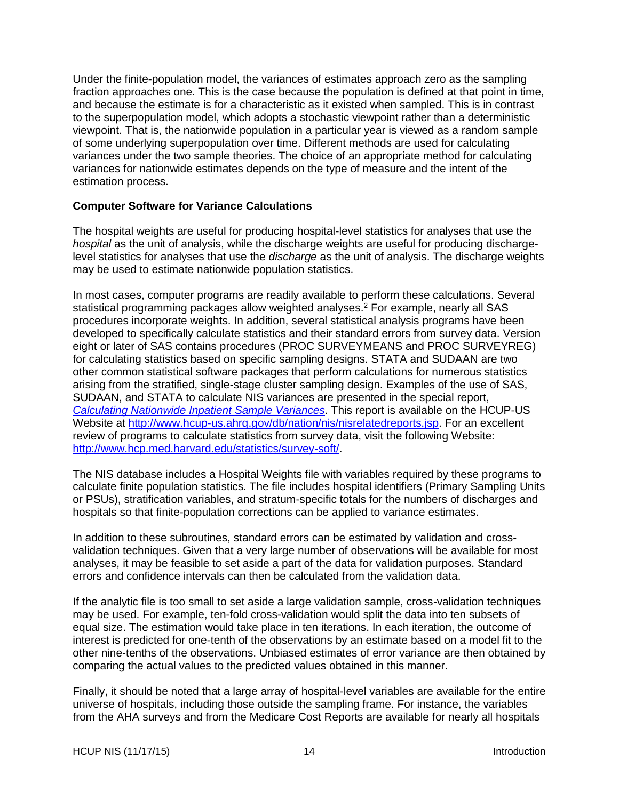Under the finite-population model, the variances of estimates approach zero as the sampling fraction approaches one. This is the case because the population is defined at that point in time, and because the estimate is for a characteristic as it existed when sampled. This is in contrast to the superpopulation model, which adopts a stochastic viewpoint rather than a deterministic viewpoint. That is, the nationwide population in a particular year is viewed as a random sample of some underlying superpopulation over time. Different methods are used for calculating variances under the two sample theories. The choice of an appropriate method for calculating variances for nationwide estimates depends on the type of measure and the intent of the estimation process.

#### <span id="page-16-0"></span>**Computer Software for Variance Calculations**

The hospital weights are useful for producing hospital-level statistics for analyses that use the *hospital* as the unit of analysis, while the discharge weights are useful for producing dischargelevel statistics for analyses that use the *discharge* as the unit of analysis. The discharge weights may be used to estimate nationwide population statistics.

In most cases, computer programs are readily available to perform these calculations. Several statistical programming packages allow weighted analyses.<sup>2</sup> For example, nearly all SAS procedures incorporate weights. In addition, several statistical analysis programs have been developed to specifically calculate statistics and their standard errors from survey data. Version eight or later of SAS contains procedures (PROC SURVEYMEANS and PROC SURVEYREG) for calculating statistics based on specific sampling designs. STATA and SUDAAN are two other common statistical software packages that perform calculations for numerous statistics arising from the stratified, single-stage cluster sampling design. Examples of the use of SAS, SUDAAN, and STATA to calculate NIS variances are presented in the special report, *[Calculating Nationwide Inpatient Sample Variances](http://www.hcup-us.ahrq.gov/reports/CalculatingNISVariances200106092005.pdf)*. This report is available on the HCUP-US Website at [http://www.hcup-us.ahrq.gov/db/nation/nis/nisrelatedreports.jsp.](http://www.hcup-us.ahrq.gov/db/nation/nis/nisrelatedreports.jsp) For an excellent review of programs to calculate statistics from survey data, visit the following Website: [http://www.hcp.med.harvard.edu/statistics/survey-soft/.](http://www.hcp.med.harvard.edu/statistics/survey-soft/)

The NIS database includes a Hospital Weights file with variables required by these programs to calculate finite population statistics. The file includes hospital identifiers (Primary Sampling Units or PSUs), stratification variables, and stratum-specific totals for the numbers of discharges and hospitals so that finite-population corrections can be applied to variance estimates.

In addition to these subroutines, standard errors can be estimated by validation and crossvalidation techniques. Given that a very large number of observations will be available for most analyses, it may be feasible to set aside a part of the data for validation purposes. Standard errors and confidence intervals can then be calculated from the validation data.

If the analytic file is too small to set aside a large validation sample, cross-validation techniques may be used. For example, ten-fold cross-validation would split the data into ten subsets of equal size. The estimation would take place in ten iterations. In each iteration, the outcome of interest is predicted for one-tenth of the observations by an estimate based on a model fit to the other nine-tenths of the observations. Unbiased estimates of error variance are then obtained by comparing the actual values to the predicted values obtained in this manner.

Finally, it should be noted that a large array of hospital-level variables are available for the entire universe of hospitals, including those outside the sampling frame. For instance, the variables from the AHA surveys and from the Medicare Cost Reports are available for nearly all hospitals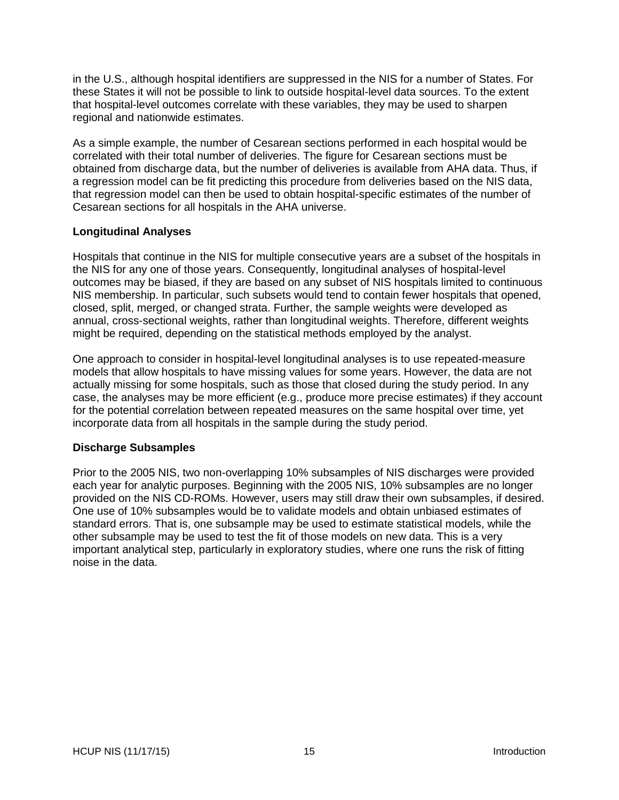in the U.S., although hospital identifiers are suppressed in the NIS for a number of States. For these States it will not be possible to link to outside hospital-level data sources. To the extent that hospital-level outcomes correlate with these variables, they may be used to sharpen regional and nationwide estimates.

As a simple example, the number of Cesarean sections performed in each hospital would be correlated with their total number of deliveries. The figure for Cesarean sections must be obtained from discharge data, but the number of deliveries is available from AHA data. Thus, if a regression model can be fit predicting this procedure from deliveries based on the NIS data, that regression model can then be used to obtain hospital-specific estimates of the number of Cesarean sections for all hospitals in the AHA universe.

### <span id="page-17-0"></span>**Longitudinal Analyses**

Hospitals that continue in the NIS for multiple consecutive years are a subset of the hospitals in the NIS for any one of those years. Consequently, longitudinal analyses of hospital-level outcomes may be biased, if they are based on any subset of NIS hospitals limited to continuous NIS membership. In particular, such subsets would tend to contain fewer hospitals that opened, closed, split, merged, or changed strata. Further, the sample weights were developed as annual, cross-sectional weights, rather than longitudinal weights. Therefore, different weights might be required, depending on the statistical methods employed by the analyst.

One approach to consider in hospital-level longitudinal analyses is to use repeated-measure models that allow hospitals to have missing values for some years. However, the data are not actually missing for some hospitals, such as those that closed during the study period. In any case, the analyses may be more efficient (e.g., produce more precise estimates) if they account for the potential correlation between repeated measures on the same hospital over time, yet incorporate data from all hospitals in the sample during the study period.

### <span id="page-17-1"></span>**Discharge Subsamples**

Prior to the 2005 NIS, two non-overlapping 10% subsamples of NIS discharges were provided each year for analytic purposes. Beginning with the 2005 NIS, 10% subsamples are no longer provided on the NIS CD-ROMs. However, users may still draw their own subsamples, if desired. One use of 10% subsamples would be to validate models and obtain unbiased estimates of standard errors. That is, one subsample may be used to estimate statistical models, while the other subsample may be used to test the fit of those models on new data. This is a very important analytical step, particularly in exploratory studies, where one runs the risk of fitting noise in the data.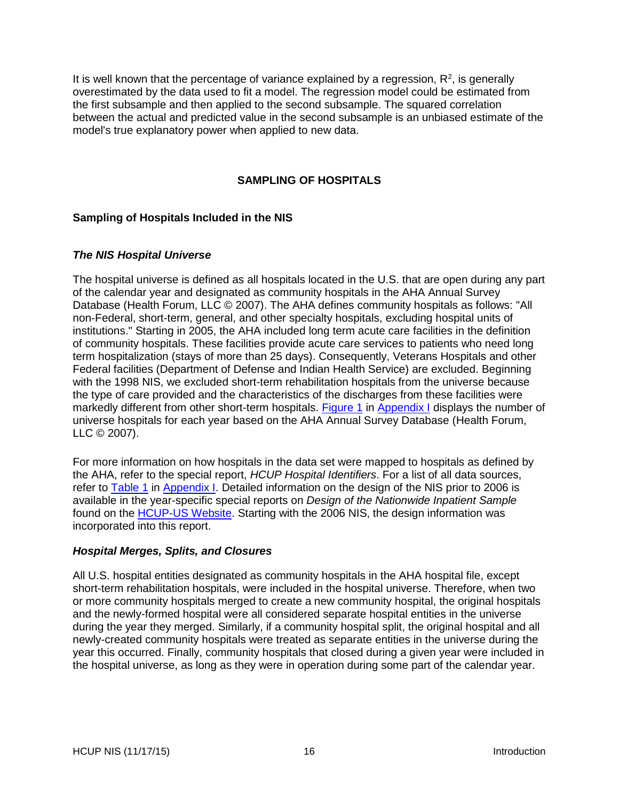It is well known that the percentage of variance explained by a regression,  $R^2$ , is generally overestimated by the data used to fit a model. The regression model could be estimated from the first subsample and then applied to the second subsample. The squared correlation between the actual and predicted value in the second subsample is an unbiased estimate of the model's true explanatory power when applied to new data.

## **SAMPLING OF HOSPITALS**

### <span id="page-18-1"></span><span id="page-18-0"></span>**Sampling of Hospitals Included in the NIS**

### <span id="page-18-2"></span>*The NIS Hospital Universe*

The hospital universe is defined as all hospitals located in the U.S. that are open during any part of the calendar year and designated as community hospitals in the AHA Annual Survey Database (Health Forum, LLC © 2007). The AHA defines community hospitals as follows: "All non-Federal, short-term, general, and other specialty hospitals, excluding hospital units of institutions." Starting in 2005, the AHA included long term acute care facilities in the definition of community hospitals. These facilities provide acute care services to patients who need long term hospitalization (stays of more than 25 days). Consequently, Veterans Hospitals and other Federal facilities (Department of Defense and Indian Health Service) are excluded. Beginning with the 1998 NIS, we excluded short-term rehabilitation hospitals from the universe because the type of care provided and the characteristics of the discharges from these facilities were markedly different from other short-term hospitals. [Figure 1](#page-34-0) in [Appendix I](#page-27-0) displays the number of universe hospitals for each year based on the AHA Annual Survey Database (Health Forum, LLC © 2007).

For more information on how hospitals in the data set were mapped to hospitals as defined by the AHA, refer to the special report, *HCUP Hospital Identifiers*. For a list of all data sources, refer to [Table 1](#page-27-1) in [Appendix I.](#page-27-0) Detailed information on the design of the NIS prior to 2006 is available in the year-specific special reports on *Design of the Nationwide Inpatient Sample* found on the **HCUP-US Website**. Starting with the 2006 NIS, the design information was incorporated into this report.

### <span id="page-18-3"></span>*Hospital Merges, Splits, and Closures*

All U.S. hospital entities designated as community hospitals in the AHA hospital file, except short-term rehabilitation hospitals, were included in the hospital universe. Therefore, when two or more community hospitals merged to create a new community hospital, the original hospitals and the newly-formed hospital were all considered separate hospital entities in the universe during the year they merged. Similarly, if a community hospital split, the original hospital and all newly-created community hospitals were treated as separate entities in the universe during the year this occurred. Finally, community hospitals that closed during a given year were included in the hospital universe, as long as they were in operation during some part of the calendar year.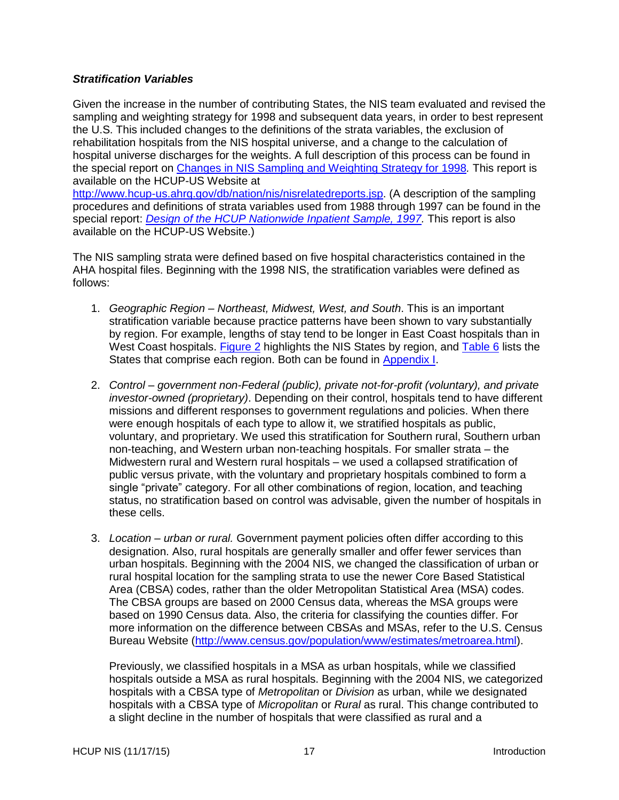### <span id="page-19-0"></span>*Stratification Variables*

Given the increase in the number of contributing States, the NIS team evaluated and revised the sampling and weighting strategy for 1998 and subsequent data years, in order to best represent the U.S. This included changes to the definitions of the strata variables, the exclusion of rehabilitation hospitals from the NIS hospital universe, and a change to the calculation of hospital universe discharges for the weights. A full description of this process can be found in the special report on [Changes in NIS Sampling and Weighting Strategy for 1998](http://hcup-us.ahrq.gov/db/nation/nis/reports/Changes_in_NIS_Design_1998.pdf)*.* This report is available on the HCUP-US Website at [http://www.hcup-us.ahrq.gov/db/nation/nis/nisrelatedreports.jsp.](http://www.hcup-us.ahrq.gov/db/nation/nis/nisrelatedreports.jsp) (A description of the sampling procedures and definitions of strata variables used from 1988 through 1997 can be found in the special report: *[Design of the HCUP Nationwide Inpatient Sample, 1997.](http://hcup-us.ahrq.gov/db/nation/nis/reports/NIS_1997_Design_Report.pdf)* This report is also available on the HCUP-US Website.)

The NIS sampling strata were defined based on five hospital characteristics contained in the AHA hospital files. Beginning with the 1998 NIS, the stratification variables were defined as follows:

- 1. *Geographic Region – Northeast, Midwest, West, and South*. This is an important stratification variable because practice patterns have been shown to vary substantially by region. For example, lengths of stay tend to be longer in East Coast hospitals than in West Coast hospitals. [Figure 2](#page-35-0) highlights the NIS States by region, and [Table 6](#page-36-0) lists the States that comprise each region. Both can be found in [Appendix I.](#page-27-0)
- 2. *Control – government non-Federal (public), private not-for-profit (voluntary), and private investor-owned (proprietary)*. Depending on their control, hospitals tend to have different missions and different responses to government regulations and policies. When there were enough hospitals of each type to allow it, we stratified hospitals as public, voluntary, and proprietary. We used this stratification for Southern rural, Southern urban non-teaching, and Western urban non-teaching hospitals. For smaller strata – the Midwestern rural and Western rural hospitals – we used a collapsed stratification of public versus private, with the voluntary and proprietary hospitals combined to form a single "private" category. For all other combinations of region, location, and teaching status, no stratification based on control was advisable, given the number of hospitals in these cells.
- 3. *Location – urban or rural.* Government payment policies often differ according to this designation. Also, rural hospitals are generally smaller and offer fewer services than urban hospitals. Beginning with the 2004 NIS, we changed the classification of urban or rural hospital location for the sampling strata to use the newer Core Based Statistical Area (CBSA) codes, rather than the older Metropolitan Statistical Area (MSA) codes. The CBSA groups are based on 2000 Census data, whereas the MSA groups were based on 1990 Census data. Also, the criteria for classifying the counties differ. For more information on the difference between CBSAs and MSAs, refer to the U.S. Census Bureau Website [\(http://www.census.gov/population/www/estimates/metroarea.html\)](http://www.census.gov/population/www/estimates/metroarea.html).

Previously, we classified hospitals in a MSA as urban hospitals, while we classified hospitals outside a MSA as rural hospitals. Beginning with the 2004 NIS, we categorized hospitals with a CBSA type of *Metropolitan* or *Division* as urban, while we designated hospitals with a CBSA type of *Micropolitan* or *Rural* as rural. This change contributed to a slight decline in the number of hospitals that were classified as rural and a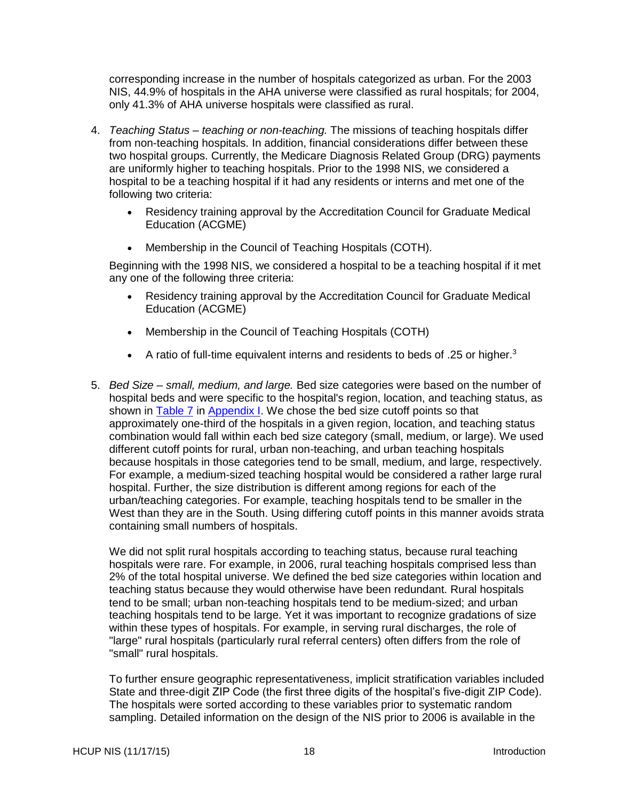corresponding increase in the number of hospitals categorized as urban. For the 2003 NIS, 44.9% of hospitals in the AHA universe were classified as rural hospitals; for 2004, only 41.3% of AHA universe hospitals were classified as rural.

- 4. *Teaching Status – teaching or non-teaching.* The missions of teaching hospitals differ from non-teaching hospitals. In addition, financial considerations differ between these two hospital groups. Currently, the Medicare Diagnosis Related Group (DRG) payments are uniformly higher to teaching hospitals. Prior to the 1998 NIS, we considered a hospital to be a teaching hospital if it had any residents or interns and met one of the following two criteria:
	- Residency training approval by the Accreditation Council for Graduate Medical Education (ACGME)
	- Membership in the Council of Teaching Hospitals (COTH).

Beginning with the 1998 NIS, we considered a hospital to be a teaching hospital if it met any one of the following three criteria:

- Residency training approval by the Accreditation Council for Graduate Medical Education (ACGME)
- Membership in the Council of Teaching Hospitals (COTH)
- A ratio of full-time equivalent interns and residents to beds of .25 or higher.<sup>3</sup>
- 5. *Bed Size – small, medium, and large.* Bed size categories were based on the number of hospital beds and were specific to the hospital's region, location, and teaching status, as shown in [Table 7](#page-37-0) in [Appendix I.](#page-27-0) We chose the bed size cutoff points so that approximately one-third of the hospitals in a given region, location, and teaching status combination would fall within each bed size category (small, medium, or large). We used different cutoff points for rural, urban non-teaching, and urban teaching hospitals because hospitals in those categories tend to be small, medium, and large, respectively. For example, a medium-sized teaching hospital would be considered a rather large rural hospital. Further, the size distribution is different among regions for each of the urban/teaching categories. For example, teaching hospitals tend to be smaller in the West than they are in the South. Using differing cutoff points in this manner avoids strata containing small numbers of hospitals.

We did not split rural hospitals according to teaching status, because rural teaching hospitals were rare. For example, in 2006, rural teaching hospitals comprised less than 2% of the total hospital universe. We defined the bed size categories within location and teaching status because they would otherwise have been redundant. Rural hospitals tend to be small; urban non-teaching hospitals tend to be medium-sized; and urban teaching hospitals tend to be large. Yet it was important to recognize gradations of size within these types of hospitals. For example, in serving rural discharges, the role of "large" rural hospitals (particularly rural referral centers) often differs from the role of "small" rural hospitals.

To further ensure geographic representativeness, implicit stratification variables included State and three-digit ZIP Code (the first three digits of the hospital's five-digit ZIP Code). The hospitals were sorted according to these variables prior to systematic random sampling. Detailed information on the design of the NIS prior to 2006 is available in the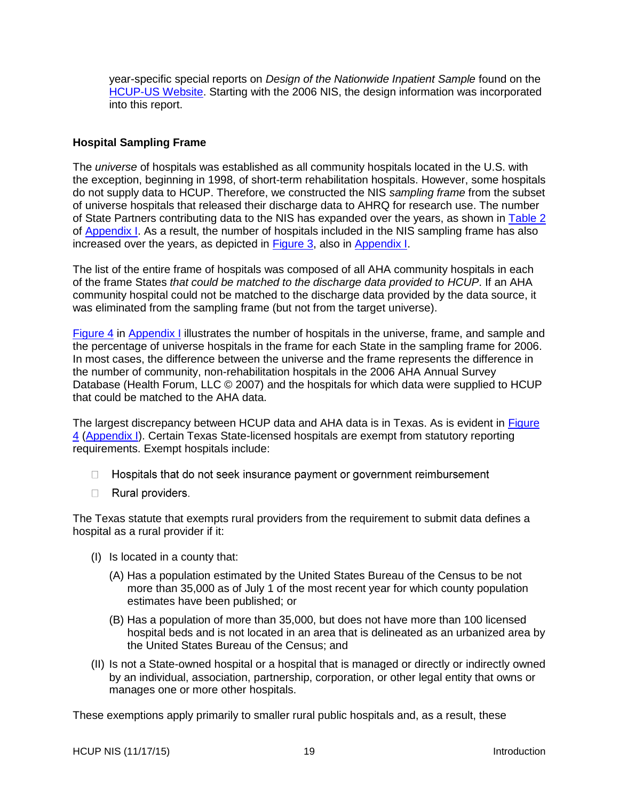year-specific special reports on *Design of the Nationwide Inpatient Sample* found on the [HCUP-US Website.](http://www.hcup-us.ahrq.gov/db/nation/nis/nisrelatedreports.jsp) Starting with the 2006 NIS, the design information was incorporated into this report.

### <span id="page-21-0"></span>**Hospital Sampling Frame**

The *universe* of hospitals was established as all community hospitals located in the U.S. with the exception, beginning in 1998, of short-term rehabilitation hospitals. However, some hospitals do not supply data to HCUP. Therefore, we constructed the NIS *sampling frame* from the subset of universe hospitals that released their discharge data to AHRQ for research use. The number of State Partners contributing data to the NIS has expanded over the years, as shown in [Table 2](#page-29-0) of [Appendix](#page-27-0) I. As a result, the number of hospitals included in the NIS sampling frame has also increased over the years, as depicted in **Figure 3**, also in **Appendix I**.

The list of the entire frame of hospitals was composed of all AHA community hospitals in each of the frame States *that could be matched to the discharge data provided to HCUP*. If an AHA community hospital could not be matched to the discharge data provided by the data source, it was eliminated from the sampling frame (but not from the target universe).

[Figure 4](#page-39-0) in [Appendix](#page-27-0) I illustrates the number of hospitals in the universe, frame, and sample and the percentage of universe hospitals in the frame for each State in the sampling frame for 2006. In most cases, the difference between the universe and the frame represents the difference in the number of community, non-rehabilitation hospitals in the 2006 AHA Annual Survey Database (Health Forum, LLC © 2007) and the hospitals for which data were supplied to HCUP that could be matched to the AHA data.

The largest discrepancy between HCUP data and AHA data is in Texas. As is evident in Figure [4](#page-39-0) [\(Appendix I\)](#page-27-0). Certain Texas State-licensed hospitals are exempt from statutory reporting requirements. Exempt hospitals include:

- $\Box$  Hospitals that do not seek insurance payment or government reimbursement
- $\Box$  Rural providers.

The Texas statute that exempts rural providers from the requirement to submit data defines a hospital as a rural provider if it:

- (I) Is located in a county that:
	- (A) Has a population estimated by the United States Bureau of the Census to be not more than 35,000 as of July 1 of the most recent year for which county population estimates have been published; or
	- (B) Has a population of more than 35,000, but does not have more than 100 licensed hospital beds and is not located in an area that is delineated as an urbanized area by the United States Bureau of the Census; and
- (II) Is not a State-owned hospital or a hospital that is managed or directly or indirectly owned by an individual, association, partnership, corporation, or other legal entity that owns or manages one or more other hospitals.

These exemptions apply primarily to smaller rural public hospitals and, as a result, these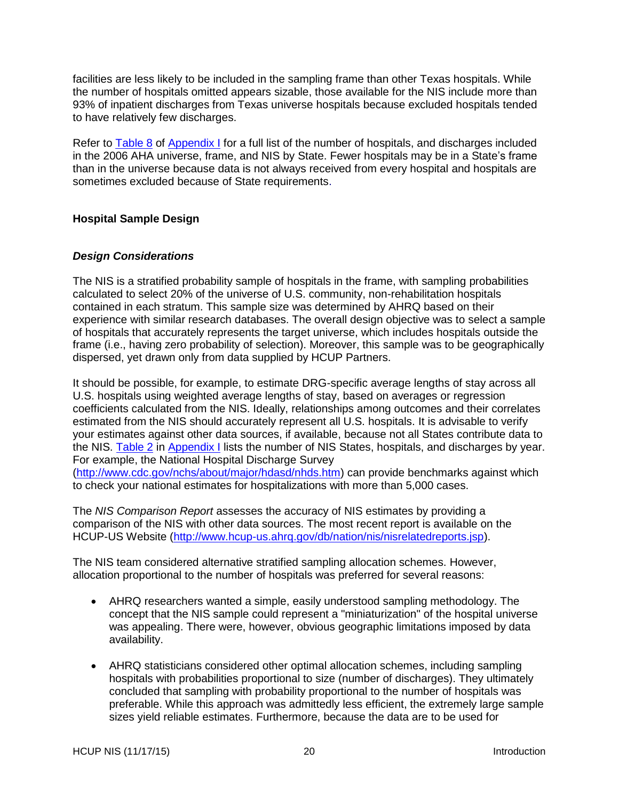facilities are less likely to be included in the sampling frame than other Texas hospitals. While the number of hospitals omitted appears sizable, those available for the NIS include more than 93% of inpatient discharges from Texas universe hospitals because excluded hospitals tended to have relatively few discharges.

Refer to [Table](#page-41-0) 8 of [Appendix I](#page-27-0) for a full list of the number of hospitals, and discharges included in the 2006 AHA universe, frame, and NIS by State. Fewer hospitals may be in a State's frame than in the universe because data is not always received from every hospital and hospitals are sometimes excluded because of State requirements.

## <span id="page-22-0"></span>**Hospital Sample Design**

### <span id="page-22-1"></span>*Design Considerations*

The NIS is a stratified probability sample of hospitals in the frame, with sampling probabilities calculated to select 20% of the universe of U.S. community, non-rehabilitation hospitals contained in each stratum. This sample size was determined by AHRQ based on their experience with similar research databases. The overall design objective was to select a sample of hospitals that accurately represents the target universe, which includes hospitals outside the frame (i.e., having zero probability of selection). Moreover, this sample was to be geographically dispersed, yet drawn only from data supplied by HCUP Partners.

It should be possible, for example, to estimate DRG-specific average lengths of stay across all U.S. hospitals using weighted average lengths of stay, based on averages or regression coefficients calculated from the NIS. Ideally, relationships among outcomes and their correlates estimated from the NIS should accurately represent all U.S. hospitals. It is advisable to verify your estimates against other data sources, if available, because not all States contribute data to the NIS. [Table 2](#page-29-0) in [Appendix I](#page-27-0) lists the number of NIS States, hospitals, and discharges by year. For example, the National Hospital Discharge Survey [\(http://www.cdc.gov/nchs/about/major/hdasd/nhds.htm\)](http://www.cdc.gov/nchs/about/major/hdasd/nhds.htm) can provide benchmarks against which

to check your national estimates for hospitalizations with more than 5,000 cases.

The *NIS Comparison Report* assesses the accuracy of NIS estimates by providing a comparison of the NIS with other data sources. The most recent report is available on the HCUP-US Website [\(http://www.hcup-us.ahrq.gov/db/nation/nis/nisrelatedreports.jsp\)](http://www.hcup-us.ahrq.gov/db/nation/nis/nisrelatedreports.jsp).

The NIS team considered alternative stratified sampling allocation schemes. However, allocation proportional to the number of hospitals was preferred for several reasons:

- AHRQ researchers wanted a simple, easily understood sampling methodology. The concept that the NIS sample could represent a "miniaturization" of the hospital universe was appealing. There were, however, obvious geographic limitations imposed by data availability.
- AHRQ statisticians considered other optimal allocation schemes, including sampling hospitals with probabilities proportional to size (number of discharges). They ultimately concluded that sampling with probability proportional to the number of hospitals was preferable. While this approach was admittedly less efficient, the extremely large sample sizes yield reliable estimates. Furthermore, because the data are to be used for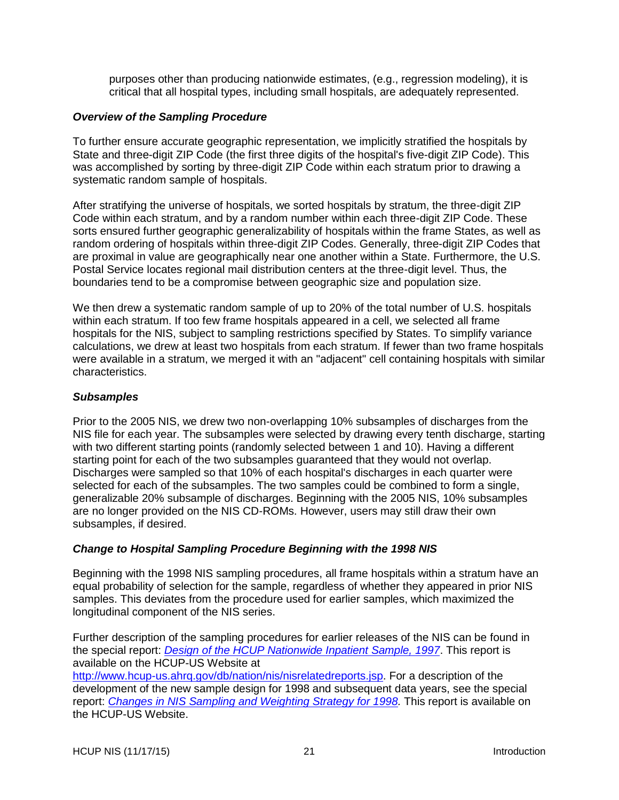purposes other than producing nationwide estimates, (e.g., regression modeling), it is critical that all hospital types, including small hospitals, are adequately represented.

#### <span id="page-23-0"></span>*Overview of the Sampling Procedure*

To further ensure accurate geographic representation, we implicitly stratified the hospitals by State and three-digit ZIP Code (the first three digits of the hospital's five-digit ZIP Code). This was accomplished by sorting by three-digit ZIP Code within each stratum prior to drawing a systematic random sample of hospitals.

After stratifying the universe of hospitals, we sorted hospitals by stratum, the three-digit ZIP Code within each stratum, and by a random number within each three-digit ZIP Code. These sorts ensured further geographic generalizability of hospitals within the frame States, as well as random ordering of hospitals within three-digit ZIP Codes. Generally, three-digit ZIP Codes that are proximal in value are geographically near one another within a State. Furthermore, the U.S. Postal Service locates regional mail distribution centers at the three-digit level. Thus, the boundaries tend to be a compromise between geographic size and population size.

We then drew a systematic random sample of up to 20% of the total number of U.S. hospitals within each stratum. If too few frame hospitals appeared in a cell, we selected all frame hospitals for the NIS, subject to sampling restrictions specified by States. To simplify variance calculations, we drew at least two hospitals from each stratum. If fewer than two frame hospitals were available in a stratum, we merged it with an "adjacent" cell containing hospitals with similar characteristics.

#### <span id="page-23-1"></span>*Subsamples*

Prior to the 2005 NIS, we drew two non-overlapping 10% subsamples of discharges from the NIS file for each year. The subsamples were selected by drawing every tenth discharge, starting with two different starting points (randomly selected between 1 and 10). Having a different starting point for each of the two subsamples guaranteed that they would not overlap. Discharges were sampled so that 10% of each hospital's discharges in each quarter were selected for each of the subsamples. The two samples could be combined to form a single, generalizable 20% subsample of discharges. Beginning with the 2005 NIS, 10% subsamples are no longer provided on the NIS CD-ROMs. However, users may still draw their own subsamples, if desired.

### <span id="page-23-2"></span>*Change to Hospital Sampling Procedure Beginning with the 1998 NIS*

Beginning with the 1998 NIS sampling procedures, all frame hospitals within a stratum have an equal probability of selection for the sample, regardless of whether they appeared in prior NIS samples. This deviates from the procedure used for earlier samples, which maximized the longitudinal component of the NIS series.

Further description of the sampling procedures for earlier releases of the NIS can be found in the special report: *[Design of the HCUP Nationwide Inpatient Sample, 1997](http://www.hcup-us.ahrq.gov/db/nation/nis/reports/NIS_1997_Design_Report.pdf)*. This report is available on the HCUP-US Website at [http://www.hcup-us.ahrq.gov/db/nation/nis/nisrelatedreports.jsp.](http://www.hcup-us.ahrq.gov/db/nation/nis/nisrelatedreports.jsp) For a description of the development of the new sample design for 1998 and subsequent data years, see the special report: *[Changes in NIS Sampling and Weighting Strategy for 1998.](http://www.hcup-us.ahrq.gov/db/nation/nis/reports/Changes_in_NIS_Design_1998.pdf)* This report is available on the HCUP-US Website.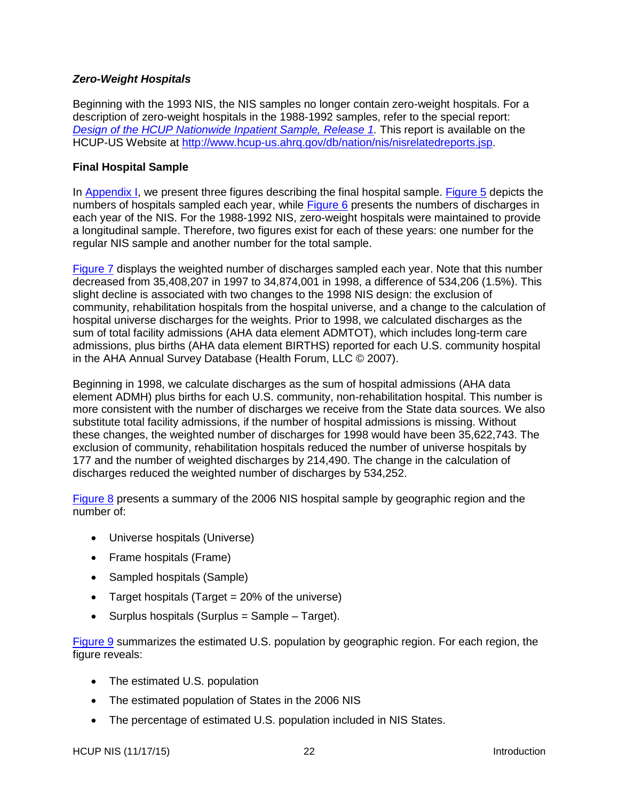### <span id="page-24-0"></span>*Zero-Weight Hospitals*

Beginning with the 1993 NIS, the NIS samples no longer contain zero-weight hospitals. For a description of zero-weight hospitals in the 1988-1992 samples, refer to the special report: *[Design of the HCUP Nationwide Inpatient Sample, Release 1.](http://www.hcup-us.ahrq.gov/db/nation/nis/reports/TS_5.pdf)* This report is available on the HCUP-US Website at [http://www.hcup-us.ahrq.gov/db/nation/nis/nisrelatedreports.jsp.](http://www.hcup-us.ahrq.gov/db/nation/nis/nisrelatedreports.jsp)

#### <span id="page-24-1"></span>**Final Hospital Sample**

In [Appendix](#page-27-0) I, we present three figures describing the final hospital sample. [Figure 5](#page-43-0) depicts the numbers of hospitals sampled each year, while [Figure 6](#page-44-0) presents the numbers of discharges in each year of the NIS. For the 1988-1992 NIS, zero-weight hospitals were maintained to provide a longitudinal sample. Therefore, two figures exist for each of these years: one number for the regular NIS sample and another number for the total sample.

[Figure 7](#page-45-0) displays the weighted number of discharges sampled each year. Note that this number decreased from 35,408,207 in 1997 to 34,874,001 in 1998, a difference of 534,206 (1.5%). This slight decline is associated with two changes to the 1998 NIS design: the exclusion of community, rehabilitation hospitals from the hospital universe, and a change to the calculation of hospital universe discharges for the weights. Prior to 1998, we calculated discharges as the sum of total facility admissions (AHA data element ADMTOT), which includes long-term care admissions, plus births (AHA data element BIRTHS) reported for each U.S. community hospital in the AHA Annual Survey Database (Health Forum, LLC © 2007).

Beginning in 1998, we calculate discharges as the sum of hospital admissions (AHA data element ADMH) plus births for each U.S. community, non-rehabilitation hospital. This number is more consistent with the number of discharges we receive from the State data sources. We also substitute total facility admissions, if the number of hospital admissions is missing. Without these changes, the weighted number of discharges for 1998 would have been 35,622,743. The exclusion of community, rehabilitation hospitals reduced the number of universe hospitals by 177 and the number of weighted discharges by 214,490. The change in the calculation of discharges reduced the weighted number of discharges by 534,252.

[Figure 8](#page-46-0) presents a summary of the 2006 NIS hospital sample by geographic region and the number of:

- Universe hospitals (Universe)
- Frame hospitals (Frame)
- Sampled hospitals (Sample)
- Target hospitals (Target  $= 20\%$  of the universe)
- $\bullet$  Surplus hospitals (Surplus = Sample Target).

[Figure 9](#page-47-0) summarizes the estimated U.S. population by geographic region. For each region, the figure reveals:

- The estimated U.S. population
- The estimated population of States in the 2006 NIS
- The percentage of estimated U.S. population included in NIS States.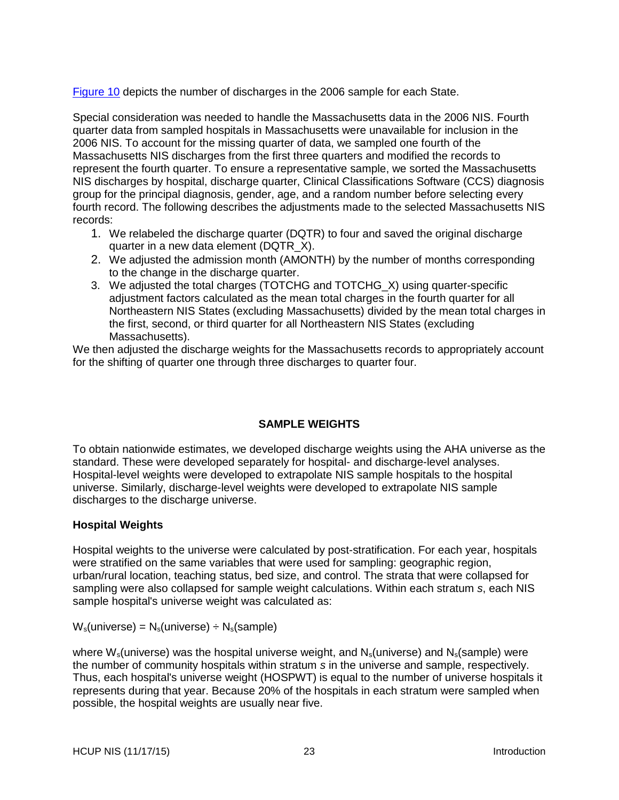[Figure 10](#page-48-0) depicts the number of discharges in the 2006 sample for each State.

Special consideration was needed to handle the Massachusetts data in the 2006 NIS. Fourth quarter data from sampled hospitals in Massachusetts were unavailable for inclusion in the 2006 NIS. To account for the missing quarter of data, we sampled one fourth of the Massachusetts NIS discharges from the first three quarters and modified the records to represent the fourth quarter. To ensure a representative sample, we sorted the Massachusetts NIS discharges by hospital, discharge quarter, Clinical Classifications Software (CCS) diagnosis group for the principal diagnosis, gender, age, and a random number before selecting every fourth record. The following describes the adjustments made to the selected Massachusetts NIS records:

- 1. We relabeled the discharge quarter (DQTR) to four and saved the original discharge quarter in a new data element (DQTR\_X).
- 2. We adjusted the admission month (AMONTH) by the number of months corresponding to the change in the discharge quarter.
- 3. We adjusted the total charges (TOTCHG and TOTCHG\_X) using quarter-specific adjustment factors calculated as the mean total charges in the fourth quarter for all Northeastern NIS States (excluding Massachusetts) divided by the mean total charges in the first, second, or third quarter for all Northeastern NIS States (excluding Massachusetts).

We then adjusted the discharge weights for the Massachusetts records to appropriately account for the shifting of quarter one through three discharges to quarter four.

## **SAMPLE WEIGHTS**

<span id="page-25-0"></span>To obtain nationwide estimates, we developed discharge weights using the AHA universe as the standard. These were developed separately for hospital- and discharge-level analyses. Hospital-level weights were developed to extrapolate NIS sample hospitals to the hospital universe. Similarly, discharge-level weights were developed to extrapolate NIS sample discharges to the discharge universe.

## <span id="page-25-1"></span>**Hospital Weights**

Hospital weights to the universe were calculated by post-stratification. For each year, hospitals were stratified on the same variables that were used for sampling: geographic region, urban/rural location, teaching status, bed size, and control. The strata that were collapsed for sampling were also collapsed for sample weight calculations. Within each stratum *s*, each NIS sample hospital's universe weight was calculated as:

 $W_s$ (universe) =  $N_s$ (universe) ÷  $N_s$ (sample)

where  $W_s$ (universe) was the hospital universe weight, and  $N_s$ (universe) and  $N_s$ (sample) were the number of community hospitals within stratum *s* in the universe and sample, respectively. Thus, each hospital's universe weight (HOSPWT) is equal to the number of universe hospitals it represents during that year. Because 20% of the hospitals in each stratum were sampled when possible, the hospital weights are usually near five.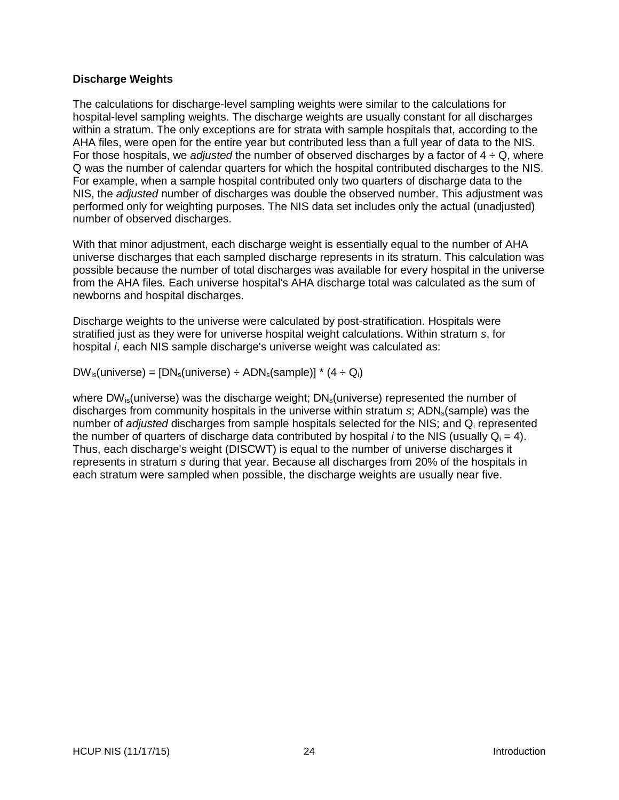### <span id="page-26-0"></span>**Discharge Weights**

The calculations for discharge-level sampling weights were similar to the calculations for hospital-level sampling weights. The discharge weights are usually constant for all discharges within a stratum. The only exceptions are for strata with sample hospitals that, according to the AHA files, were open for the entire year but contributed less than a full year of data to the NIS. For those hospitals, we *adjusted* the number of observed discharges by a factor of  $4 \div Q$ , where Q was the number of calendar quarters for which the hospital contributed discharges to the NIS. For example, when a sample hospital contributed only two quarters of discharge data to the NIS, the *adjusted* number of discharges was double the observed number. This adjustment was performed only for weighting purposes. The NIS data set includes only the actual (unadjusted) number of observed discharges.

With that minor adjustment, each discharge weight is essentially equal to the number of AHA universe discharges that each sampled discharge represents in its stratum. This calculation was possible because the number of total discharges was available for every hospital in the universe from the AHA files. Each universe hospital's AHA discharge total was calculated as the sum of newborns and hospital discharges.

Discharge weights to the universe were calculated by post-stratification. Hospitals were stratified just as they were for universe hospital weight calculations. Within stratum *s*, for hospital *i*, each NIS sample discharge's universe weight was calculated as:

 $DW_{is}$ (universe) =  $[DN_s$ (universe) ÷ ADN<sub>s</sub>(sample)] \*  $(4 \div Q_i)$ 

where DW<sub>is</sub>(universe) was the discharge weight;  $DN_s$ (universe) represented the number of discharges from community hospitals in the universe within stratum *s*; ADN<sub>s</sub>(sample) was the number of *adjusted* discharges from sample hospitals selected for the NIS; and Q<sup>i</sup> represented the number of quarters of discharge data contributed by hospital *i* to the NIS (usually  $Q_i = 4$ ). Thus, each discharge's weight (DISCWT) is equal to the number of universe discharges it represents in stratum *s* during that year. Because all discharges from 20% of the hospitals in each stratum were sampled when possible, the discharge weights are usually near five.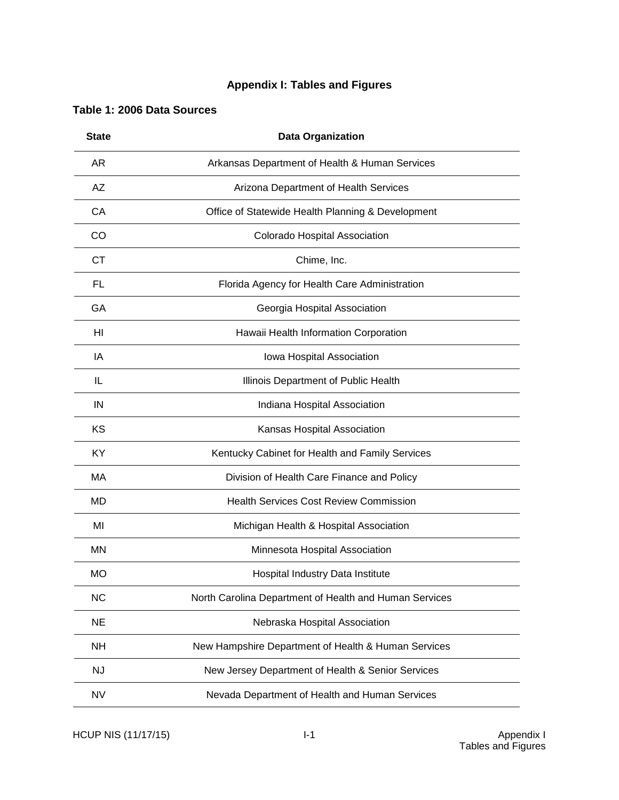# **Appendix I: Tables and Figures**

## <span id="page-27-1"></span><span id="page-27-0"></span>**Table 1: 2006 Data Sources**

| <b>State</b> | <b>Data Organization</b>                               |
|--------------|--------------------------------------------------------|
| AR.          | Arkansas Department of Health & Human Services         |
| AZ           | Arizona Department of Health Services                  |
| CA           | Office of Statewide Health Planning & Development      |
| CO           | Colorado Hospital Association                          |
| СT           | Chime, Inc.                                            |
| FL           | Florida Agency for Health Care Administration          |
| GA           | Georgia Hospital Association                           |
| HI           | Hawaii Health Information Corporation                  |
| IA           | Iowa Hospital Association                              |
| IL           | Illinois Department of Public Health                   |
| ΙN           | Indiana Hospital Association                           |
| KS           | Kansas Hospital Association                            |
| KY.          | Kentucky Cabinet for Health and Family Services        |
| MA           | Division of Health Care Finance and Policy             |
| MD           | <b>Health Services Cost Review Commission</b>          |
| MI           | Michigan Health & Hospital Association                 |
| ΜN           | Minnesota Hospital Association                         |
| <b>MO</b>    | Hospital Industry Data Institute                       |
| <b>NC</b>    | North Carolina Department of Health and Human Services |
| <b>NE</b>    | Nebraska Hospital Association                          |
| <b>NH</b>    | New Hampshire Department of Health & Human Services    |
| <b>NJ</b>    | New Jersey Department of Health & Senior Services      |
| <b>NV</b>    | Nevada Department of Health and Human Services         |

HCUP NIS (11/17/15) I-1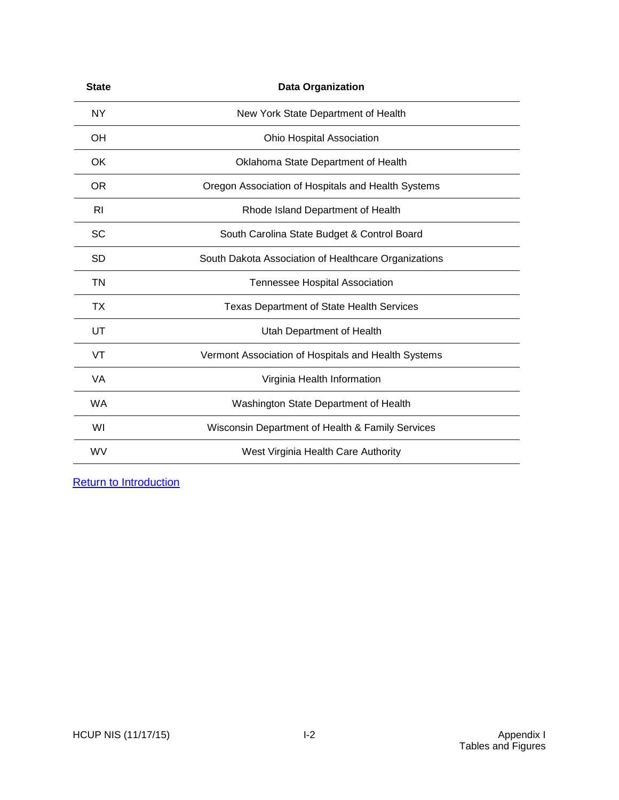| <b>State</b> | <b>Data Organization</b>                             |
|--------------|------------------------------------------------------|
| <b>NY</b>    | New York State Department of Health                  |
| <b>OH</b>    | Ohio Hospital Association                            |
| OK           | Oklahoma State Department of Health                  |
| <b>OR</b>    | Oregon Association of Hospitals and Health Systems   |
| RI           | Rhode Island Department of Health                    |
| <b>SC</b>    | South Carolina State Budget & Control Board          |
| SD           | South Dakota Association of Healthcare Organizations |
| ΤN           | <b>Tennessee Hospital Association</b>                |
| ТX           | <b>Texas Department of State Health Services</b>     |
| UT           | Utah Department of Health                            |
| VT           | Vermont Association of Hospitals and Health Systems  |
| VA           | Virginia Health Information                          |
| WA           | Washington State Department of Health                |
| WI           | Wisconsin Department of Health & Family Services     |
| <b>WV</b>    | West Virginia Health Care Authority                  |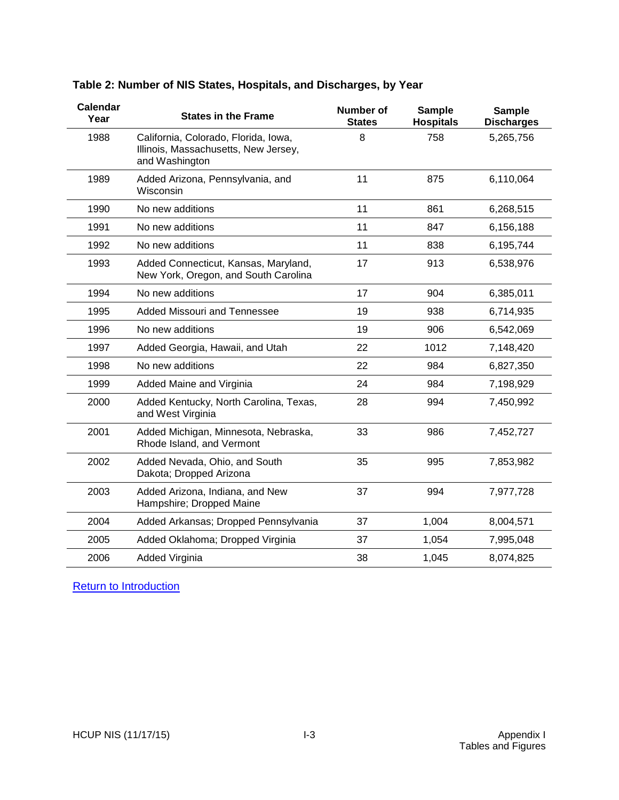| <b>Calendar</b><br>Year | <b>States in the Frame</b>                                                                     | <b>Number of</b><br><b>States</b> | <b>Sample</b><br><b>Hospitals</b> | <b>Sample</b><br><b>Discharges</b> |
|-------------------------|------------------------------------------------------------------------------------------------|-----------------------------------|-----------------------------------|------------------------------------|
| 1988                    | California, Colorado, Florida, Iowa,<br>Illinois, Massachusetts, New Jersey,<br>and Washington |                                   | 758                               | 5,265,756                          |
| 1989                    | Added Arizona, Pennsylvania, and<br>Wisconsin                                                  | 11                                | 875                               | 6,110,064                          |
| 1990                    | No new additions                                                                               | 11                                | 861                               | 6,268,515                          |
| 1991                    | No new additions                                                                               | 11                                | 847                               | 6,156,188                          |
| 1992                    | No new additions                                                                               | 11                                | 838                               | 6,195,744                          |
| 1993                    | Added Connecticut, Kansas, Maryland,<br>New York, Oregon, and South Carolina                   | 17                                | 913                               | 6,538,976                          |
| 1994                    | No new additions                                                                               | 17                                | 904                               | 6,385,011                          |
| 1995                    | <b>Added Missouri and Tennessee</b>                                                            | 19                                | 938                               | 6,714,935                          |
| 1996                    | No new additions                                                                               | 19                                | 906                               | 6,542,069                          |
| 1997                    | Added Georgia, Hawaii, and Utah                                                                | 22                                | 1012                              | 7,148,420                          |
| 1998                    | No new additions                                                                               | 22                                | 984                               | 6,827,350                          |
| 1999                    | Added Maine and Virginia                                                                       | 24                                | 984                               | 7,198,929                          |
| 2000                    | Added Kentucky, North Carolina, Texas,<br>and West Virginia                                    | 28                                | 994                               | 7,450,992                          |
| 2001                    | Added Michigan, Minnesota, Nebraska,<br>Rhode Island, and Vermont                              | 33                                | 986                               | 7,452,727                          |
| 2002                    | Added Nevada, Ohio, and South<br>Dakota; Dropped Arizona                                       | 35                                | 995                               | 7,853,982                          |
| 2003                    | Added Arizona, Indiana, and New<br>Hampshire; Dropped Maine                                    | 37                                | 994                               | 7,977,728                          |
| 2004                    | Added Arkansas; Dropped Pennsylvania                                                           | 37                                | 1,004                             | 8,004,571                          |
| 2005                    | Added Oklahoma; Dropped Virginia                                                               | 37                                | 1,054                             | 7,995,048                          |
| 2006                    | Added Virginia                                                                                 | 38                                | 1,045                             | 8,074,825                          |

# <span id="page-29-0"></span>**Table 2: Number of NIS States, Hospitals, and Discharges, by Year**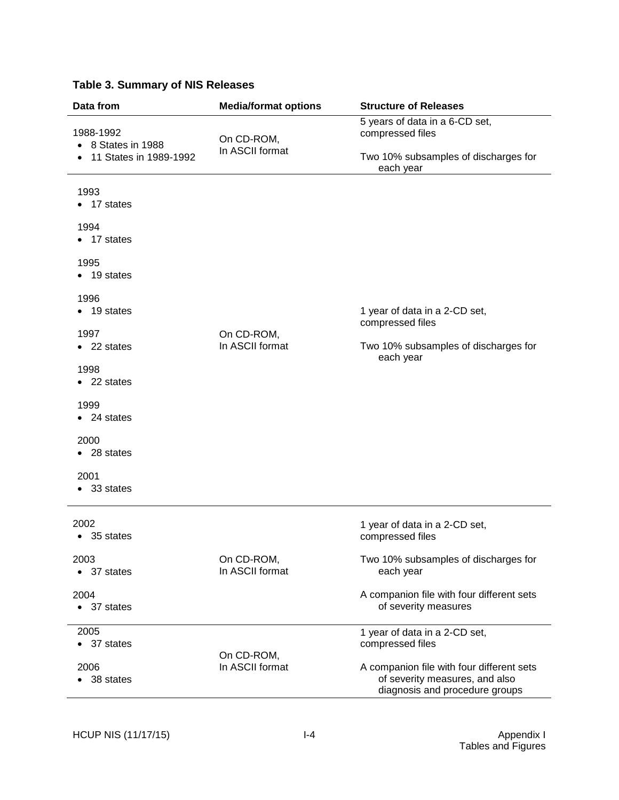| Data from                       | <b>Media/format options</b>                                      | <b>Structure of Releases</b>                                                                                  |
|---------------------------------|------------------------------------------------------------------|---------------------------------------------------------------------------------------------------------------|
| 1988-1992<br>• 8 States in 1988 | 5 years of data in a 6-CD set,<br>compressed files<br>On CD-ROM, |                                                                                                               |
| • 11 States in 1989-1992        | In ASCII format                                                  | Two 10% subsamples of discharges for<br>each year                                                             |
| 1993<br>$\bullet$ 17 states     |                                                                  |                                                                                                               |
| 1994<br>$\bullet$ 17 states     |                                                                  |                                                                                                               |
| 1995<br>$\bullet$ 19 states     |                                                                  |                                                                                                               |
| 1996<br>$\bullet$ 19 states     |                                                                  | 1 year of data in a 2-CD set,<br>compressed files                                                             |
| 1997<br>$\bullet$ 22 states     | On CD-ROM,<br>In ASCII format                                    | Two 10% subsamples of discharges for<br>each year                                                             |
| 1998<br>$\bullet$ 22 states     |                                                                  |                                                                                                               |
| 1999<br>$\bullet$ 24 states     |                                                                  |                                                                                                               |
| 2000<br>$\bullet$ 28 states     |                                                                  |                                                                                                               |
| 2001<br>• 33 states             |                                                                  |                                                                                                               |
| 2002<br>35 states               |                                                                  | 1 year of data in a 2-CD set,<br>compressed files                                                             |
| 2003<br>37 states<br>$\bullet$  | On CD-ROM,<br>In ASCII format                                    | Two 10% subsamples of discharges for<br>each year                                                             |
| 2004<br>• 37 states             |                                                                  | A companion file with four different sets<br>of severity measures                                             |
| 2005<br>• 37 states             | On CD-ROM,                                                       | 1 year of data in a 2-CD set,<br>compressed files                                                             |
| 2006<br>38 states               | In ASCII format                                                  | A companion file with four different sets<br>of severity measures, and also<br>diagnosis and procedure groups |

# <span id="page-30-0"></span>**Table 3. Summary of NIS Releases**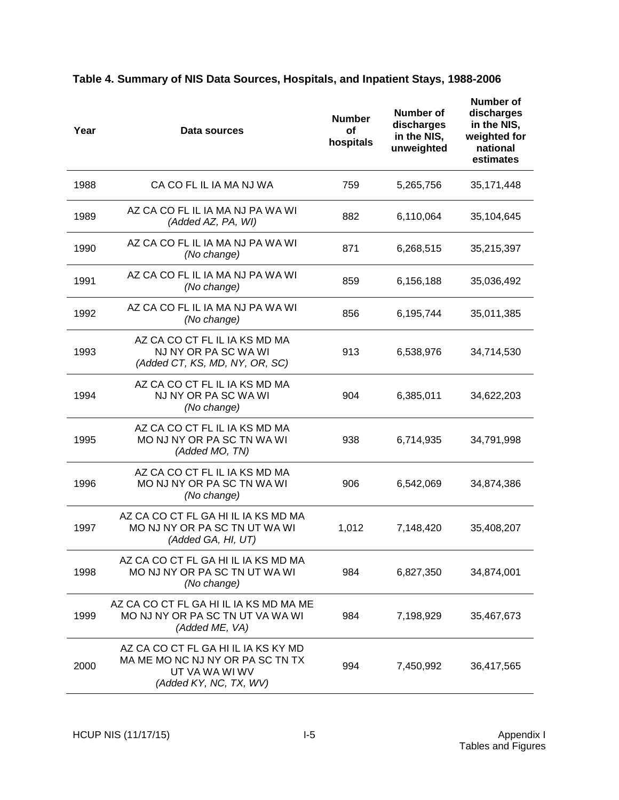| Year | Data sources                                                                                                        | <b>Number</b><br>of<br>hospitals | Number of<br>discharges<br>in the NIS,<br>unweighted | <b>Number of</b><br>discharges<br>in the NIS,<br>weighted for<br>national<br>estimates |
|------|---------------------------------------------------------------------------------------------------------------------|----------------------------------|------------------------------------------------------|----------------------------------------------------------------------------------------|
| 1988 | CA CO FL IL IA MA NJ WA                                                                                             | 759                              | 5,265,756                                            | 35, 171, 448                                                                           |
| 1989 | AZ CA CO FL IL IA MA NJ PA WA WI<br>(Added AZ, PA, WI)                                                              | 882                              | 6,110,064                                            | 35,104,645                                                                             |
| 1990 | AZ CA CO FL IL IA MA NJ PA WA WI<br>(No change)                                                                     | 871                              | 6,268,515                                            | 35,215,397                                                                             |
| 1991 | AZ CA CO FL IL IA MA NJ PA WA WI<br>(No change)                                                                     | 859                              | 6,156,188                                            | 35,036,492                                                                             |
| 1992 | AZ CA CO FL IL IA MA NJ PA WA WI<br>(No change)                                                                     | 856                              | 6,195,744                                            | 35,011,385                                                                             |
| 1993 | AZ CA CO CT FL IL IA KS MD MA<br>NJ NY OR PA SC WA WI<br>(Added CT, KS, MD, NY, OR, SC)                             | 913                              | 6,538,976                                            | 34,714,530                                                                             |
| 1994 | AZ CA CO CT FL IL IA KS MD MA<br>NJ NY OR PA SC WA WI<br>(No change)                                                | 904                              | 6,385,011                                            | 34,622,203                                                                             |
| 1995 | AZ CA CO CT FL IL IA KS MD MA<br>MO NJ NY OR PA SC TN WA WI<br>(Added MO, TN)                                       | 938                              | 6,714,935                                            | 34,791,998                                                                             |
| 1996 | AZ CA CO CT FL IL IA KS MD MA<br>MO NJ NY OR PA SC TN WA WI<br>(No change)                                          | 906                              | 6,542,069                                            | 34,874,386                                                                             |
| 1997 | AZ CA CO CT FL GA HI IL IA KS MD MA<br>MO NJ NY OR PA SC TN UT WA WI<br>(Added GA, HI, UT)                          | 1,012                            | 7,148,420                                            | 35,408,207                                                                             |
| 1998 | AZ CA CO CT FL GA HI IL IA KS MD MA<br>MO NJ NY OR PA SC TN UT WA WI<br>(No change)                                 | 984                              | 6,827,350                                            | 34,874,001                                                                             |
| 1999 | AZ CA CO CT FL GA HI IL IA KS MD MA ME<br>MO NJ NY OR PA SC TN UT VA WA WI<br>(Added ME, VA)                        | 984                              | 7,198,929                                            | 35,467,673                                                                             |
| 2000 | AZ CA CO CT FL GA HI IL IA KS KY MD<br>MA ME MO NC NJ NY OR PA SC TN TX<br>UT VA WA WI WV<br>(Added KY, NC, TX, WV) | 994                              | 7,450,992                                            | 36,417,565                                                                             |

# <span id="page-31-0"></span>**Table 4. Summary of NIS Data Sources, Hospitals, and Inpatient Stays, 1988-2006**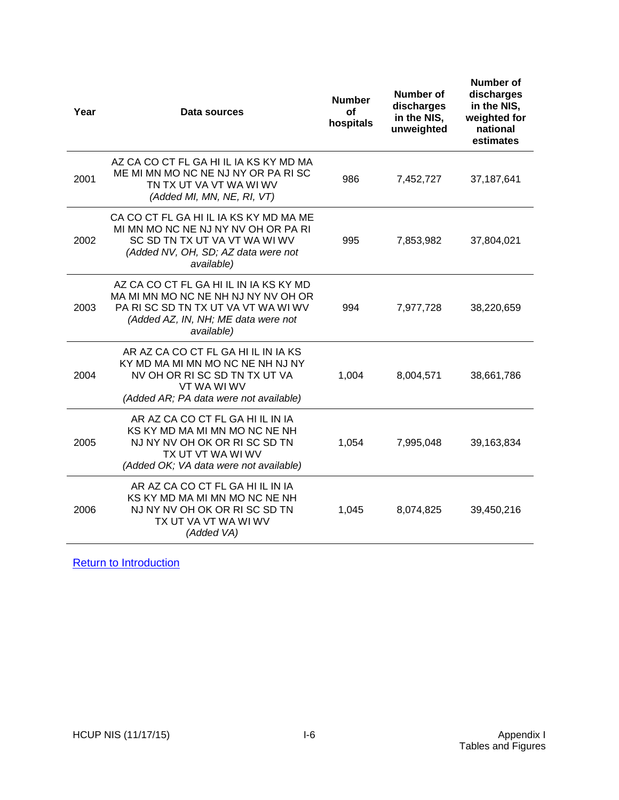| Year | Data sources                                                                                                                                                             | <b>Number</b><br>οf<br>hospitals | Number of<br>discharges<br>in the NIS,<br>unweighted | <b>Number of</b><br>discharges<br>in the NIS,<br>weighted for<br>national<br>estimates |
|------|--------------------------------------------------------------------------------------------------------------------------------------------------------------------------|----------------------------------|------------------------------------------------------|----------------------------------------------------------------------------------------|
| 2001 | AZ CA CO CT FL GA HI IL IA KS KY MD MA<br>ME MI MN MO NC NE NJ NY OR PA RISC<br>TN TX UT VA VT WA WI WV<br>(Added MI, MN, NE, RI, VT)                                    | 986                              | 7,452,727                                            | 37, 187, 641                                                                           |
| 2002 | CA CO CT FL GA HI IL IA KS KY MD MA ME<br>MI MN MO NC NE NJ NY NV OH OR PA RI<br>SC SD TN TX UT VA VT WA WI WV<br>(Added NV, OH, SD; AZ data were not<br>available)      | 995                              | 7,853,982                                            | 37,804,021                                                                             |
| 2003 | AZ CA CO CT FL GA HI IL IN IA KS KY MD<br>MA MI MN MO NC NE NH NJ NY NV OH OR<br>PA RISC SD TN TX UT VA VT WA WI WV<br>(Added AZ, IN, NH; ME data were not<br>available) | 994                              | 7,977,728                                            | 38,220,659                                                                             |
| 2004 | AR AZ CA CO CT FL GA HI IL IN IA KS<br>KY MD MA MI MN MO NC NE NH NJ NY<br>NV OH OR RISC SD TN TX UT VA<br>VT WA WI WV<br>(Added AR; PA data were not available)         | 1,004                            | 8,004,571                                            | 38,661,786                                                                             |
| 2005 | AR AZ CA CO CT FL GA HI IL IN IA<br>KS KY MD MA MI MN MO NC NE NH<br>NJ NY NV OH OK OR RISC SD TN<br>TX UT VT WA WI WV<br>(Added OK; VA data were not available)         | 1,054                            | 7,995,048                                            | 39,163,834                                                                             |
| 2006 | AR AZ CA CO CT FL GA HI IL IN IA<br>KS KY MD MA MI MN MO NC NE NH<br>NJ NY NV OH OK OR RISC SD TN<br>TX UT VA VT WA WI WV<br>(Added VA)                                  | 1,045                            | 8,074,825                                            | 39,450,216                                                                             |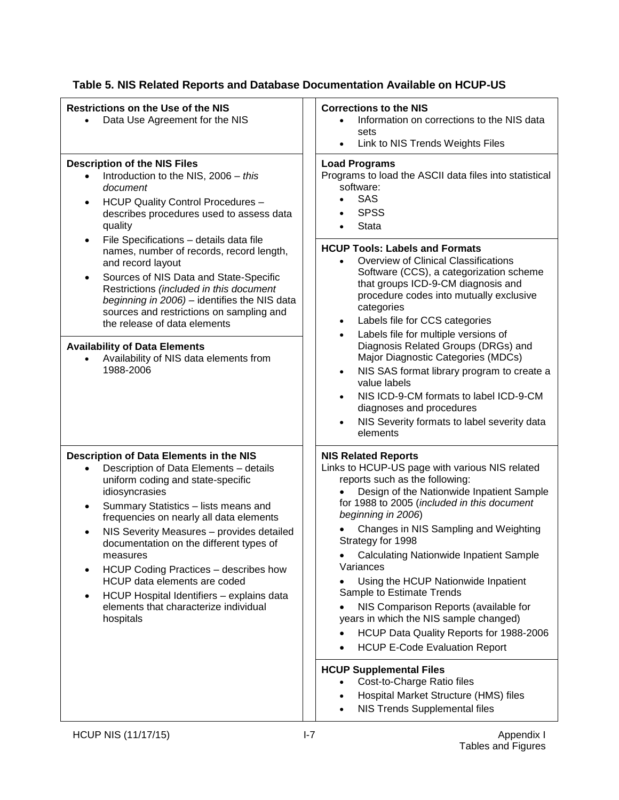| <b>Restrictions on the Use of the NIS</b><br>Data Use Agreement for the NIS                                                                                                                                                                                                                                                                                                                                                                                                                                                                        | <b>Corrections to the NIS</b><br>Information on corrections to the NIS data<br>sets<br>Link to NIS Trends Weights Files                                                                                                                                                                                                                                                                                                                                                                                                                                                                                                                                                                                                                                                                       |
|----------------------------------------------------------------------------------------------------------------------------------------------------------------------------------------------------------------------------------------------------------------------------------------------------------------------------------------------------------------------------------------------------------------------------------------------------------------------------------------------------------------------------------------------------|-----------------------------------------------------------------------------------------------------------------------------------------------------------------------------------------------------------------------------------------------------------------------------------------------------------------------------------------------------------------------------------------------------------------------------------------------------------------------------------------------------------------------------------------------------------------------------------------------------------------------------------------------------------------------------------------------------------------------------------------------------------------------------------------------|
| <b>Description of the NIS Files</b><br>Introduction to the NIS, 2006 - this<br>document<br><b>HCUP Quality Control Procedures -</b><br>$\bullet$<br>describes procedures used to assess data<br>quality<br>File Specifications - details data file<br>$\bullet$                                                                                                                                                                                                                                                                                    | <b>Load Programs</b><br>Programs to load the ASCII data files into statistical<br>software:<br>SAS<br><b>SPSS</b><br><b>Stata</b>                                                                                                                                                                                                                                                                                                                                                                                                                                                                                                                                                                                                                                                             |
| names, number of records, record length,<br>and record layout<br>Sources of NIS Data and State-Specific<br>٠<br>Restrictions (included in this document<br>beginning in 2006) - identifies the NIS data<br>sources and restrictions on sampling and<br>the release of data elements                                                                                                                                                                                                                                                                | <b>HCUP Tools: Labels and Formats</b><br>Overview of Clinical Classifications<br>Software (CCS), a categorization scheme<br>that groups ICD-9-CM diagnosis and<br>procedure codes into mutually exclusive<br>categories<br>Labels file for CCS categories<br>$\bullet$<br>Labels file for multiple versions of<br>$\bullet$                                                                                                                                                                                                                                                                                                                                                                                                                                                                   |
| <b>Availability of Data Elements</b><br>Availability of NIS data elements from<br>1988-2006                                                                                                                                                                                                                                                                                                                                                                                                                                                        | Diagnosis Related Groups (DRGs) and<br>Major Diagnostic Categories (MDCs)<br>NIS SAS format library program to create a<br>$\bullet$<br>value labels<br>NIS ICD-9-CM formats to label ICD-9-CM<br>$\bullet$<br>diagnoses and procedures<br>NIS Severity formats to label severity data<br>$\bullet$<br>elements                                                                                                                                                                                                                                                                                                                                                                                                                                                                               |
| Description of Data Elements in the NIS<br>Description of Data Elements - details<br>$\bullet$<br>uniform coding and state-specific<br>idiosyncrasies<br>Summary Statistics - lists means and<br>$\bullet$<br>frequencies on nearly all data elements<br>NIS Severity Measures - provides detailed<br>documentation on the different types of<br>measures<br>HCUP Coding Practices - describes how<br>HCUP data elements are coded<br>HCUP Hospital Identifiers - explains data<br>$\bullet$<br>elements that characterize individual<br>hospitals | <b>NIS Related Reports</b><br>Links to HCUP-US page with various NIS related<br>reports such as the following:<br>Design of the Nationwide Inpatient Sample<br>for 1988 to 2005 (included in this document<br>beginning in 2006)<br>Changes in NIS Sampling and Weighting<br>Strategy for 1998<br><b>Calculating Nationwide Inpatient Sample</b><br>Variances<br>Using the HCUP Nationwide Inpatient<br>Sample to Estimate Trends<br>NIS Comparison Reports (available for<br>years in which the NIS sample changed)<br>HCUP Data Quality Reports for 1988-2006<br><b>HCUP E-Code Evaluation Report</b><br>$\bullet$<br><b>HCUP Supplemental Files</b><br>Cost-to-Charge Ratio files<br>$\bullet$<br>Hospital Market Structure (HMS) files<br>$\bullet$<br>NIS Trends Supplemental files<br>٠ |

# <span id="page-33-0"></span>**Table 5. NIS Related Reports and Database Documentation Available on HCUP-US**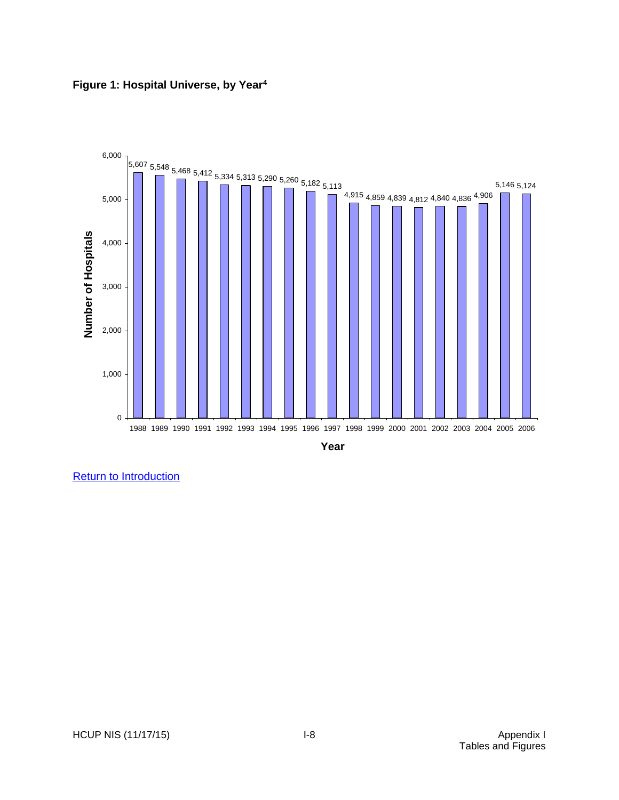<span id="page-34-0"></span>

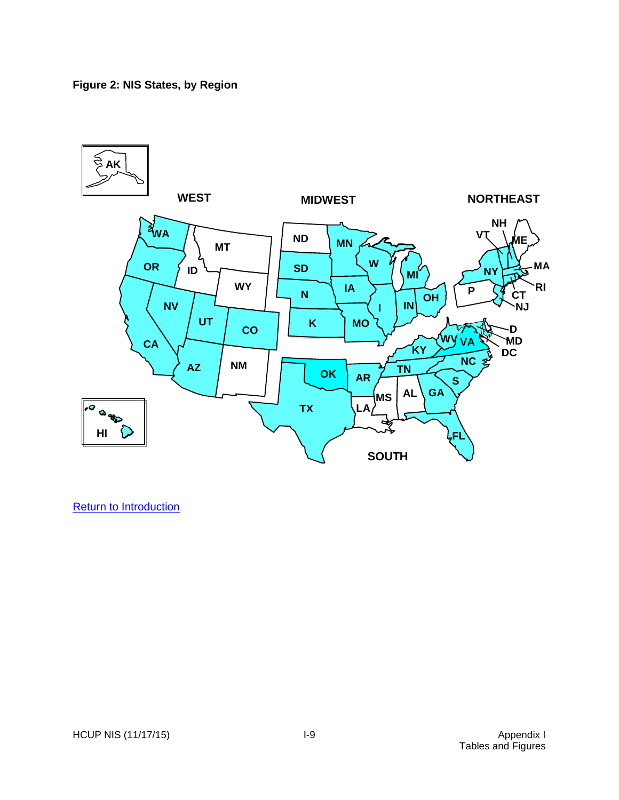## <span id="page-35-0"></span>**Figure 2: NIS States, by Region**

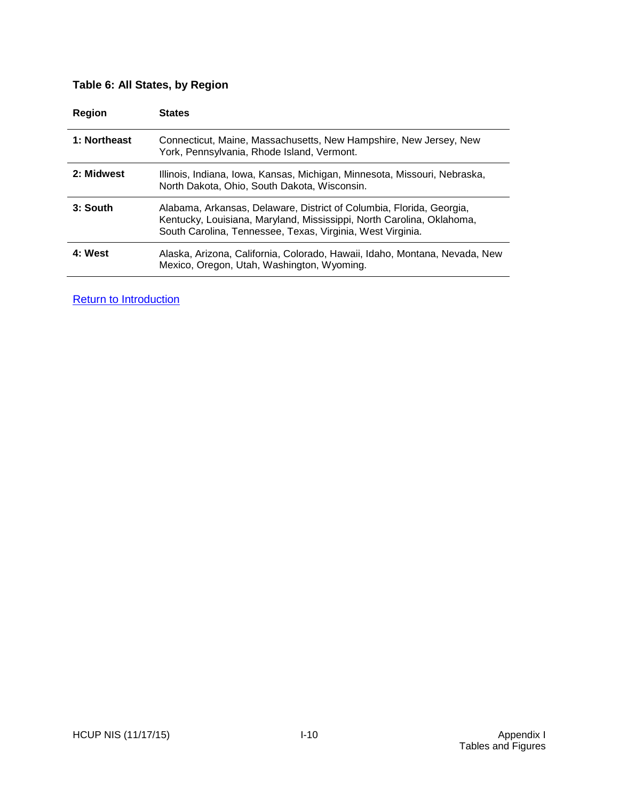# <span id="page-36-0"></span>**Table 6: All States, by Region**

| <b>Region</b> | <b>States</b>                                                                                                                                                                                               |
|---------------|-------------------------------------------------------------------------------------------------------------------------------------------------------------------------------------------------------------|
| 1: Northeast  | Connecticut, Maine, Massachusetts, New Hampshire, New Jersey, New<br>York, Pennsylvania, Rhode Island, Vermont.                                                                                             |
| 2: Midwest    | Illinois, Indiana, Iowa, Kansas, Michigan, Minnesota, Missouri, Nebraska,<br>North Dakota, Ohio, South Dakota, Wisconsin.                                                                                   |
| 3: South      | Alabama, Arkansas, Delaware, District of Columbia, Florida, Georgia,<br>Kentucky, Louisiana, Maryland, Mississippi, North Carolina, Oklahoma,<br>South Carolina, Tennessee, Texas, Virginia, West Virginia. |
| 4: West       | Alaska, Arizona, California, Colorado, Hawaii, Idaho, Montana, Nevada, New<br>Mexico, Oregon, Utah, Washington, Wyoming.                                                                                    |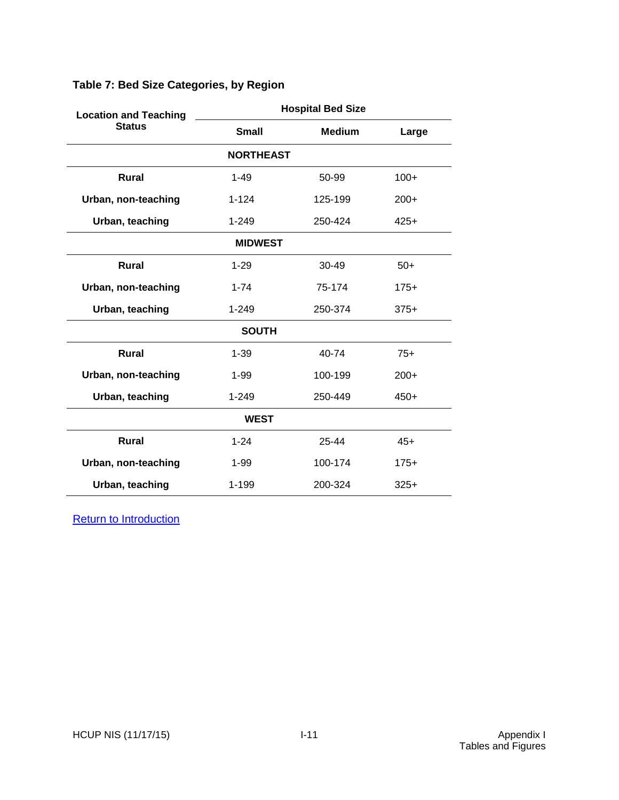| <b>Location and Teaching</b> | <b>Hospital Bed Size</b>       |               |        |  |  |
|------------------------------|--------------------------------|---------------|--------|--|--|
| <b>Status</b>                | <b>Small</b>                   | <b>Medium</b> | Large  |  |  |
|                              | <b>NORTHEAST</b>               |               |        |  |  |
| <b>Rural</b>                 | $1 - 49$                       | 50-99         | $100+$ |  |  |
| Urban, non-teaching          | $1 - 124$                      | 125-199       | $200+$ |  |  |
| Urban, teaching              | $1 - 249$                      | 250-424       | $425+$ |  |  |
|                              | <b>MIDWEST</b>                 |               |        |  |  |
| <b>Rural</b>                 | $1 - 29$                       | $30 - 49$     | $50+$  |  |  |
| Urban, non-teaching          | $1 - 74$                       | 75-174        | $175+$ |  |  |
| Urban, teaching              | $1 - 249$<br>250-374<br>$375+$ |               |        |  |  |
|                              | <b>SOUTH</b>                   |               |        |  |  |
| <b>Rural</b>                 | $1 - 39$                       | $40 - 74$     | $75+$  |  |  |
| Urban, non-teaching          | $1 - 99$                       | 100-199       | $200+$ |  |  |
| Urban, teaching              | $1 - 249$                      | 250-449       | $450+$ |  |  |
| <b>WEST</b>                  |                                |               |        |  |  |
| <b>Rural</b>                 | $1 - 24$                       | $25 - 44$     | $45+$  |  |  |
| Urban, non-teaching          | $1 - 99$                       | 100-174       | $175+$ |  |  |
| Urban, teaching              | 1-199                          | 200-324       | $325+$ |  |  |

# <span id="page-37-0"></span>**Table 7: Bed Size Categories, by Region**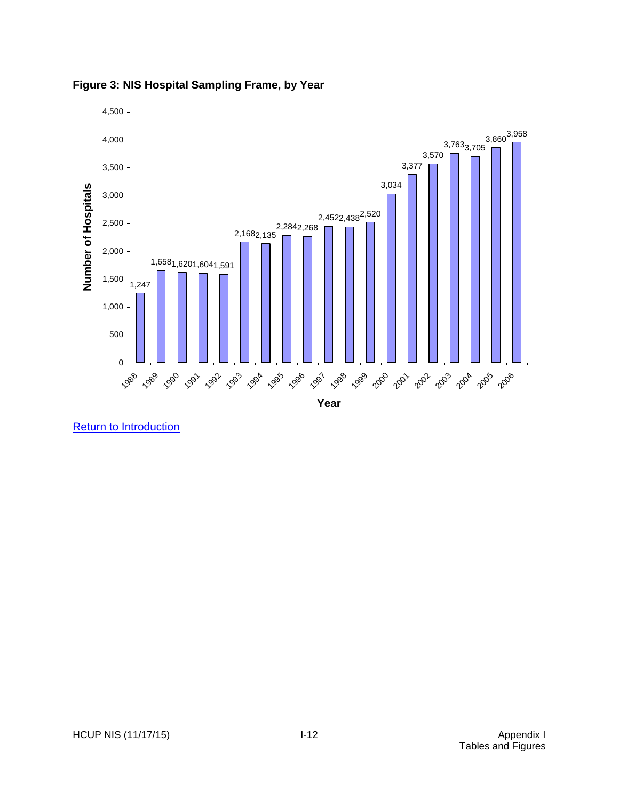

<span id="page-38-0"></span>**Figure 3: NIS Hospital Sampling Frame, by Year**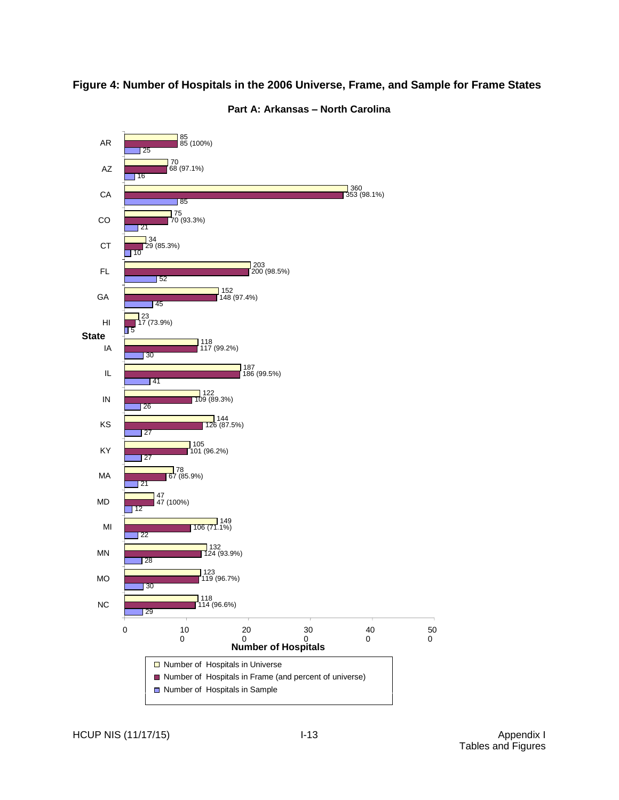# <span id="page-39-0"></span>**Figure 4: Number of Hospitals in the 2006 Universe, Frame, and Sample for Frame States**

<span id="page-39-1"></span>

#### **Part A: Arkansas – North Carolina**

HCUP NIS (11/17/15) **I-13** I-13 Appendix I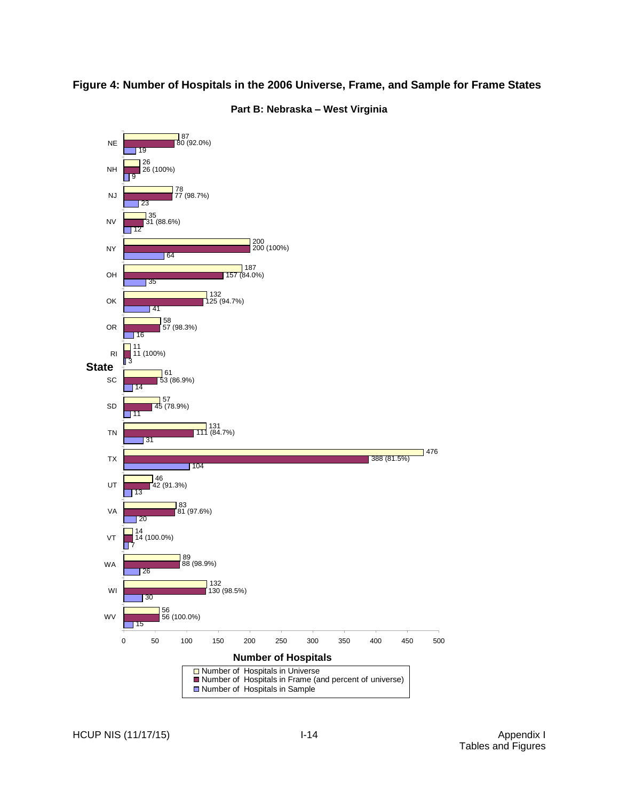## <span id="page-40-0"></span>**Figure 4: Number of Hospitals in the 2006 Universe, Frame, and Sample for Frame States**



**Part B: Nebraska – West Virginia**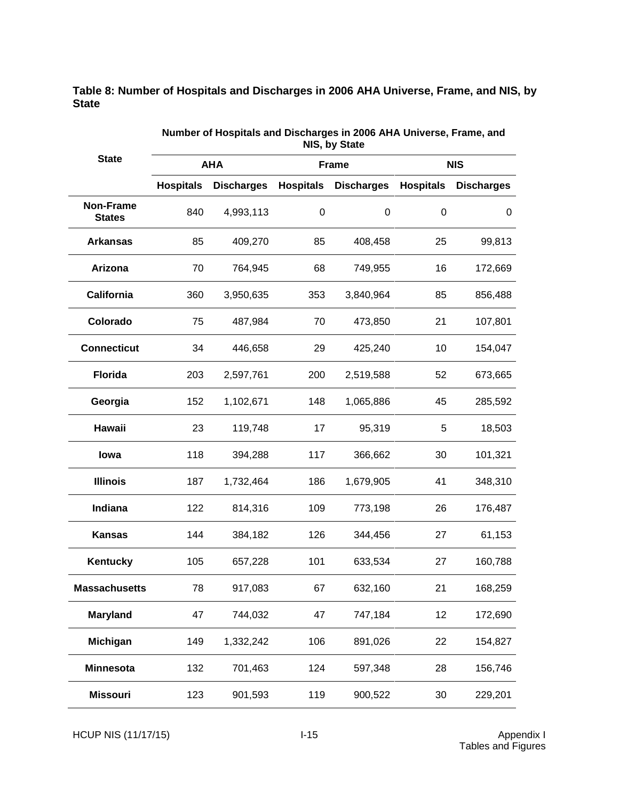<span id="page-41-0"></span>**Table 8: Number of Hospitals and Discharges in 2006 AHA Universe, Frame, and NIS, by State**

|                                   | NIS, by State    |                   |                  |                   |                  |                   |  |  |
|-----------------------------------|------------------|-------------------|------------------|-------------------|------------------|-------------------|--|--|
| <b>State</b>                      |                  | <b>AHA</b>        |                  | <b>Frame</b>      |                  | <b>NIS</b>        |  |  |
|                                   | <b>Hospitals</b> | <b>Discharges</b> | <b>Hospitals</b> | <b>Discharges</b> | <b>Hospitals</b> | <b>Discharges</b> |  |  |
| <b>Non-Frame</b><br><b>States</b> | 840              | 4,993,113         | $\boldsymbol{0}$ | $\pmb{0}$         | 0                | 0                 |  |  |
| <b>Arkansas</b>                   | 85               | 409,270           | 85               | 408,458           | 25               | 99,813            |  |  |
| Arizona                           | 70               | 764,945           | 68               | 749,955           | 16               | 172,669           |  |  |
| California                        | 360              | 3,950,635         | 353              | 3,840,964         | 85               | 856,488           |  |  |
| Colorado                          | 75               | 487,984           | 70               | 473,850           | 21               | 107,801           |  |  |
| <b>Connecticut</b>                | 34               | 446,658           | 29               | 425,240           | 10               | 154,047           |  |  |
| <b>Florida</b>                    | 203              | 2,597,761         | 200              | 2,519,588         | 52               | 673,665           |  |  |
| Georgia                           | 152              | 1,102,671         | 148              | 1,065,886         | 45               | 285,592           |  |  |
| Hawaii                            | 23               | 119,748           | 17               | 95,319            | 5                | 18,503            |  |  |
| lowa                              | 118              | 394,288           | 117              | 366,662           | 30               | 101,321           |  |  |
| <b>Illinois</b>                   | 187              | 1,732,464         | 186              | 1,679,905         | 41               | 348,310           |  |  |
| Indiana                           | 122              | 814,316           | 109              | 773,198           | 26               | 176,487           |  |  |
| <b>Kansas</b>                     | 144              | 384,182           | 126              | 344,456           | 27               | 61,153            |  |  |
| <b>Kentucky</b>                   | 105              | 657,228           | 101              | 633,534           | 27               | 160,788           |  |  |
| <b>Massachusetts</b>              | 78               | 917,083           | 67               | 632,160           | 21               | 168,259           |  |  |
| <b>Maryland</b>                   | 47               | 744,032           | 47               | 747,184           | 12               | 172,690           |  |  |
| Michigan                          | 149              | 1,332,242         | 106              | 891,026           | 22               | 154,827           |  |  |
| <b>Minnesota</b>                  | 132              | 701,463           | 124              | 597,348           | 28               | 156,746           |  |  |
| <b>Missouri</b>                   | 123              | 901,593           | 119              | 900,522           | 30               | 229,201           |  |  |

**Number of Hospitals and Discharges in 2006 AHA Universe, Frame, and** 

HCUP NIS (11/17/15) I-15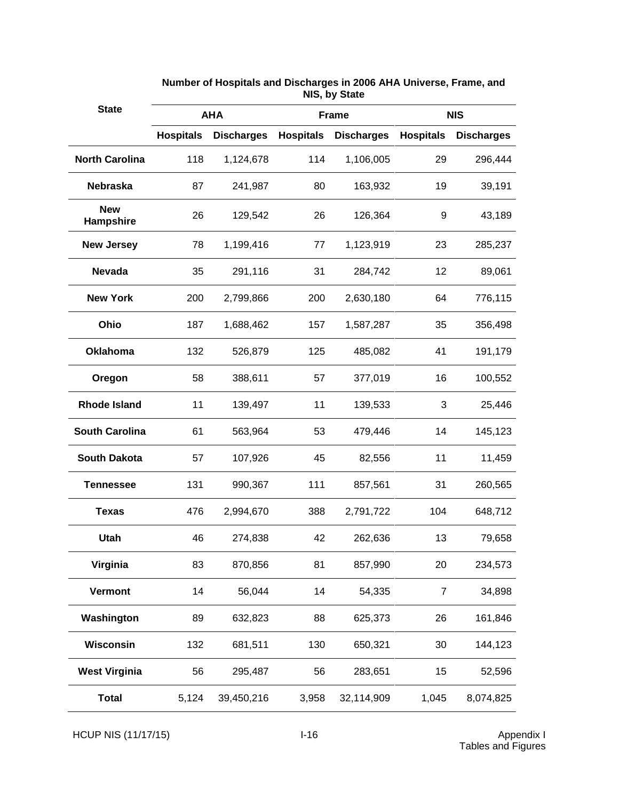| <b>State</b>            |                  | <b>AHA</b>        | <b>Frame</b>     |                   |                  | <b>NIS</b>        |
|-------------------------|------------------|-------------------|------------------|-------------------|------------------|-------------------|
|                         | <b>Hospitals</b> | <b>Discharges</b> | <b>Hospitals</b> | <b>Discharges</b> | <b>Hospitals</b> | <b>Discharges</b> |
| <b>North Carolina</b>   | 118              | 1,124,678         | 114              | 1,106,005         | 29               | 296,444           |
| <b>Nebraska</b>         | 87               | 241,987           | 80               | 163,932           | 19               | 39,191            |
| <b>New</b><br>Hampshire | 26               | 129,542           | 26               | 126,364           | 9                | 43,189            |
| <b>New Jersey</b>       | 78               | 1,199,416         | 77               | 1,123,919         | 23               | 285,237           |
| <b>Nevada</b>           | 35               | 291,116           | 31               | 284,742           | 12               | 89,061            |
| <b>New York</b>         | 200              | 2,799,866         | 200              | 2,630,180         | 64               | 776,115           |
| Ohio                    | 187              | 1,688,462         | 157              | 1,587,287         | 35               | 356,498           |
| <b>Oklahoma</b>         | 132              | 526,879           | 125              | 485,082           | 41               | 191,179           |
| Oregon                  | 58               | 388,611           | 57               | 377,019           | 16               | 100,552           |
| <b>Rhode Island</b>     | 11               | 139,497           | 11               | 139,533           | 3                | 25,446            |
| <b>South Carolina</b>   | 61               | 563,964           | 53               | 479,446           | 14               | 145,123           |
| <b>South Dakota</b>     | 57               | 107,926           | 45               | 82,556            | 11               | 11,459            |
| <b>Tennessee</b>        | 131              | 990,367           | 111              | 857,561           | 31               | 260,565           |
| <b>Texas</b>            | 476              | 2,994,670         | 388              | 2,791,722         | 104              | 648,712           |
| <b>Utah</b>             | 46               | 274,838           | 42               | 262,636           | 13               | 79,658            |
| Virginia                | 83               | 870,856           | 81               | 857,990           | 20               | 234,573           |
| Vermont                 | 14               | 56,044            | 14               | 54,335            | $\overline{7}$   | 34,898            |
| Washington              | 89               | 632,823           | 88               | 625,373           | 26               | 161,846           |
| Wisconsin               | 132              | 681,511           | 130              | 650,321           | 30               | 144,123           |
| <b>West Virginia</b>    | 56               | 295,487           | 56               | 283,651           | 15               | 52,596            |
| <b>Total</b>            | 5,124            | 39,450,216        | 3,958            | 32,114,909        | 1,045            | 8,074,825         |

**Number of Hospitals and Discharges in 2006 AHA Universe, Frame, and NIS, by State**

HCUP NIS (11/17/15) I-16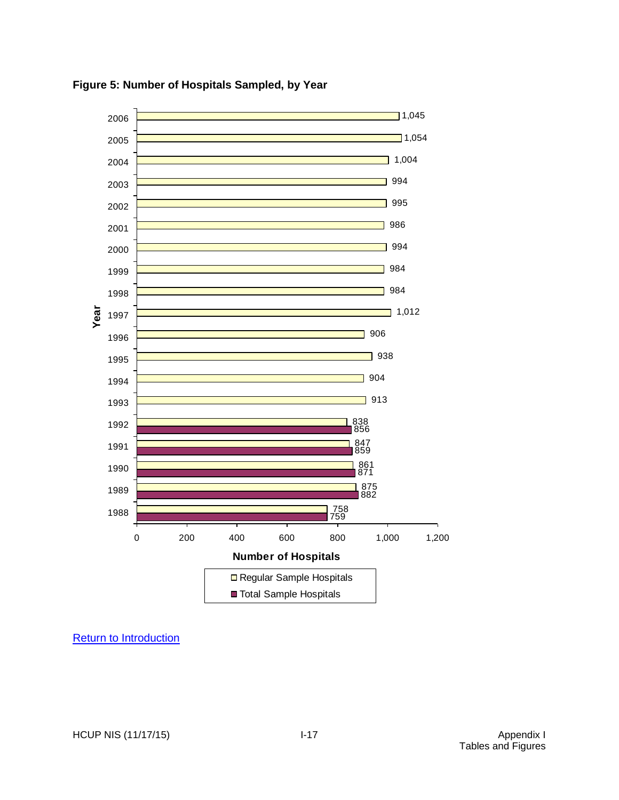

<span id="page-43-0"></span>**Figure 5: Number of Hospitals Sampled, by Year**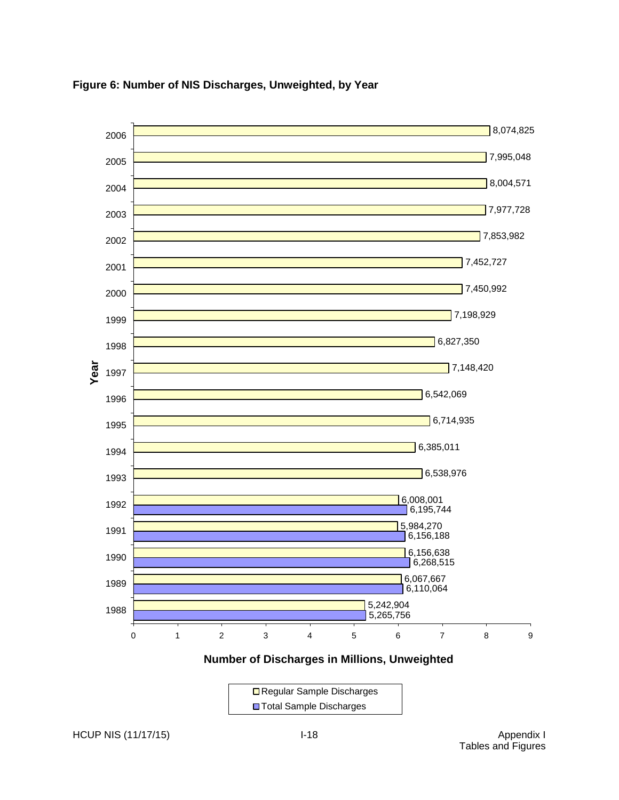

### <span id="page-44-0"></span>**Figure 6: Number of NIS Discharges, Unweighted, by Year**

**Number of Discharges in Millions, Unweighted**

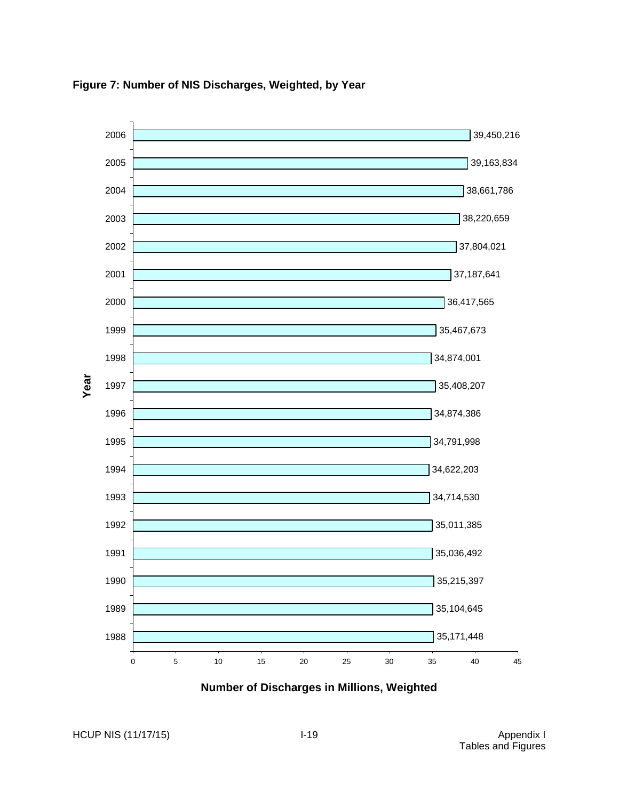

<span id="page-45-0"></span>**Figure 7: Number of NIS Discharges, Weighted, by Year**

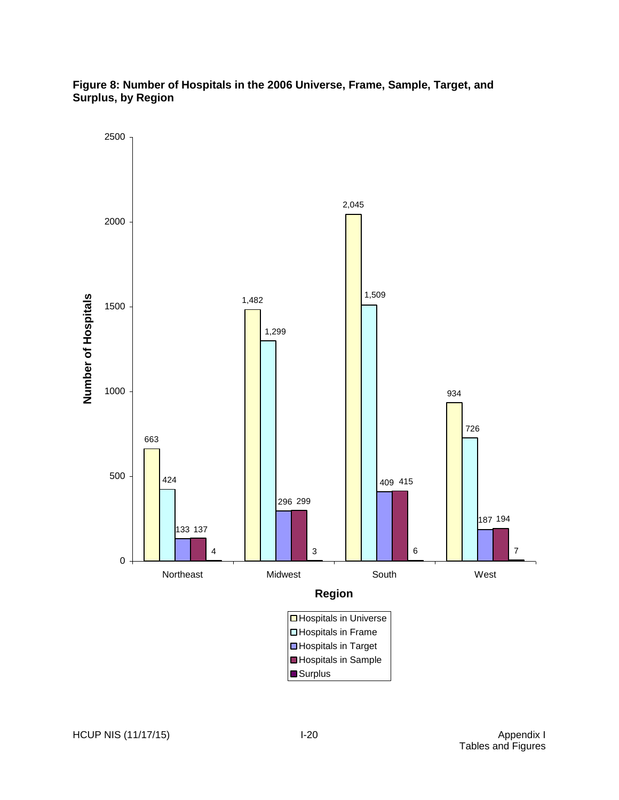## <span id="page-46-0"></span>**Figure 8: Number of Hospitals in the 2006 Universe, Frame, Sample, Target, and Surplus, by Region**

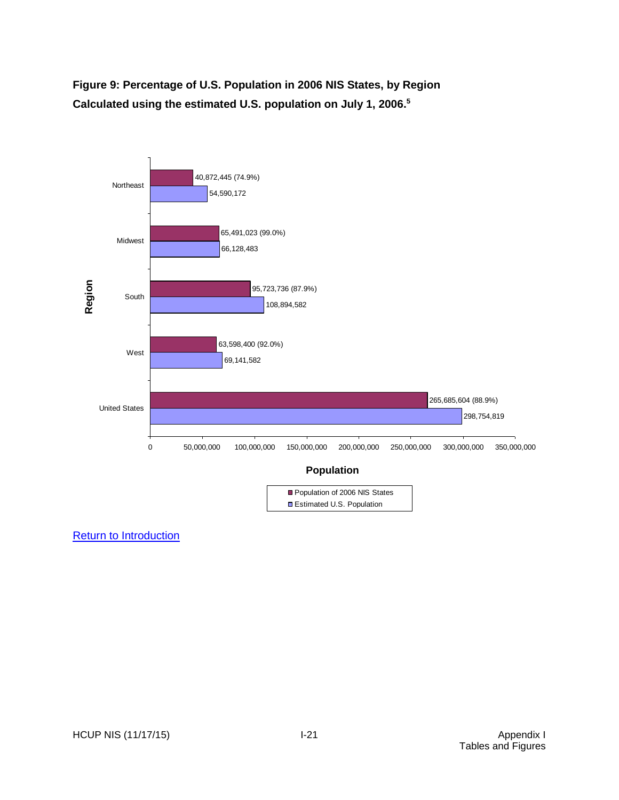<span id="page-47-0"></span>**Figure 9: Percentage of U.S. Population in 2006 NIS States, by Region Calculated using the estimated U.S. population on July 1, 2006. 5**

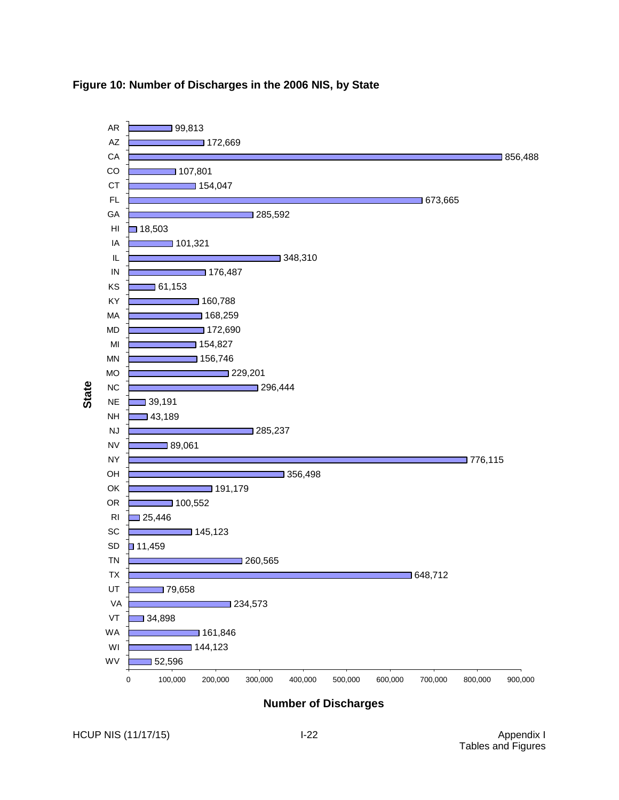

#### <span id="page-48-0"></span>**Figure 10: Number of Discharges in the 2006 NIS, by State**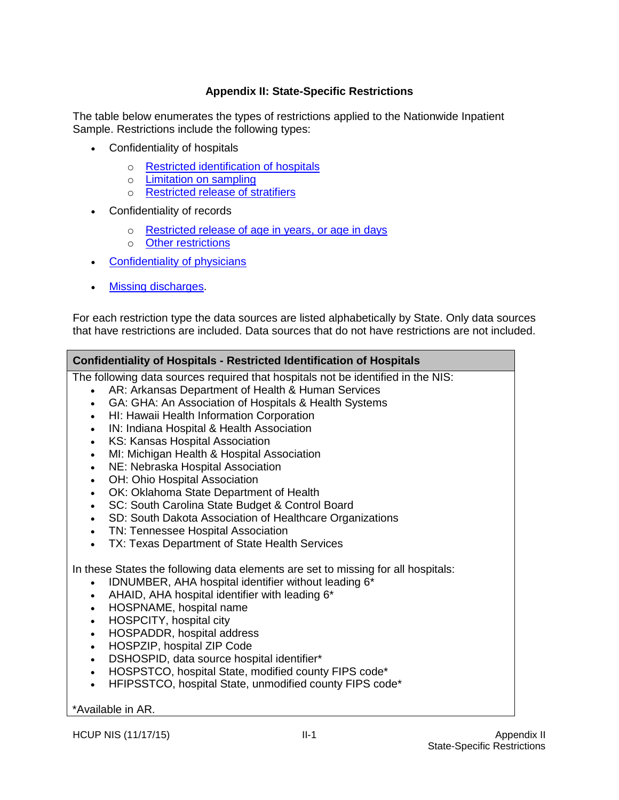## **Appendix II: State-Specific Restrictions**

<span id="page-49-0"></span>The table below enumerates the types of restrictions applied to the Nationwide Inpatient Sample. Restrictions include the following types:

- Confidentiality of hospitals
	- o [Restricted identification of hospitals](#page-49-1)
	- o [Limitation on sampling](#page-50-0)
	- o [Restricted release of stratifiers](#page-51-0)
- Confidentiality of records
	- o [Restricted release of age in years, or age in days](#page-51-1)
	- o [Other restrictions](#page-53-0)
- [Confidentiality of physicians](#page-53-1)
- [Missing discharges.](#page-53-2)

For each restriction type the data sources are listed alphabetically by State. Only data sources that have restrictions are included. Data sources that do not have restrictions are not included.

#### <span id="page-49-1"></span>**Confidentiality of Hospitals - Restricted Identification of Hospitals**

The following data sources required that hospitals not be identified in the NIS:

- AR: Arkansas Department of Health & Human Services
- GA: GHA: An Association of Hospitals & Health Systems
- HI: Hawaii Health Information Corporation
- IN: Indiana Hospital & Health Association
- KS: Kansas Hospital Association
- MI: Michigan Health & Hospital Association
- NE: Nebraska Hospital Association
- OH: Ohio Hospital Association
- OK: Oklahoma State Department of Health
- SC: South Carolina State Budget & Control Board
- SD: South Dakota Association of Healthcare Organizations
- TN: Tennessee Hospital Association
- TX: Texas Department of State Health Services

In these States the following data elements are set to missing for all hospitals:

- IDNUMBER, AHA hospital identifier without leading  $6*$
- $\bullet$  AHAID, AHA hospital identifier with leading  $6^*$
- HOSPNAME, hospital name
- HOSPCITY, hospital city
- HOSPADDR, hospital address
- HOSPZIP, hospital ZIP Code
- DSHOSPID, data source hospital identifier\*
- HOSPSTCO, hospital State, modified county FIPS code\*
- HFIPSSTCO, hospital State, unmodified county FIPS code\*

\*Available in AR.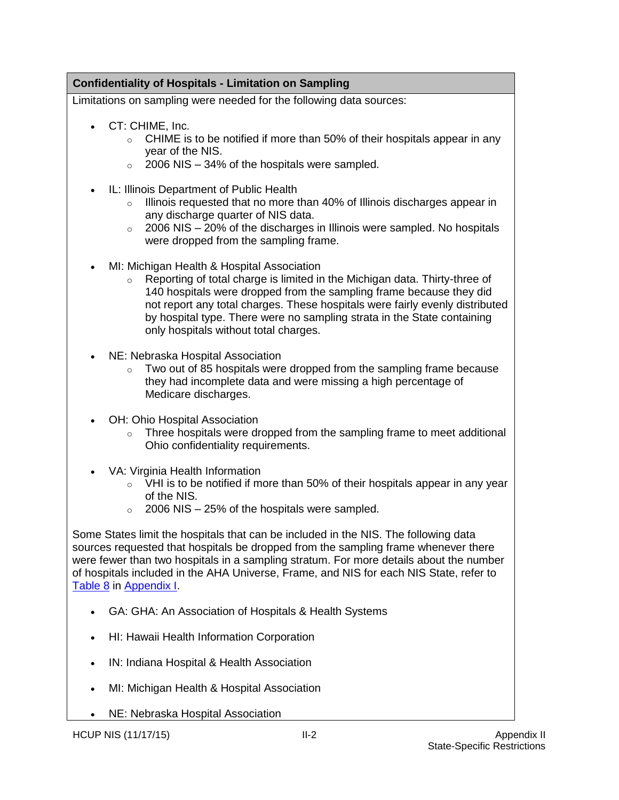# <span id="page-50-0"></span>**Confidentiality of Hospitals - Limitation on Sampling**

Limitations on sampling were needed for the following data sources:

- CT: CHIME, Inc.
	- o CHIME is to be notified if more than 50% of their hospitals appear in any year of the NIS.
	- $\circ$  2006 NIS 34% of the hospitals were sampled.
- IL: Illinois Department of Public Health
	- o Illinois requested that no more than 40% of Illinois discharges appear in any discharge quarter of NIS data.
	- o 2006 NIS 20% of the discharges in Illinois were sampled. No hospitals were dropped from the sampling frame.
- MI: Michigan Health & Hospital Association
	- o Reporting of total charge is limited in the Michigan data. Thirty-three of 140 hospitals were dropped from the sampling frame because they did not report any total charges. These hospitals were fairly evenly distributed by hospital type. There were no sampling strata in the State containing only hospitals without total charges.
- NE: Nebraska Hospital Association
	- $\circ$  Two out of 85 hospitals were dropped from the sampling frame because they had incomplete data and were missing a high percentage of Medicare discharges.
- OH: Ohio Hospital Association
	- o Three hospitals were dropped from the sampling frame to meet additional Ohio confidentiality requirements.
- VA: Virginia Health Information
	- o VHI is to be notified if more than 50% of their hospitals appear in any year of the NIS.
	- $\circ$  2006 NIS 25% of the hospitals were sampled.

Some States limit the hospitals that can be included in the NIS. The following data sources requested that hospitals be dropped from the sampling frame whenever there were fewer than two hospitals in a sampling stratum. For more details about the number of hospitals included in the AHA Universe, Frame, and NIS for each NIS State, refer to [Table 8](#page-41-0) in [Appendix I.](#page-27-0)

- GA: GHA: An Association of Hospitals & Health Systems
- HI: Hawaii Health Information Corporation
- IN: Indiana Hospital & Health Association
- MI: Michigan Health & Hospital Association
- NE: Nebraska Hospital Association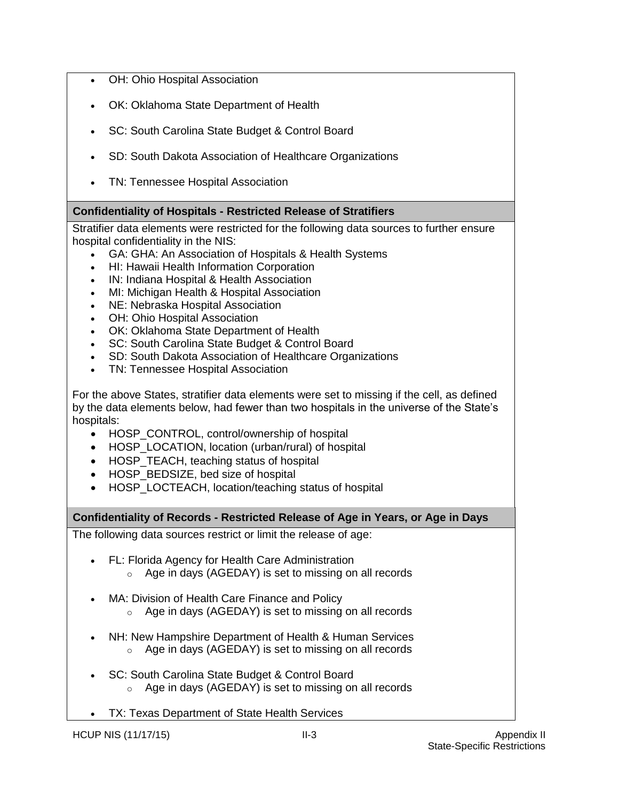- OH: Ohio Hospital Association
- OK: Oklahoma State Department of Health
- SC: South Carolina State Budget & Control Board
- SD: South Dakota Association of Healthcare Organizations
- TN: Tennessee Hospital Association

# <span id="page-51-0"></span>**Confidentiality of Hospitals - Restricted Release of Stratifiers**

Stratifier data elements were restricted for the following data sources to further ensure hospital confidentiality in the NIS:

- GA: GHA: An Association of Hospitals & Health Systems
- HI: Hawaii Health Information Corporation
- IN: Indiana Hospital & Health Association
- MI: Michigan Health & Hospital Association
- NE: Nebraska Hospital Association
- OH: Ohio Hospital Association
- OK: Oklahoma State Department of Health
- SC: South Carolina State Budget & Control Board
- SD: South Dakota Association of Healthcare Organizations
- TN: Tennessee Hospital Association

For the above States, stratifier data elements were set to missing if the cell, as defined by the data elements below, had fewer than two hospitals in the universe of the State's hospitals:

- HOSP\_CONTROL, control/ownership of hospital
- HOSP LOCATION, location (urban/rural) of hospital
- HOSP TEACH, teaching status of hospital
- HOSP BEDSIZE, bed size of hospital
- HOSP\_LOCTEACH, location/teaching status of hospital

<span id="page-51-1"></span>**Confidentiality of Records - Restricted Release of Age in Years, or Age in Days**

The following data sources restrict or limit the release of age:

- FL: Florida Agency for Health Care Administration
	- o Age in days (AGEDAY) is set to missing on all records
- MA: Division of Health Care Finance and Policy
	- o Age in days (AGEDAY) is set to missing on all records
- NH: New Hampshire Department of Health & Human Services o Age in days (AGEDAY) is set to missing on all records
- SC: South Carolina State Budget & Control Board o Age in days (AGEDAY) is set to missing on all records
- TX: Texas Department of State Health Services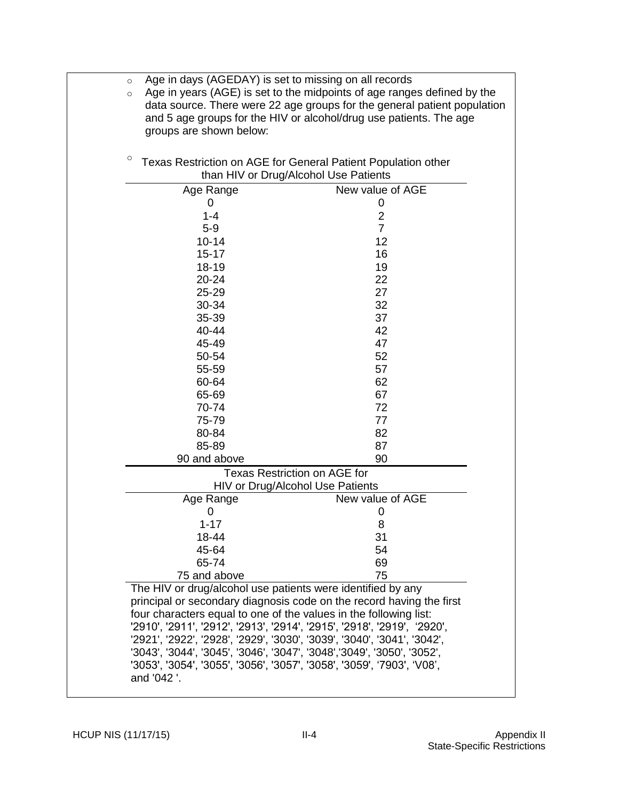| Age in days (AGEDAY) is set to missing on all records<br>Age in years (AGE) is set to the midpoints of age ranges defined by the<br>data source. There were 22 age groups for the general patient population<br>and 5 age groups for the HIV or alcohol/drug use patients. The age                                                                                        |
|---------------------------------------------------------------------------------------------------------------------------------------------------------------------------------------------------------------------------------------------------------------------------------------------------------------------------------------------------------------------------|
| Texas Restriction on AGE for General Patient Population other<br>than HIV or Drug/Alcohol Use Patients                                                                                                                                                                                                                                                                    |
| New value of AGE                                                                                                                                                                                                                                                                                                                                                          |
| 0                                                                                                                                                                                                                                                                                                                                                                         |
| $\overline{2}$                                                                                                                                                                                                                                                                                                                                                            |
| $\overline{7}$                                                                                                                                                                                                                                                                                                                                                            |
| 12                                                                                                                                                                                                                                                                                                                                                                        |
| 16                                                                                                                                                                                                                                                                                                                                                                        |
| 19                                                                                                                                                                                                                                                                                                                                                                        |
| 22                                                                                                                                                                                                                                                                                                                                                                        |
| 27                                                                                                                                                                                                                                                                                                                                                                        |
| 32                                                                                                                                                                                                                                                                                                                                                                        |
| 37                                                                                                                                                                                                                                                                                                                                                                        |
| 42                                                                                                                                                                                                                                                                                                                                                                        |
| 47                                                                                                                                                                                                                                                                                                                                                                        |
| 52                                                                                                                                                                                                                                                                                                                                                                        |
| 57                                                                                                                                                                                                                                                                                                                                                                        |
| 62                                                                                                                                                                                                                                                                                                                                                                        |
| 67                                                                                                                                                                                                                                                                                                                                                                        |
| 72                                                                                                                                                                                                                                                                                                                                                                        |
| 77                                                                                                                                                                                                                                                                                                                                                                        |
| 82                                                                                                                                                                                                                                                                                                                                                                        |
| 87                                                                                                                                                                                                                                                                                                                                                                        |
| 90                                                                                                                                                                                                                                                                                                                                                                        |
| <b>Texas Restriction on AGE for</b>                                                                                                                                                                                                                                                                                                                                       |
| HIV or Drug/Alcohol Use Patients                                                                                                                                                                                                                                                                                                                                          |
| New value of AGE                                                                                                                                                                                                                                                                                                                                                          |
| 0<br>8                                                                                                                                                                                                                                                                                                                                                                    |
| 31                                                                                                                                                                                                                                                                                                                                                                        |
| 54                                                                                                                                                                                                                                                                                                                                                                        |
| 69                                                                                                                                                                                                                                                                                                                                                                        |
| 75                                                                                                                                                                                                                                                                                                                                                                        |
| The HIV or drug/alcohol use patients were identified by any                                                                                                                                                                                                                                                                                                               |
| principal or secondary diagnosis code on the record having the first<br>four characters equal to one of the values in the following list:<br>'2910', '2911', '2912', '2913', '2914', '2915', '2918', '2919', '2920',<br>'2921', '2922', '2928', '2929', '3030', '3039', '3040', '3041', '3042',<br>'3043', '3044', '3045', '3046', '3047', '3048','3049', '3050', '3052', |
|                                                                                                                                                                                                                                                                                                                                                                           |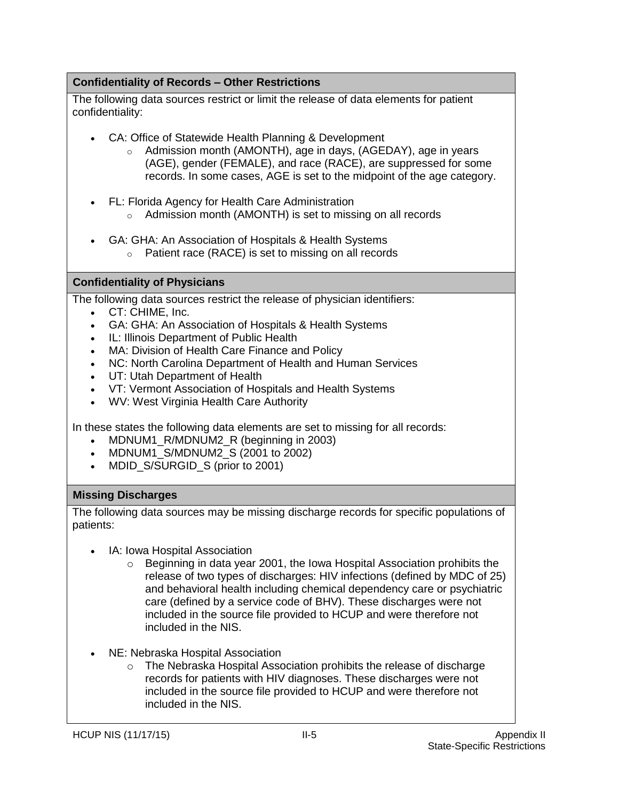# <span id="page-53-0"></span>**Confidentiality of Records – Other Restrictions**

The following data sources restrict or limit the release of data elements for patient confidentiality:

- CA: Office of Statewide Health Planning & Development
	- o Admission month (AMONTH), age in days, (AGEDAY), age in years (AGE), gender (FEMALE), and race (RACE), are suppressed for some records. In some cases, AGE is set to the midpoint of the age category.
- FL: Florida Agency for Health Care Administration
	- o Admission month (AMONTH) is set to missing on all records
- GA: GHA: An Association of Hospitals & Health Systems
	- o Patient race (RACE) is set to missing on all records

## <span id="page-53-1"></span>**Confidentiality of Physicians**

The following data sources restrict the release of physician identifiers:

- CT: CHIME, Inc.
- GA: GHA: An Association of Hospitals & Health Systems
- IL: Illinois Department of Public Health
- MA: Division of Health Care Finance and Policy
- NC: North Carolina Department of Health and Human Services
- UT: Utah Department of Health
- VT: Vermont Association of Hospitals and Health Systems
- WV: West Virginia Health Care Authority

In these states the following data elements are set to missing for all records:

- MDNUM1 R/MDNUM2 R (beginning in 2003)
- MDNUM1 S/MDNUM2 S (2001 to 2002)
- MDID S/SURGID S (prior to 2001)

## <span id="page-53-2"></span>**Missing Discharges**

The following data sources may be missing discharge records for specific populations of patients:

- IA: Iowa Hospital Association
	- o Beginning in data year 2001, the Iowa Hospital Association prohibits the release of two types of discharges: HIV infections (defined by MDC of 25) and behavioral health including chemical dependency care or psychiatric care (defined by a service code of BHV). These discharges were not included in the source file provided to HCUP and were therefore not included in the NIS.
- NE: Nebraska Hospital Association
	- o The Nebraska Hospital Association prohibits the release of discharge records for patients with HIV diagnoses. These discharges were not included in the source file provided to HCUP and were therefore not included in the NIS.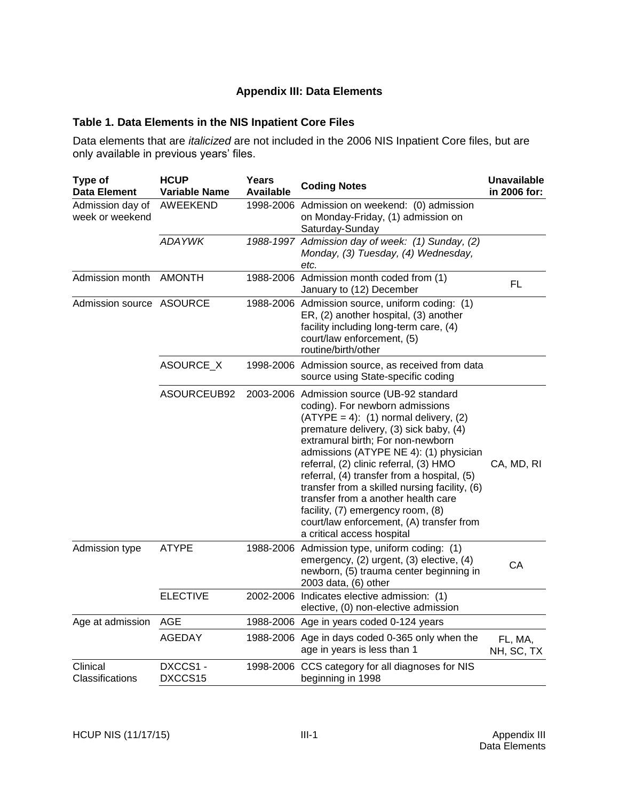## **Appendix III: Data Elements**

### <span id="page-54-1"></span><span id="page-54-0"></span>**Table 1. Data Elements in the NIS Inpatient Core Files**

Data elements that are *italicized* are not included in the 2006 NIS Inpatient Core files, but are only available in previous years' files.

| Type of<br><b>Data Element</b>      | <b>HCUP</b><br><b>Variable Name</b> | Years<br>Available | <b>Coding Notes</b>                                                                                                                                                                                                                                                                                                                                                                                                                                                                                                                                | <b>Unavailable</b><br>in 2006 for: |
|-------------------------------------|-------------------------------------|--------------------|----------------------------------------------------------------------------------------------------------------------------------------------------------------------------------------------------------------------------------------------------------------------------------------------------------------------------------------------------------------------------------------------------------------------------------------------------------------------------------------------------------------------------------------------------|------------------------------------|
| Admission day of<br>week or weekend | <b>AWEEKEND</b>                     |                    | 1998-2006 Admission on weekend: (0) admission<br>on Monday-Friday, (1) admission on<br>Saturday-Sunday                                                                                                                                                                                                                                                                                                                                                                                                                                             |                                    |
|                                     | <b>ADAYWK</b>                       |                    | 1988-1997 Admission day of week: (1) Sunday, (2)<br>Monday, (3) Tuesday, (4) Wednesday,<br>etc.                                                                                                                                                                                                                                                                                                                                                                                                                                                    |                                    |
| Admission month                     | <b>AMONTH</b>                       |                    | 1988-2006 Admission month coded from (1)<br>January to (12) December                                                                                                                                                                                                                                                                                                                                                                                                                                                                               | <b>FL</b>                          |
| Admission source ASOURCE            |                                     |                    | 1988-2006 Admission source, uniform coding: (1)<br>ER, (2) another hospital, (3) another<br>facility including long-term care, (4)<br>court/law enforcement, (5)<br>routine/birth/other                                                                                                                                                                                                                                                                                                                                                            |                                    |
|                                     | ASOURCE_X                           |                    | 1998-2006 Admission source, as received from data<br>source using State-specific coding                                                                                                                                                                                                                                                                                                                                                                                                                                                            |                                    |
|                                     | ASOURCEUB92                         |                    | 2003-2006 Admission source (UB-92 standard<br>coding). For newborn admissions<br>$(ATYPE = 4)$ : (1) normal delivery, (2)<br>premature delivery, (3) sick baby, (4)<br>extramural birth; For non-newborn<br>admissions (ATYPE NE 4): (1) physician<br>referral, (2) clinic referral, (3) HMO<br>referral, (4) transfer from a hospital, (5)<br>transfer from a skilled nursing facility, (6)<br>transfer from a another health care<br>facility, (7) emergency room, (8)<br>court/law enforcement, (A) transfer from<br>a critical access hospital | CA, MD, RI                         |
| Admission type                      | <b>ATYPE</b>                        |                    | 1988-2006 Admission type, uniform coding: (1)<br>emergency, (2) urgent, (3) elective, (4)<br>newborn, (5) trauma center beginning in<br>2003 data, (6) other                                                                                                                                                                                                                                                                                                                                                                                       | CA                                 |
|                                     | <b>ELECTIVE</b>                     |                    | 2002-2006 Indicates elective admission: (1)<br>elective, (0) non-elective admission                                                                                                                                                                                                                                                                                                                                                                                                                                                                |                                    |
| Age at admission                    | AGE                                 |                    | 1988-2006 Age in years coded 0-124 years                                                                                                                                                                                                                                                                                                                                                                                                                                                                                                           |                                    |
|                                     | <b>AGEDAY</b>                       |                    | 1988-2006 Age in days coded 0-365 only when the<br>age in years is less than 1                                                                                                                                                                                                                                                                                                                                                                                                                                                                     | FL, MA,<br>NH, SC, TX              |
| Clinical<br>Classifications         | DXCCS1-<br>DXCCS15                  |                    | 1998-2006 CCS category for all diagnoses for NIS<br>beginning in 1998                                                                                                                                                                                                                                                                                                                                                                                                                                                                              |                                    |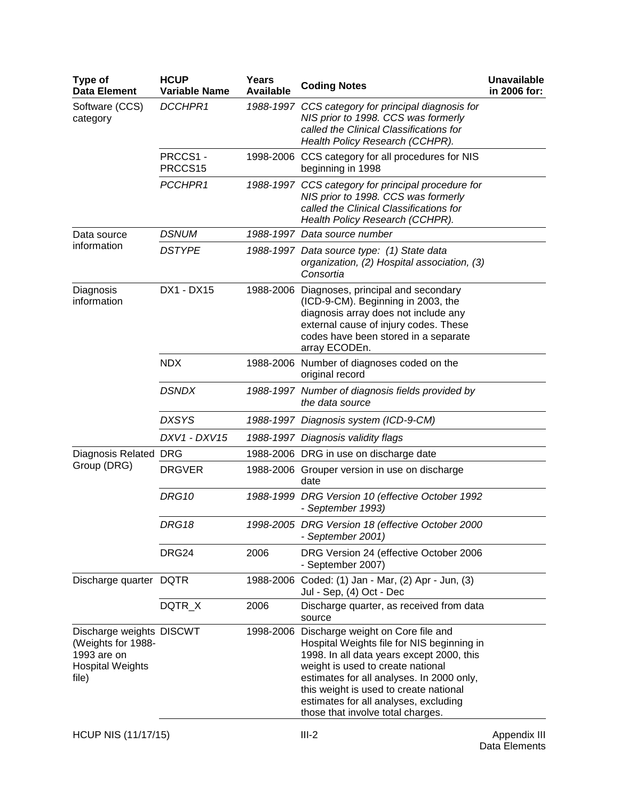| Type of<br><b>Data Element</b>                                                                    | <b>HCUP</b><br><b>Variable Name</b> | Years<br><b>Available</b> | <b>Coding Notes</b>                                                                                                                                                                                                                                                                                                                    | <b>Unavailable</b><br>in 2006 for: |
|---------------------------------------------------------------------------------------------------|-------------------------------------|---------------------------|----------------------------------------------------------------------------------------------------------------------------------------------------------------------------------------------------------------------------------------------------------------------------------------------------------------------------------------|------------------------------------|
| Software (CCS)<br>category                                                                        | DCCHPR1                             |                           | 1988-1997 CCS category for principal diagnosis for<br>NIS prior to 1998. CCS was formerly<br>called the Clinical Classifications for<br>Health Policy Research (CCHPR).                                                                                                                                                                |                                    |
|                                                                                                   | PRCCS1-<br>PRCCS15                  |                           | 1998-2006 CCS category for all procedures for NIS<br>beginning in 1998                                                                                                                                                                                                                                                                 |                                    |
|                                                                                                   | PCCHPR1                             |                           | 1988-1997 CCS category for principal procedure for<br>NIS prior to 1998. CCS was formerly<br>called the Clinical Classifications for<br>Health Policy Research (CCHPR).                                                                                                                                                                |                                    |
| Data source                                                                                       | <b>DSNUM</b>                        |                           | 1988-1997 Data source number                                                                                                                                                                                                                                                                                                           |                                    |
| information                                                                                       | <b>DSTYPE</b>                       |                           | 1988-1997 Data source type: (1) State data<br>organization, (2) Hospital association, (3)<br>Consortia                                                                                                                                                                                                                                 |                                    |
| Diagnosis<br>information                                                                          | DX1 - DX15                          |                           | 1988-2006 Diagnoses, principal and secondary<br>(ICD-9-CM). Beginning in 2003, the<br>diagnosis array does not include any<br>external cause of injury codes. These<br>codes have been stored in a separate<br>array ECODEn.                                                                                                           |                                    |
|                                                                                                   | <b>NDX</b>                          |                           | 1988-2006 Number of diagnoses coded on the<br>original record                                                                                                                                                                                                                                                                          |                                    |
|                                                                                                   | <b>DSNDX</b>                        |                           | 1988-1997 Number of diagnosis fields provided by<br>the data source                                                                                                                                                                                                                                                                    |                                    |
|                                                                                                   | <b>DXSYS</b>                        |                           | 1988-1997 Diagnosis system (ICD-9-CM)                                                                                                                                                                                                                                                                                                  |                                    |
|                                                                                                   | DXV1 - DXV15                        |                           | 1988-1997 Diagnosis validity flags                                                                                                                                                                                                                                                                                                     |                                    |
| Diagnosis Related                                                                                 | <b>DRG</b>                          |                           | 1988-2006 DRG in use on discharge date                                                                                                                                                                                                                                                                                                 |                                    |
| Group (DRG)                                                                                       | <b>DRGVER</b>                       |                           | 1988-2006 Grouper version in use on discharge<br>date                                                                                                                                                                                                                                                                                  |                                    |
|                                                                                                   | <b>DRG10</b>                        |                           | 1988-1999 DRG Version 10 (effective October 1992<br>- September 1993)                                                                                                                                                                                                                                                                  |                                    |
|                                                                                                   | DRG18                               |                           | 1998-2005 DRG Version 18 (effective October 2000<br>- September 2001)                                                                                                                                                                                                                                                                  |                                    |
|                                                                                                   | DRG24                               | 2006                      | DRG Version 24 (effective October 2006<br>- September 2007)                                                                                                                                                                                                                                                                            |                                    |
| Discharge quarter DQTR                                                                            |                                     | 1988-2006                 | Coded: (1) Jan - Mar, (2) Apr - Jun, (3)<br>Jul - Sep, (4) Oct - Dec                                                                                                                                                                                                                                                                   |                                    |
|                                                                                                   | DQTR_X                              | 2006                      | Discharge quarter, as received from data<br>source                                                                                                                                                                                                                                                                                     |                                    |
| Discharge weights DISCWT<br>(Weights for 1988-<br>1993 are on<br><b>Hospital Weights</b><br>file) |                                     | 1998-2006                 | Discharge weight on Core file and<br>Hospital Weights file for NIS beginning in<br>1998. In all data years except 2000, this<br>weight is used to create national<br>estimates for all analyses. In 2000 only,<br>this weight is used to create national<br>estimates for all analyses, excluding<br>those that involve total charges. |                                    |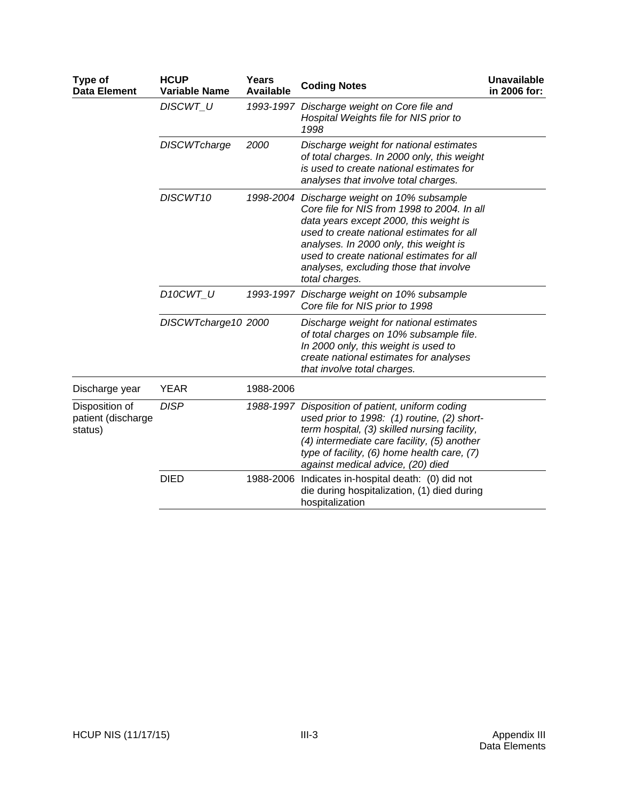| Type of<br><b>Data Element</b>                  | <b>HCUP</b><br><b>Variable Name</b> | <b>Years</b><br><b>Available</b> | <b>Coding Notes</b>                                                                                                                                                                                                                                                                                                                  | <b>Unavailable</b><br>in 2006 for: |
|-------------------------------------------------|-------------------------------------|----------------------------------|--------------------------------------------------------------------------------------------------------------------------------------------------------------------------------------------------------------------------------------------------------------------------------------------------------------------------------------|------------------------------------|
|                                                 | <b>DISCWT U</b>                     |                                  | 1993-1997 Discharge weight on Core file and<br>Hospital Weights file for NIS prior to<br>1998                                                                                                                                                                                                                                        |                                    |
|                                                 | <b>DISCWTcharge</b>                 | 2000                             | Discharge weight for national estimates<br>of total charges. In 2000 only, this weight<br>is used to create national estimates for<br>analyses that involve total charges.                                                                                                                                                           |                                    |
|                                                 | DISCWT10                            |                                  | 1998-2004 Discharge weight on 10% subsample<br>Core file for NIS from 1998 to 2004. In all<br>data years except 2000, this weight is<br>used to create national estimates for all<br>analyses. In 2000 only, this weight is<br>used to create national estimates for all<br>analyses, excluding those that involve<br>total charges. |                                    |
|                                                 | D10CWT U                            |                                  | 1993-1997 Discharge weight on 10% subsample<br>Core file for NIS prior to 1998                                                                                                                                                                                                                                                       |                                    |
|                                                 | DISCWTcharge10 2000                 |                                  | Discharge weight for national estimates<br>of total charges on 10% subsample file.<br>In 2000 only, this weight is used to<br>create national estimates for analyses<br>that involve total charges.                                                                                                                                  |                                    |
| Discharge year                                  | <b>YEAR</b>                         | 1988-2006                        |                                                                                                                                                                                                                                                                                                                                      |                                    |
| Disposition of<br>patient (discharge<br>status) | <b>DISP</b>                         |                                  | 1988-1997 Disposition of patient, uniform coding<br>used prior to 1998: (1) routine, (2) short-<br>term hospital, (3) skilled nursing facility,<br>(4) intermediate care facility, (5) another<br>type of facility, (6) home health care, (7)<br>against medical advice, (20) died                                                   |                                    |
|                                                 | <b>DIED</b>                         |                                  | 1988-2006 Indicates in-hospital death: (0) did not<br>die during hospitalization, (1) died during<br>hospitalization                                                                                                                                                                                                                 |                                    |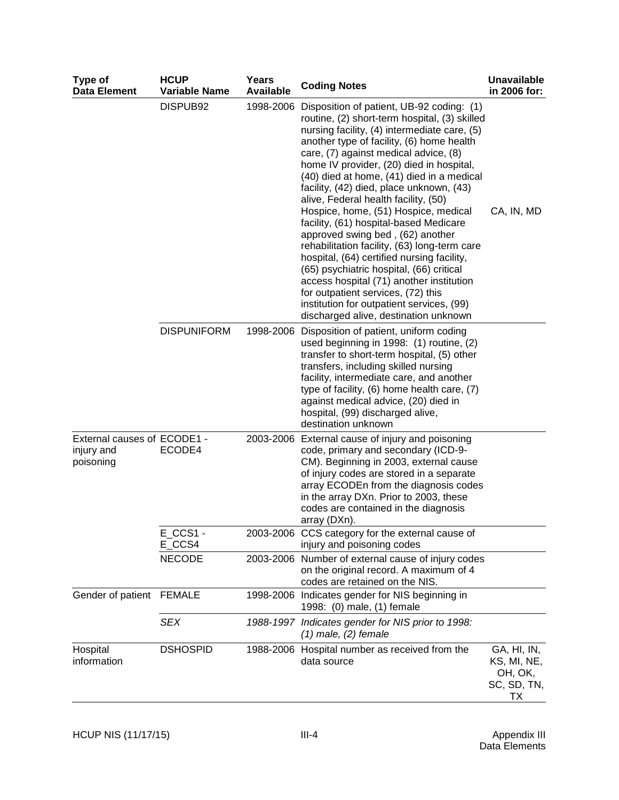| Type of<br><b>Data Element</b>                         | <b>HCUP</b><br><b>Variable Name</b> | Years<br><b>Available</b> | <b>Coding Notes</b>                                                                                                                                                                                                                                                                                                                                                                                                                                                                                                                                                                                                                                                                                                                                                                                                                                             | <b>Unavailable</b><br>in 2006 for:                         |
|--------------------------------------------------------|-------------------------------------|---------------------------|-----------------------------------------------------------------------------------------------------------------------------------------------------------------------------------------------------------------------------------------------------------------------------------------------------------------------------------------------------------------------------------------------------------------------------------------------------------------------------------------------------------------------------------------------------------------------------------------------------------------------------------------------------------------------------------------------------------------------------------------------------------------------------------------------------------------------------------------------------------------|------------------------------------------------------------|
|                                                        | DISPUB92                            |                           | 1998-2006 Disposition of patient, UB-92 coding: (1)<br>routine, (2) short-term hospital, (3) skilled<br>nursing facility, (4) intermediate care, (5)<br>another type of facility, (6) home health<br>care, (7) against medical advice, (8)<br>home IV provider, (20) died in hospital,<br>(40) died at home, (41) died in a medical<br>facility, (42) died, place unknown, (43)<br>alive, Federal health facility, (50)<br>Hospice, home, (51) Hospice, medical<br>facility, (61) hospital-based Medicare<br>approved swing bed, (62) another<br>rehabilitation facility, (63) long-term care<br>hospital, (64) certified nursing facility,<br>(65) psychiatric hospital, (66) critical<br>access hospital (71) another institution<br>for outpatient services, (72) this<br>institution for outpatient services, (99)<br>discharged alive, destination unknown | CA, IN, MD                                                 |
|                                                        | <b>DISPUNIFORM</b>                  |                           | 1998-2006 Disposition of patient, uniform coding<br>used beginning in 1998: (1) routine, (2)<br>transfer to short-term hospital, (5) other<br>transfers, including skilled nursing<br>facility, intermediate care, and another<br>type of facility, (6) home health care, (7)<br>against medical advice, (20) died in<br>hospital, (99) discharged alive,<br>destination unknown                                                                                                                                                                                                                                                                                                                                                                                                                                                                                |                                                            |
| External causes of ECODE1 -<br>injury and<br>poisoning | ECODE4                              |                           | 2003-2006 External cause of injury and poisoning<br>code, primary and secondary (ICD-9-<br>CM). Beginning in 2003, external cause<br>of injury codes are stored in a separate<br>array ECODEn from the diagnosis codes<br>in the array DXn. Prior to 2003, these<br>codes are contained in the diagnosis<br>array (DXn).                                                                                                                                                                                                                                                                                                                                                                                                                                                                                                                                        |                                                            |
|                                                        | $E_{CCS1}$ -<br>E_CCS4              |                           | 2003-2006 CCS category for the external cause of<br>injury and poisoning codes                                                                                                                                                                                                                                                                                                                                                                                                                                                                                                                                                                                                                                                                                                                                                                                  |                                                            |
|                                                        | <b>NECODE</b>                       |                           | 2003-2006 Number of external cause of injury codes<br>on the original record. A maximum of 4<br>codes are retained on the NIS.                                                                                                                                                                                                                                                                                                                                                                                                                                                                                                                                                                                                                                                                                                                                  |                                                            |
| Gender of patient FEMALE                               |                                     |                           | 1998-2006 Indicates gender for NIS beginning in<br>1998: (0) male, (1) female                                                                                                                                                                                                                                                                                                                                                                                                                                                                                                                                                                                                                                                                                                                                                                                   |                                                            |
|                                                        | <b>SEX</b>                          |                           | 1988-1997 Indicates gender for NIS prior to 1998:<br>$(1)$ male, $(2)$ female                                                                                                                                                                                                                                                                                                                                                                                                                                                                                                                                                                                                                                                                                                                                                                                   |                                                            |
| Hospital<br>information                                | <b>DSHOSPID</b>                     |                           | 1988-2006 Hospital number as received from the<br>data source                                                                                                                                                                                                                                                                                                                                                                                                                                                                                                                                                                                                                                                                                                                                                                                                   | GA, HI, IN,<br>KS, MI, NE,<br>OH, OK,<br>SC, SD, TN,<br>TХ |

Appendix III<br>Data Elements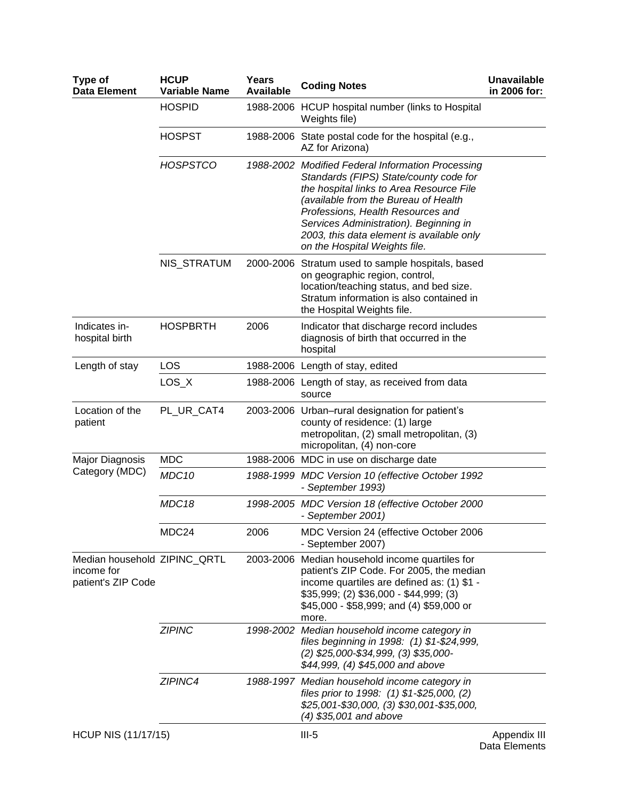| Type of<br><b>Data Element</b>                                   | <b>HCUP</b><br><b>Variable Name</b> | Years<br><b>Available</b> | <b>Coding Notes</b>                                                                                                                                                                                                                                                                                                                          | <b>Unavailable</b><br>in 2006 for: |
|------------------------------------------------------------------|-------------------------------------|---------------------------|----------------------------------------------------------------------------------------------------------------------------------------------------------------------------------------------------------------------------------------------------------------------------------------------------------------------------------------------|------------------------------------|
|                                                                  | <b>HOSPID</b>                       |                           | 1988-2006 HCUP hospital number (links to Hospital<br>Weights file)                                                                                                                                                                                                                                                                           |                                    |
|                                                                  | <b>HOSPST</b>                       |                           | 1988-2006 State postal code for the hospital (e.g.,<br>AZ for Arizona)                                                                                                                                                                                                                                                                       |                                    |
|                                                                  | <b>HOSPSTCO</b>                     |                           | 1988-2002 Modified Federal Information Processing<br>Standards (FIPS) State/county code for<br>the hospital links to Area Resource File<br>(available from the Bureau of Health<br>Professions, Health Resources and<br>Services Administration). Beginning in<br>2003, this data element is available only<br>on the Hospital Weights file. |                                    |
|                                                                  | NIS_STRATUM                         |                           | 2000-2006 Stratum used to sample hospitals, based<br>on geographic region, control,<br>location/teaching status, and bed size.<br>Stratum information is also contained in<br>the Hospital Weights file.                                                                                                                                     |                                    |
| Indicates in-<br>hospital birth                                  | <b>HOSPBRTH</b>                     | 2006                      | Indicator that discharge record includes<br>diagnosis of birth that occurred in the<br>hospital                                                                                                                                                                                                                                              |                                    |
| Length of stay                                                   | LOS                                 |                           | 1988-2006 Length of stay, edited                                                                                                                                                                                                                                                                                                             |                                    |
|                                                                  | $LOS_X$                             |                           | 1988-2006 Length of stay, as received from data<br>source                                                                                                                                                                                                                                                                                    |                                    |
| Location of the<br>patient                                       | PL_UR_CAT4                          |                           | 2003-2006 Urban-rural designation for patient's<br>county of residence: (1) large<br>metropolitan, (2) small metropolitan, (3)<br>micropolitan, (4) non-core                                                                                                                                                                                 |                                    |
| Major Diagnosis                                                  | <b>MDC</b>                          |                           | 1988-2006 MDC in use on discharge date                                                                                                                                                                                                                                                                                                       |                                    |
| Category (MDC)                                                   | MDC10                               |                           | 1988-1999 MDC Version 10 (effective October 1992<br>- September 1993)                                                                                                                                                                                                                                                                        |                                    |
|                                                                  | MDC18                               |                           | 1998-2005 MDC Version 18 (effective October 2000<br>- September 2001)                                                                                                                                                                                                                                                                        |                                    |
|                                                                  | MDC <sub>24</sub>                   | 2006                      | MDC Version 24 (effective October 2006<br>- September 2007)                                                                                                                                                                                                                                                                                  |                                    |
| Median household ZIPINC_QRTL<br>income for<br>patient's ZIP Code |                                     | 2003-2006                 | Median household income quartiles for<br>patient's ZIP Code. For 2005, the median<br>income quartiles are defined as: (1) \$1 -<br>$$35,999; (2) $36,000 - $44,999; (3)$<br>\$45,000 - \$58,999; and (4) \$59,000 or<br>more.                                                                                                                |                                    |
|                                                                  | <b>ZIPINC</b>                       |                           | 1998-2002 Median household income category in<br>files beginning in 1998: (1) \$1-\$24,999,<br>(2) \$25,000-\$34,999, (3) \$35,000-<br>\$44,999, (4) \$45,000 and above                                                                                                                                                                      |                                    |
|                                                                  | ZIPINC4                             |                           | 1988-1997 Median household income category in<br>files prior to 1998: (1) \$1-\$25,000, (2)<br>\$25,001-\$30,000, (3) \$30,001-\$35,000,<br>(4) \$35,001 and above                                                                                                                                                                           |                                    |
| <b>HCUP NIS (11/17/15)</b>                                       |                                     |                           | $III-5$                                                                                                                                                                                                                                                                                                                                      | Appendix III<br>Dota Elamanto      |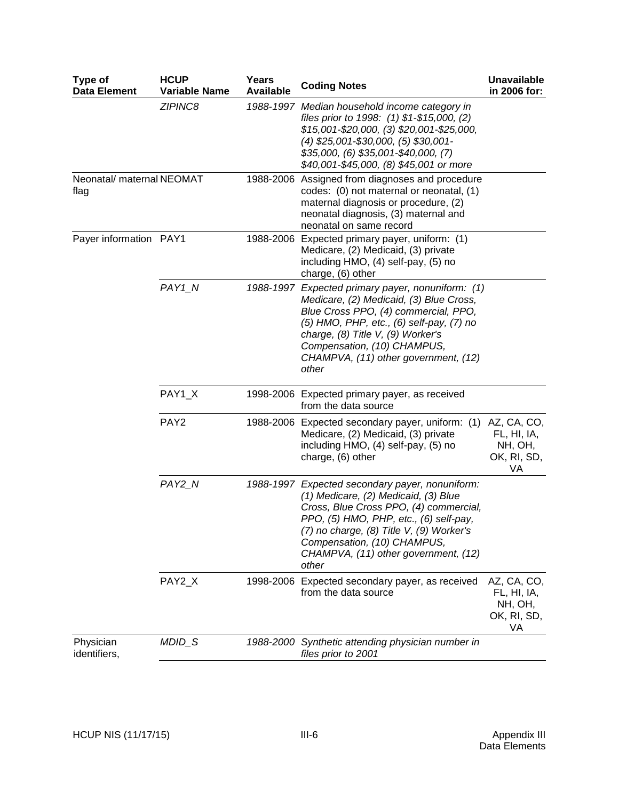| Type of<br><b>Data Element</b>    | <b>HCUP</b><br><b>Variable Name</b> | Years<br><b>Available</b> | <b>Coding Notes</b>                                                                                                                                                                                                                                                                                     | <b>Unavailable</b><br>in 2006 for:                         |
|-----------------------------------|-------------------------------------|---------------------------|---------------------------------------------------------------------------------------------------------------------------------------------------------------------------------------------------------------------------------------------------------------------------------------------------------|------------------------------------------------------------|
|                                   | ZIPINC8                             |                           | 1988-1997 Median household income category in<br>files prior to 1998: (1) \$1-\$15,000, (2)<br>\$15,001-\$20,000, (3) \$20,001-\$25,000,<br>$(4)$ \$25,001-\$30,000, $(5)$ \$30,001-<br>\$35,000, (6) \$35,001-\$40,000, (7)<br>\$40,001-\$45,000, (8) \$45,001 or more                                 |                                                            |
| Neonatal/ maternal NEOMAT<br>flag |                                     |                           | 1988-2006 Assigned from diagnoses and procedure<br>codes: (0) not maternal or neonatal, (1)<br>maternal diagnosis or procedure, (2)<br>neonatal diagnosis, (3) maternal and<br>neonatal on same record                                                                                                  |                                                            |
| Payer information PAY1            |                                     |                           | 1988-2006 Expected primary payer, uniform: (1)<br>Medicare, (2) Medicaid, (3) private<br>including HMO, (4) self-pay, (5) no<br>charge, (6) other                                                                                                                                                       |                                                            |
|                                   | PAY1 N                              |                           | 1988-1997 Expected primary payer, nonuniform: (1)<br>Medicare, (2) Medicaid, (3) Blue Cross,<br>Blue Cross PPO, (4) commercial, PPO,<br>(5) HMO, PHP, etc., (6) self-pay, (7) no<br>charge, (8) Title V, (9) Worker's<br>Compensation, (10) CHAMPUS,<br>CHAMPVA, (11) other government, (12)<br>other   |                                                            |
|                                   | PAY1_X                              |                           | 1998-2006 Expected primary payer, as received<br>from the data source                                                                                                                                                                                                                                   |                                                            |
|                                   | PAY <sub>2</sub>                    |                           | 1988-2006 Expected secondary payer, uniform: (1) AZ, CA, CO,<br>Medicare, (2) Medicaid, (3) private<br>including HMO, (4) self-pay, (5) no<br>charge, (6) other                                                                                                                                         | FL, HI, IA,<br>NH, OH,<br>OK, RI, SD,<br>VA                |
|                                   | PAY2_N                              |                           | 1988-1997 Expected secondary payer, nonuniform:<br>(1) Medicare, (2) Medicaid, (3) Blue<br>Cross, Blue Cross PPO, (4) commercial,<br>PPO, (5) HMO, PHP, etc., (6) self-pay,<br>(7) no charge, (8) Title V, (9) Worker's<br>Compensation, (10) CHAMPUS,<br>CHAMPVA, (11) other government, (12)<br>other |                                                            |
|                                   | PAY2_X                              |                           | 1998-2006 Expected secondary payer, as received<br>from the data source                                                                                                                                                                                                                                 | AZ, CA, CO,<br>FL, HI, IA,<br>NH, OH,<br>OK, RI, SD,<br>VA |
| Physician<br>identifiers,         | MDID_S                              | 1988-2000                 | Synthetic attending physician number in<br>files prior to 2001                                                                                                                                                                                                                                          |                                                            |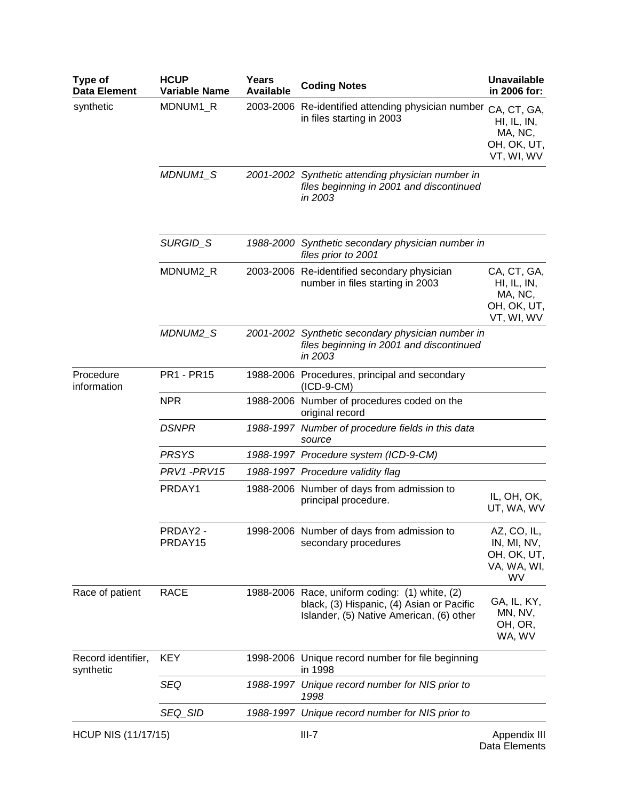| Type of<br><b>Data Element</b>  | <b>HCUP</b><br><b>Variable Name</b> | Years<br><b>Available</b> | <b>Coding Notes</b>                                                                                                                     | <b>Unavailable</b><br>in 2006 for:                                 |
|---------------------------------|-------------------------------------|---------------------------|-----------------------------------------------------------------------------------------------------------------------------------------|--------------------------------------------------------------------|
| synthetic                       | MDNUM1_R                            |                           | 2003-2006 Re-identified attending physician number<br>in files starting in 2003                                                         | CA, CT, GA,<br>HI, IL, IN,<br>MA, NC,<br>OH, OK, UT,<br>VT, WI, WV |
| Procedure                       | MDNUM1_S                            |                           | 2001-2002 Synthetic attending physician number in<br>files beginning in 2001 and discontinued<br>in 2003                                |                                                                    |
|                                 | SURGID_S                            |                           | 1988-2000 Synthetic secondary physician number in<br>files prior to 2001                                                                |                                                                    |
|                                 | MDNUM2_R                            |                           | 2003-2006 Re-identified secondary physician<br>number in files starting in 2003                                                         | CA, CT, GA,<br>HI, IL, IN,<br>MA, NC,<br>OH, OK, UT,<br>VT, WI, WV |
|                                 | MDNUM2_S                            |                           | 2001-2002 Synthetic secondary physician number in<br>files beginning in 2001 and discontinued<br>in 2003                                |                                                                    |
| information                     | <b>PR1 - PR15</b>                   |                           | 1988-2006 Procedures, principal and secondary<br>$(ICD-9-CM)$                                                                           |                                                                    |
|                                 | <b>NPR</b>                          |                           | 1988-2006 Number of procedures coded on the<br>original record                                                                          |                                                                    |
|                                 | <b>DSNPR</b>                        |                           | 1988-1997 Number of procedure fields in this data<br>source                                                                             |                                                                    |
|                                 | <b>PRSYS</b>                        |                           | 1988-1997 Procedure system (ICD-9-CM)                                                                                                   |                                                                    |
|                                 | PRV1-PRV15                          |                           | 1988-1997 Procedure validity flag                                                                                                       |                                                                    |
|                                 | PRDAY1                              |                           | 1988-2006 Number of days from admission to<br>principal procedure.                                                                      | IL, OH, OK,<br>UT, WA, WV                                          |
|                                 | PRDAY2 -<br>PRDAY15                 |                           | 1998-2006 Number of days from admission to<br>secondary procedures                                                                      | AZ, CO, IL,<br>IN, MI, NV,<br>OH, OK, UT,<br>VA, WA, WI,<br>WV     |
| Race of patient                 | <b>RACE</b>                         |                           | 1988-2006 Race, uniform coding: (1) white, (2)<br>black, (3) Hispanic, (4) Asian or Pacific<br>Islander, (5) Native American, (6) other | GA, IL, KY,<br>MN, NV,<br>OH, OR,<br>WA, WV                        |
| Record identifier,<br>synthetic | <b>KEY</b>                          |                           | 1998-2006 Unique record number for file beginning<br>in 1998                                                                            |                                                                    |
|                                 | SEQ                                 |                           | 1988-1997 Unique record number for NIS prior to<br>1998                                                                                 |                                                                    |
|                                 | SEQ_SID                             |                           | 1988-1997 Unique record number for NIS prior to                                                                                         |                                                                    |
| <b>HCUP NIS (11/17/15)</b>      |                                     |                           | $III-7$                                                                                                                                 | Appendix III                                                       |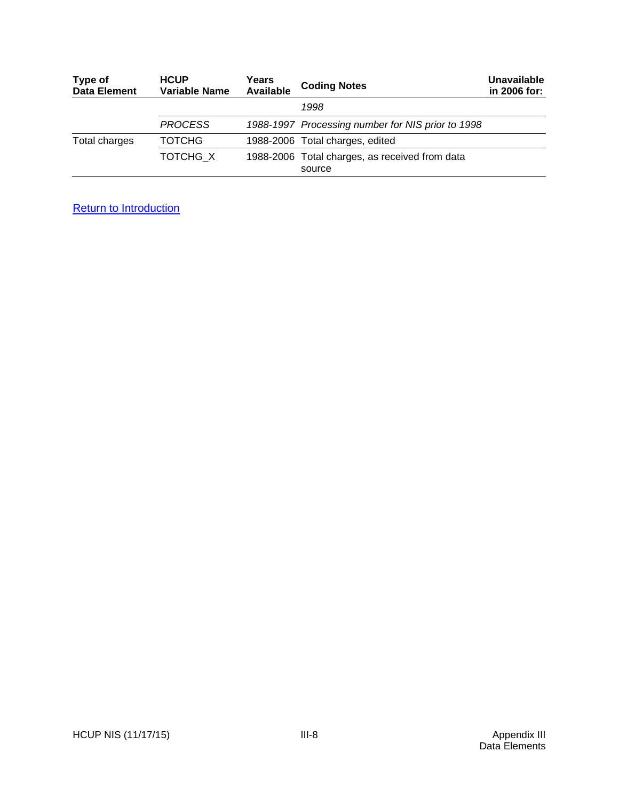| Type of<br><b>Data Element</b> | <b>HCUP</b><br><b>Variable Name</b> | Years<br><b>Available</b> | <b>Coding Notes</b>                                      | Unavailable<br>in 2006 for: |
|--------------------------------|-------------------------------------|---------------------------|----------------------------------------------------------|-----------------------------|
|                                |                                     |                           | 1998                                                     |                             |
|                                | <b>PROCESS</b>                      |                           | 1988-1997 Processing number for NIS prior to 1998        |                             |
| Total charges                  | ТОТСНС                              |                           | 1988-2006 Total charges, edited                          |                             |
|                                | TOTCHG X                            |                           | 1988-2006 Total charges, as received from data<br>source |                             |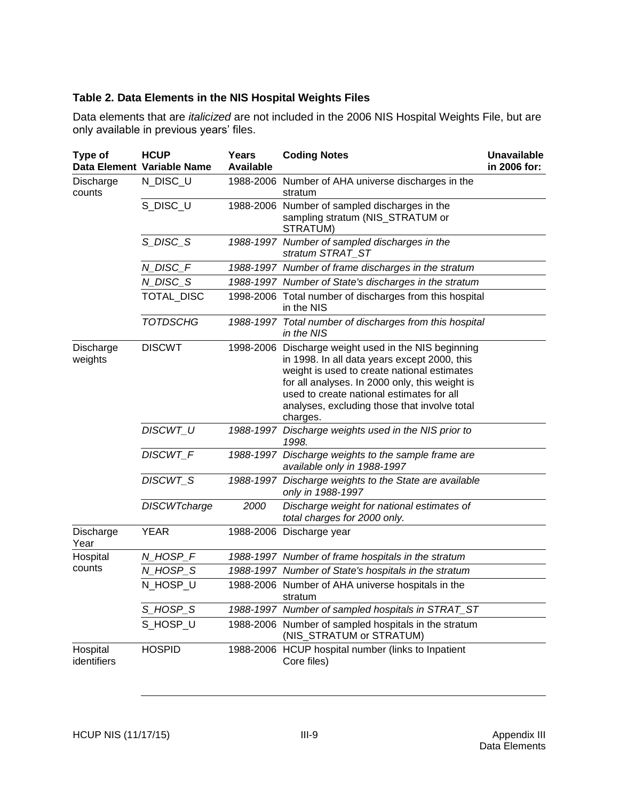## <span id="page-62-0"></span>**Table 2. Data Elements in the NIS Hospital Weights Files**

Data elements that are *italicized* are not included in the 2006 NIS Hospital Weights File, but are only available in previous years' files.

| Type of                 | <b>HCUP</b><br>Data Element Variable Name | Years<br><b>Available</b> | <b>Coding Notes</b>                                                                                                                                                                                                                                                                                            | <b>Unavailable</b><br>in 2006 for: |
|-------------------------|-------------------------------------------|---------------------------|----------------------------------------------------------------------------------------------------------------------------------------------------------------------------------------------------------------------------------------------------------------------------------------------------------------|------------------------------------|
| Discharge<br>counts     | N_DISC_U                                  |                           | 1988-2006 Number of AHA universe discharges in the<br>stratum                                                                                                                                                                                                                                                  |                                    |
|                         | S_DISC_U                                  |                           | 1988-2006 Number of sampled discharges in the<br>sampling stratum (NIS_STRATUM or<br>STRATUM)                                                                                                                                                                                                                  |                                    |
|                         | S_DISC_S                                  |                           | 1988-1997 Number of sampled discharges in the<br>stratum STRAT_ST                                                                                                                                                                                                                                              |                                    |
|                         | N_DISC_F                                  |                           | 1988-1997 Number of frame discharges in the stratum                                                                                                                                                                                                                                                            |                                    |
|                         | N_DISC_S                                  |                           | 1988-1997 Number of State's discharges in the stratum                                                                                                                                                                                                                                                          |                                    |
|                         | TOTAL_DISC                                |                           | 1998-2006 Total number of discharges from this hospital<br>in the NIS                                                                                                                                                                                                                                          |                                    |
|                         | <b>TOTDSCHG</b>                           |                           | 1988-1997 Total number of discharges from this hospital<br>in the NIS                                                                                                                                                                                                                                          |                                    |
| Discharge<br>weights    | <b>DISCWT</b>                             |                           | 1998-2006 Discharge weight used in the NIS beginning<br>in 1998. In all data years except 2000, this<br>weight is used to create national estimates<br>for all analyses. In 2000 only, this weight is<br>used to create national estimates for all<br>analyses, excluding those that involve total<br>charges. |                                    |
|                         | <b>DISCWT U</b>                           |                           | 1988-1997 Discharge weights used in the NIS prior to<br>1998.                                                                                                                                                                                                                                                  |                                    |
|                         | DISCWT_F                                  |                           | 1988-1997 Discharge weights to the sample frame are<br>available only in 1988-1997                                                                                                                                                                                                                             |                                    |
|                         | DISCWT_S                                  |                           | 1988-1997 Discharge weights to the State are available<br>only in 1988-1997                                                                                                                                                                                                                                    |                                    |
|                         | <b>DISCWTcharge</b>                       | 2000                      | Discharge weight for national estimates of<br>total charges for 2000 only.                                                                                                                                                                                                                                     |                                    |
| Discharge<br>Year       | <b>YEAR</b>                               |                           | 1988-2006 Discharge year                                                                                                                                                                                                                                                                                       |                                    |
| Hospital                | N_HOSP_F                                  |                           | 1988-1997 Number of frame hospitals in the stratum                                                                                                                                                                                                                                                             |                                    |
| counts                  | N_HOSP_S                                  |                           | 1988-1997 Number of State's hospitals in the stratum                                                                                                                                                                                                                                                           |                                    |
|                         | N_HOSP_U                                  |                           | 1988-2006 Number of AHA universe hospitals in the<br>stratum                                                                                                                                                                                                                                                   |                                    |
|                         | S_HOSP_S                                  |                           | 1988-1997 Number of sampled hospitals in STRAT_ST                                                                                                                                                                                                                                                              |                                    |
|                         | S_HOSP_U                                  |                           | 1988-2006 Number of sampled hospitals in the stratum<br>(NIS_STRATUM or STRATUM)                                                                                                                                                                                                                               |                                    |
| Hospital<br>identifiers | <b>HOSPID</b>                             |                           | 1988-2006 HCUP hospital number (links to Inpatient<br>Core files)                                                                                                                                                                                                                                              |                                    |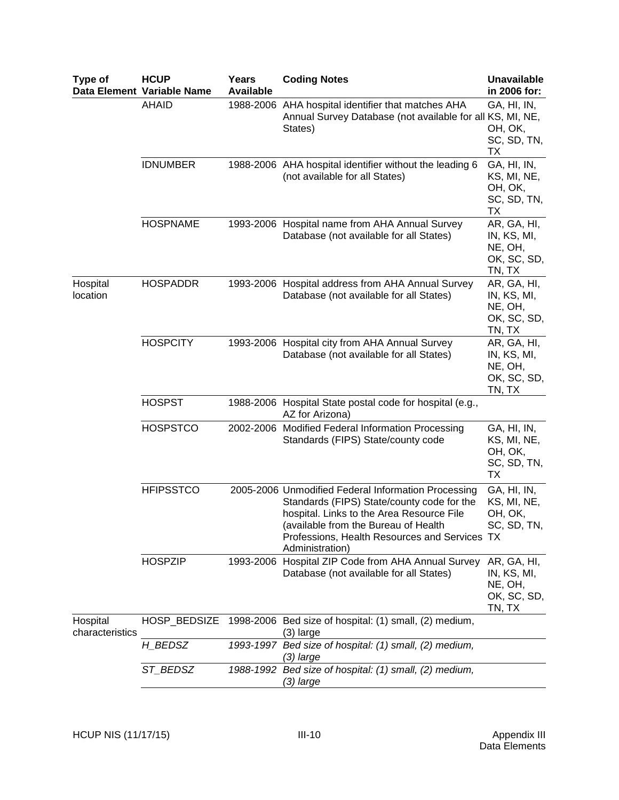| Type of                     | <b>HCUP</b><br>Data Element Variable Name | <b>Years</b><br><b>Available</b> | <b>Coding Notes</b>                                                                                                                                                                                                                                        | <b>Unavailable</b><br>in 2006 for:                             |
|-----------------------------|-------------------------------------------|----------------------------------|------------------------------------------------------------------------------------------------------------------------------------------------------------------------------------------------------------------------------------------------------------|----------------------------------------------------------------|
|                             | <b>AHAID</b>                              |                                  | 1988-2006 AHA hospital identifier that matches AHA<br>Annual Survey Database (not available for all KS, MI, NE,<br>States)                                                                                                                                 | GA, HI, IN,<br>OH, OK,<br>SC, SD, TN,<br>ТX                    |
|                             | <b>IDNUMBER</b>                           |                                  | 1988-2006 AHA hospital identifier without the leading 6<br>(not available for all States)                                                                                                                                                                  | GA, HI, IN,<br>KS, MI, NE,<br>OH, OK,<br>SC, SD, TN,<br>ТX     |
|                             | <b>HOSPNAME</b>                           |                                  | 1993-2006 Hospital name from AHA Annual Survey<br>Database (not available for all States)                                                                                                                                                                  | AR, GA, HI,<br>IN, KS, MI,<br>NE, OH,<br>OK, SC, SD,<br>TN, TX |
| Hospital<br>location        | <b>HOSPADDR</b>                           |                                  | 1993-2006 Hospital address from AHA Annual Survey<br>Database (not available for all States)                                                                                                                                                               | AR, GA, HI,<br>IN, KS, MI,<br>NE, OH,<br>OK, SC, SD,<br>TN, TX |
|                             | <b>HOSPCITY</b>                           |                                  | 1993-2006 Hospital city from AHA Annual Survey<br>Database (not available for all States)                                                                                                                                                                  | AR, GA, HI,<br>IN, KS, MI,<br>NE, OH,<br>OK, SC, SD,<br>TN, TX |
|                             | <b>HOSPST</b>                             |                                  | 1988-2006 Hospital State postal code for hospital (e.g.,<br>AZ for Arizona)                                                                                                                                                                                |                                                                |
|                             | <b>HOSPSTCO</b>                           |                                  | 2002-2006 Modified Federal Information Processing<br>Standards (FIPS) State/county code                                                                                                                                                                    | GA, HI, IN,<br>KS, MI, NE,<br>OH, OK,<br>SC, SD, TN,<br>TX     |
|                             | <b>HFIPSSTCO</b>                          |                                  | 2005-2006 Unmodified Federal Information Processing<br>Standards (FIPS) State/county code for the<br>hospital. Links to the Area Resource File<br>(available from the Bureau of Health<br>Professions, Health Resources and Services TX<br>Administration) | GA, HI, IN,<br>KS, MI, NE,<br>OH, OK,<br>SC, SD, TN,           |
|                             | <b>HOSPZIP</b>                            |                                  | 1993-2006 Hospital ZIP Code from AHA Annual Survey<br>Database (not available for all States)                                                                                                                                                              | AR, GA, HI,<br>IN, KS, MI,<br>NE, OH,<br>OK, SC, SD,<br>TN, TX |
| Hospital<br>characteristics | HOSP_BEDSIZE                              |                                  | 1998-2006 Bed size of hospital: (1) small, (2) medium,<br>$(3)$ large                                                                                                                                                                                      |                                                                |
|                             | H_BEDSZ                                   |                                  | 1993-1997 Bed size of hospital: (1) small, (2) medium,<br>(3) large                                                                                                                                                                                        |                                                                |
|                             | ST_BEDSZ                                  |                                  | 1988-1992 Bed size of hospital: (1) small, (2) medium,<br>(3) large                                                                                                                                                                                        |                                                                |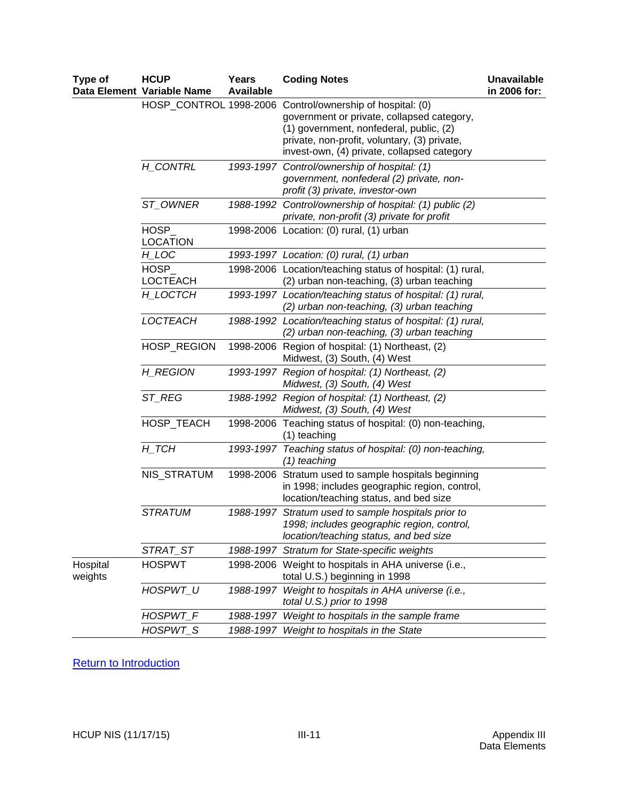| Type of             | <b>HCUP</b><br>Data Element Variable Name | <b>Years</b><br><b>Available</b> | <b>Coding Notes</b>                                                                                                                                                                                                        | <b>Unavailable</b><br>in 2006 for: |
|---------------------|-------------------------------------------|----------------------------------|----------------------------------------------------------------------------------------------------------------------------------------------------------------------------------------------------------------------------|------------------------------------|
|                     | HOSP_CONTROL 1998-2006                    |                                  | Control/ownership of hospital: (0)<br>government or private, collapsed category,<br>(1) government, nonfederal, public, (2)<br>private, non-profit, voluntary, (3) private,<br>invest-own, (4) private, collapsed category |                                    |
|                     | H_CONTRL                                  |                                  | 1993-1997 Control/ownership of hospital: (1)<br>government, nonfederal (2) private, non-<br>profit (3) private, investor-own                                                                                               |                                    |
|                     | ST_OWNER                                  |                                  | 1988-1992 Control/ownership of hospital: (1) public (2)<br>private, non-profit (3) private for profit                                                                                                                      |                                    |
|                     | HOSP_<br><b>LOCATION</b>                  |                                  | 1998-2006 Location: (0) rural, (1) urban                                                                                                                                                                                   |                                    |
|                     | H_LOC                                     |                                  | 1993-1997 Location: (0) rural, (1) urban                                                                                                                                                                                   |                                    |
|                     | <b>HOSP</b><br><b>LOCTEACH</b>            |                                  | 1998-2006 Location/teaching status of hospital: (1) rural,<br>(2) urban non-teaching, (3) urban teaching                                                                                                                   |                                    |
|                     | H_LOCTCH                                  |                                  | 1993-1997 Location/teaching status of hospital: (1) rural,<br>(2) urban non-teaching, (3) urban teaching                                                                                                                   |                                    |
|                     | LOCTEACH                                  |                                  | 1988-1992 Location/teaching status of hospital: (1) rural,<br>(2) urban non-teaching, (3) urban teaching                                                                                                                   |                                    |
|                     | HOSP_REGION                               |                                  | 1998-2006 Region of hospital: (1) Northeast, (2)<br>Midwest, (3) South, (4) West                                                                                                                                           |                                    |
|                     | H_REGION                                  |                                  | 1993-1997 Region of hospital: (1) Northeast, (2)<br>Midwest, (3) South, (4) West                                                                                                                                           |                                    |
|                     | ST_REG                                    |                                  | 1988-1992 Region of hospital: (1) Northeast, (2)<br>Midwest, (3) South, (4) West                                                                                                                                           |                                    |
|                     | HOSP_TEACH                                |                                  | 1998-2006 Teaching status of hospital: (0) non-teaching,<br>(1) teaching                                                                                                                                                   |                                    |
|                     | $H$ <sub>_</sub> $TCH$                    |                                  | 1993-1997 Teaching status of hospital: (0) non-teaching,<br>(1) teaching                                                                                                                                                   |                                    |
|                     | NIS_STRATUM                               |                                  | 1998-2006 Stratum used to sample hospitals beginning<br>in 1998; includes geographic region, control,<br>location/teaching status, and bed size                                                                            |                                    |
|                     | <b>STRATUM</b>                            |                                  | 1988-1997 Stratum used to sample hospitals prior to<br>1998; includes geographic region, control,<br>location/teaching status, and bed size                                                                                |                                    |
|                     | STRAT_ST                                  |                                  | 1988-1997 Stratum for State-specific weights                                                                                                                                                                               |                                    |
| Hospital<br>weights | <b>HOSPWT</b>                             |                                  | 1998-2006 Weight to hospitals in AHA universe (i.e.,<br>total U.S.) beginning in 1998                                                                                                                                      |                                    |
|                     | HOSPWT_U                                  |                                  | 1988-1997 Weight to hospitals in AHA universe (i.e.,<br>total U.S.) prior to 1998                                                                                                                                          |                                    |
|                     | HOSPWT F                                  |                                  | 1988-1997 Weight to hospitals in the sample frame                                                                                                                                                                          |                                    |
|                     | HOSPWT_S                                  |                                  | 1988-1997 Weight to hospitals in the State                                                                                                                                                                                 |                                    |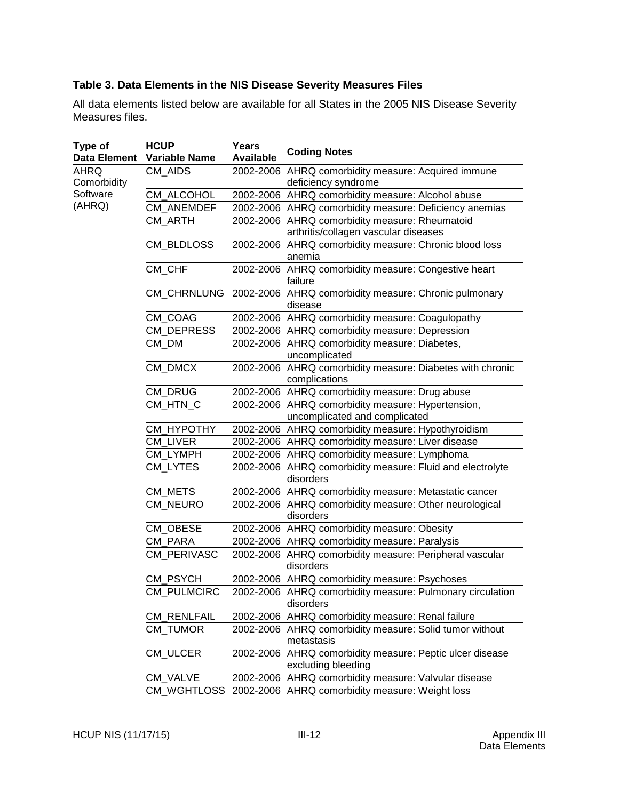## <span id="page-65-0"></span>**Table 3. Data Elements in the NIS Disease Severity Measures Files**

All data elements listed below are available for all States in the 2005 NIS Disease Severity Measures files.

| Type of<br>Data Element                   | <b>HCUP</b><br><b>Variable Name</b> | Years<br><b>Available</b> | <b>Coding Notes</b>                                                                    |
|-------------------------------------------|-------------------------------------|---------------------------|----------------------------------------------------------------------------------------|
| AHRQ<br>Comorbidity<br>Software<br>(AHRQ) | CM_AIDS                             |                           | 2002-2006 AHRQ comorbidity measure: Acquired immune<br>deficiency syndrome             |
|                                           | CM ALCOHOL                          |                           | 2002-2006 AHRQ comorbidity measure: Alcohol abuse                                      |
|                                           | CM_ANEMDEF                          |                           | 2002-2006 AHRQ comorbidity measure: Deficiency anemias                                 |
|                                           | CM_ARTH                             |                           | 2002-2006 AHRQ comorbidity measure: Rheumatoid<br>arthritis/collagen vascular diseases |
|                                           | <b>CM BLDLOSS</b>                   |                           | 2002-2006 AHRQ comorbidity measure: Chronic blood loss<br>anemia                       |
|                                           | CM_CHF                              |                           | 2002-2006 AHRQ comorbidity measure: Congestive heart<br>failure                        |
|                                           |                                     |                           | CM_CHRNLUNG 2002-2006 AHRQ comorbidity measure: Chronic pulmonary<br>disease           |
|                                           | CM_COAG                             |                           | 2002-2006 AHRQ comorbidity measure: Coagulopathy                                       |
|                                           | CM_DEPRESS                          |                           | 2002-2006 AHRQ comorbidity measure: Depression                                         |
|                                           | CM DM                               |                           | 2002-2006 AHRQ comorbidity measure: Diabetes,<br>uncomplicated                         |
|                                           | CM DMCX                             |                           | 2002-2006 AHRQ comorbidity measure: Diabetes with chronic<br>complications             |
|                                           | CM_DRUG                             |                           | 2002-2006 AHRQ comorbidity measure: Drug abuse                                         |
|                                           | CM HTN C                            |                           | 2002-2006 AHRQ comorbidity measure: Hypertension,<br>uncomplicated and complicated     |
|                                           | CM_HYPOTHY                          |                           | 2002-2006 AHRQ comorbidity measure: Hypothyroidism                                     |
|                                           | CM LIVER                            |                           | 2002-2006 AHRQ comorbidity measure: Liver disease                                      |
|                                           | CM_LYMPH                            |                           | 2002-2006 AHRQ comorbidity measure: Lymphoma                                           |
|                                           | <b>CM LYTES</b>                     |                           | 2002-2006 AHRQ comorbidity measure: Fluid and electrolyte<br>disorders                 |
|                                           | CM_METS                             |                           | 2002-2006 AHRQ comorbidity measure: Metastatic cancer                                  |
|                                           | CM_NEURO                            |                           | 2002-2006 AHRQ comorbidity measure: Other neurological<br>disorders                    |
|                                           | CM OBESE                            |                           | 2002-2006 AHRQ comorbidity measure: Obesity                                            |
|                                           | CM PARA                             |                           | 2002-2006 AHRQ comorbidity measure: Paralysis                                          |
|                                           | CM_PERIVASC                         |                           | 2002-2006 AHRQ comorbidity measure: Peripheral vascular<br>disorders                   |
|                                           | CM_PSYCH                            |                           | 2002-2006 AHRQ comorbidity measure: Psychoses                                          |
|                                           | CM_PULMCIRC                         |                           | 2002-2006 AHRQ comorbidity measure: Pulmonary circulation<br>disorders                 |
|                                           | <b>CM_RENLFAIL</b>                  |                           | 2002-2006 AHRQ comorbidity measure: Renal failure                                      |
|                                           | CM TUMOR                            |                           | 2002-2006 AHRQ comorbidity measure: Solid tumor without<br>metastasis                  |
|                                           | CM_ULCER                            |                           | 2002-2006 AHRQ comorbidity measure: Peptic ulcer disease<br>excluding bleeding         |
|                                           | CM VALVE                            |                           | 2002-2006 AHRQ comorbidity measure: Valvular disease                                   |
|                                           |                                     |                           | CM_WGHTLOSS 2002-2006 AHRQ comorbidity measure: Weight loss                            |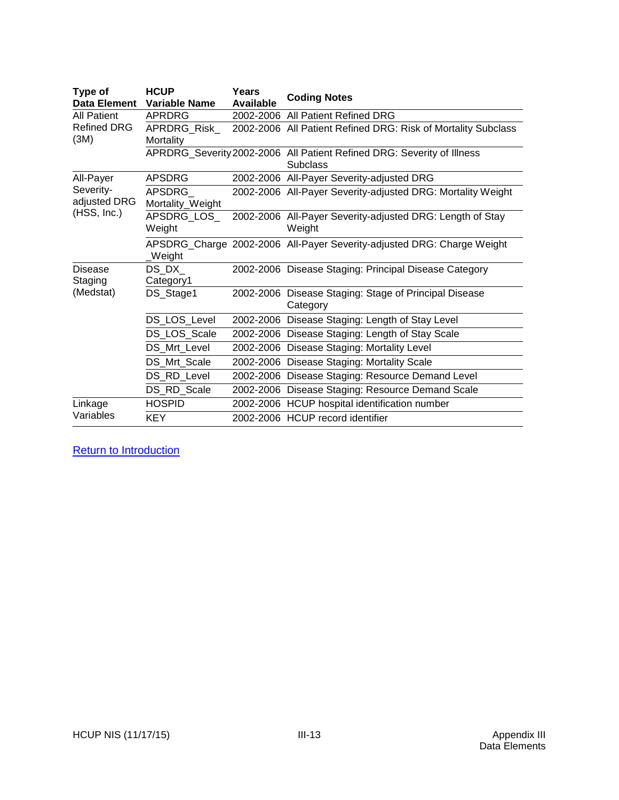| Type of<br>Data Element                          | <b>HCUP</b><br>Variable Name | Years<br>Available | <b>Coding Notes</b>                                                                       |
|--------------------------------------------------|------------------------------|--------------------|-------------------------------------------------------------------------------------------|
| <b>All Patient</b><br><b>Refined DRG</b><br>(3M) | <b>APRDRG</b>                |                    | 2002-2006 All Patient Refined DRG                                                         |
|                                                  | APRDRG_Risk_<br>Mortality    |                    | 2002-2006 All Patient Refined DRG: Risk of Mortality Subclass                             |
|                                                  |                              |                    | APRDRG_Severity 2002-2006 All Patient Refined DRG: Severity of Illness<br><b>Subclass</b> |
| All-Payer                                        | <b>APSDRG</b>                |                    | 2002-2006 All-Payer Severity-adjusted DRG                                                 |
| Severity-<br>adjusted DRG                        | APSDRG<br>Mortality_Weight   |                    | 2002-2006 All-Payer Severity-adjusted DRG: Mortality Weight                               |
| (HSS, Inc.)                                      | APSDRG_LOS_<br>Weight        |                    | 2002-2006 All-Payer Severity-adjusted DRG: Length of Stay<br>Weight                       |
|                                                  | Weight                       |                    | APSDRG_Charge 2002-2006 All-Payer Severity-adjusted DRG: Charge Weight                    |
| <b>Disease</b><br>Staging<br>(Medstat)           | DS DX<br>Category1           |                    | 2002-2006 Disease Staging: Principal Disease Category                                     |
|                                                  | DS_Stage1                    |                    | 2002-2006 Disease Staging: Stage of Principal Disease<br>Category                         |
|                                                  | DS_LOS_Level                 |                    | 2002-2006 Disease Staging: Length of Stay Level                                           |
|                                                  | DS_LOS_Scale                 |                    | 2002-2006 Disease Staging: Length of Stay Scale                                           |
|                                                  | DS Mrt Level                 |                    | 2002-2006 Disease Staging: Mortality Level                                                |
|                                                  | DS_Mrt_Scale                 |                    | 2002-2006 Disease Staging: Mortality Scale                                                |
|                                                  | DS_RD_Level                  |                    | 2002-2006 Disease Staging: Resource Demand Level                                          |
|                                                  | DS_RD_Scale                  |                    | 2002-2006 Disease Staging: Resource Demand Scale                                          |
| Linkage                                          | <b>HOSPID</b>                |                    | 2002-2006 HCUP hospital identification number                                             |
| Variables                                        | <b>KEY</b>                   |                    | 2002-2006 HCUP record identifier                                                          |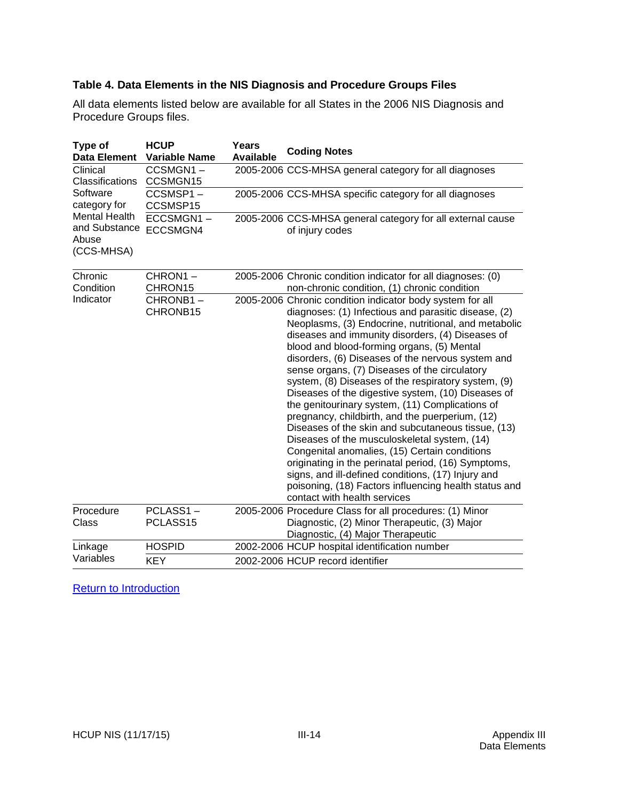## <span id="page-67-0"></span>**Table 4. Data Elements in the NIS Diagnosis and Procedure Groups Files**

All data elements listed below are available for all States in the 2006 NIS Diagnosis and Procedure Groups files.

| Type of<br><b>Data Element</b>                               | <b>HCUP</b><br><b>Variable Name</b> | Years<br><b>Available</b> | <b>Coding Notes</b>                                                                                                                                                                                                                                                                                                                                                                                                                                                                                                                                                                                                                                                                                                                                                                                                                                                                                                                                               |
|--------------------------------------------------------------|-------------------------------------|---------------------------|-------------------------------------------------------------------------------------------------------------------------------------------------------------------------------------------------------------------------------------------------------------------------------------------------------------------------------------------------------------------------------------------------------------------------------------------------------------------------------------------------------------------------------------------------------------------------------------------------------------------------------------------------------------------------------------------------------------------------------------------------------------------------------------------------------------------------------------------------------------------------------------------------------------------------------------------------------------------|
| Clinical<br>Classifications                                  | CCSMGN1-<br>CCSMGN15                |                           | 2005-2006 CCS-MHSA general category for all diagnoses                                                                                                                                                                                                                                                                                                                                                                                                                                                                                                                                                                                                                                                                                                                                                                                                                                                                                                             |
| Software<br>category for                                     | CCSMSP1-<br>CCSMSP15                |                           | 2005-2006 CCS-MHSA specific category for all diagnoses                                                                                                                                                                                                                                                                                                                                                                                                                                                                                                                                                                                                                                                                                                                                                                                                                                                                                                            |
| <b>Mental Health</b><br>and Substance<br>Abuse<br>(CCS-MHSA) | ECCSMGN1-<br>ECCSMGN4               |                           | 2005-2006 CCS-MHSA general category for all external cause<br>of injury codes                                                                                                                                                                                                                                                                                                                                                                                                                                                                                                                                                                                                                                                                                                                                                                                                                                                                                     |
| Chronic<br>Condition                                         | CHRON1-<br>CHRON15                  |                           | 2005-2006 Chronic condition indicator for all diagnoses: (0)<br>non-chronic condition, (1) chronic condition                                                                                                                                                                                                                                                                                                                                                                                                                                                                                                                                                                                                                                                                                                                                                                                                                                                      |
| Indicator                                                    | CHRONB1-<br>CHRONB15                |                           | 2005-2006 Chronic condition indicator body system for all<br>diagnoses: (1) Infectious and parasitic disease, (2)<br>Neoplasms, (3) Endocrine, nutritional, and metabolic<br>diseases and immunity disorders, (4) Diseases of<br>blood and blood-forming organs, (5) Mental<br>disorders, (6) Diseases of the nervous system and<br>sense organs, (7) Diseases of the circulatory<br>system, (8) Diseases of the respiratory system, (9)<br>Diseases of the digestive system, (10) Diseases of<br>the genitourinary system, (11) Complications of<br>pregnancy, childbirth, and the puerperium, (12)<br>Diseases of the skin and subcutaneous tissue, (13)<br>Diseases of the musculoskeletal system, (14)<br>Congenital anomalies, (15) Certain conditions<br>originating in the perinatal period, (16) Symptoms,<br>signs, and ill-defined conditions, (17) Injury and<br>poisoning, (18) Factors influencing health status and<br>contact with health services |
| Procedure<br>Class                                           | PCLASS1-<br>PCLASS15                |                           | 2005-2006 Procedure Class for all procedures: (1) Minor<br>Diagnostic, (2) Minor Therapeutic, (3) Major<br>Diagnostic, (4) Major Therapeutic                                                                                                                                                                                                                                                                                                                                                                                                                                                                                                                                                                                                                                                                                                                                                                                                                      |
| Linkage                                                      | <b>HOSPID</b>                       |                           | 2002-2006 HCUP hospital identification number                                                                                                                                                                                                                                                                                                                                                                                                                                                                                                                                                                                                                                                                                                                                                                                                                                                                                                                     |
| Variables                                                    | <b>KEY</b>                          |                           | 2002-2006 HCUP record identifier                                                                                                                                                                                                                                                                                                                                                                                                                                                                                                                                                                                                                                                                                                                                                                                                                                                                                                                                  |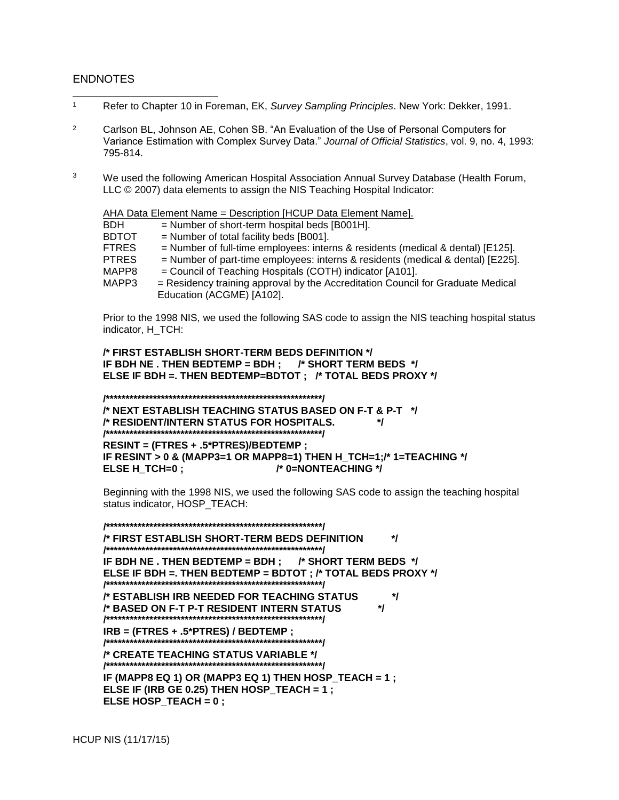#### ENDNOTES

l

- <sup>1</sup> Refer to Chapter 10 in Foreman, EK, *Survey Sampling Principles*. New York: Dekker, 1991.
- <sup>2</sup> Carlson BL, Johnson AE, Cohen SB. "An Evaluation of the Use of Personal Computers for Variance Estimation with Complex Survey Data." *Journal of Official Statistics*, vol. 9, no. 4, 1993: 795-814.
- <sup>3</sup> We used the following American Hospital Association Annual Survey Database (Health Forum, LLC © 2007) data elements to assign the NIS Teaching Hospital Indicator:

AHA Data Element Name = Description [HCUP Data Element Name].

| $=$ Number of short-term hospital beds [B001H].                                   |
|-----------------------------------------------------------------------------------|
| $=$ Number of total facility beds [B001].                                         |
| $=$ Number of full-time employees: interns & residents (medical & dental) [E125]. |
| $=$ Number of part-time employees: interns & residents (medical & dental) [E225]. |
| = Council of Teaching Hospitals (COTH) indicator [A101].                          |
| = Residency training approval by the Accreditation Council for Graduate Medical   |
| Education (ACGME) [A102].                                                         |
|                                                                                   |

Prior to the 1998 NIS, we used the following SAS code to assign the NIS teaching hospital status indicator, H\_TCH:

**/\* FIRST ESTABLISH SHORT-TERM BEDS DEFINITION \*/ IF BDH NE . THEN BEDTEMP = BDH ; /\* SHORT TERM BEDS \*/ ELSE IF BDH =. THEN BEDTEMP=BDTOT ; /\* TOTAL BEDS PROXY \*/**

**/\*\*\*\*\*\*\*\*\*\*\*\*\*\*\*\*\*\*\*\*\*\*\*\*\*\*\*\*\*\*\*\*\*\*\*\*\*\*\*\*\*\*\*\*\*\*\*\*\*\*\*\*\*\*\*/**

**/\* NEXT ESTABLISH TEACHING STATUS BASED ON F-T & P-T \*/ /\* RESIDENT/INTERN STATUS FOR HOSPITALS. \*/ /\*\*\*\*\*\*\*\*\*\*\*\*\*\*\*\*\*\*\*\*\*\*\*\*\*\*\*\*\*\*\*\*\*\*\*\*\*\*\*\*\*\*\*\*\*\*\*\*\*\*\*\*\*\*\*/**

**RESINT = (FTRES + .5\*PTRES)/BEDTEMP ; IF RESINT > 0 & (MAPP3=1 OR MAPP8=1) THEN H\_TCH=1;/\* 1=TEACHING \*/ ELSE H\_TCH=0 ; /\* 0=NONTEACHING \*/**

Beginning with the 1998 NIS, we used the following SAS code to assign the teaching hospital status indicator, HOSP\_TEACH:

**/\*\*\*\*\*\*\*\*\*\*\*\*\*\*\*\*\*\*\*\*\*\*\*\*\*\*\*\*\*\*\*\*\*\*\*\*\*\*\*\*\*\*\*\*\*\*\*\*\*\*\*\*\*\*\*/ /\* FIRST ESTABLISH SHORT-TERM BEDS DEFINITION \*/ /\*\*\*\*\*\*\*\*\*\*\*\*\*\*\*\*\*\*\*\*\*\*\*\*\*\*\*\*\*\*\*\*\*\*\*\*\*\*\*\*\*\*\*\*\*\*\*\*\*\*\*\*\*\*\*/ IF BDH NE . THEN BEDTEMP = BDH ; /\* SHORT TERM BEDS \*/ ELSE IF BDH =. THEN BEDTEMP = BDTOT ; /\* TOTAL BEDS PROXY \*/ /\*\*\*\*\*\*\*\*\*\*\*\*\*\*\*\*\*\*\*\*\*\*\*\*\*\*\*\*\*\*\*\*\*\*\*\*\*\*\*\*\*\*\*\*\*\*\*\*\*\*\*\*\*\*\*/ /\* ESTABLISH IRB NEEDED FOR TEACHING STATUS \*/ /\* BASED ON F-T P-T RESIDENT INTERN STATUS \*/ /\*\*\*\*\*\*\*\*\*\*\*\*\*\*\*\*\*\*\*\*\*\*\*\*\*\*\*\*\*\*\*\*\*\*\*\*\*\*\*\*\*\*\*\*\*\*\*\*\*\*\*\*\*\*\*/ IRB = (FTRES + .5\*PTRES) / BEDTEMP ; /\*\*\*\*\*\*\*\*\*\*\*\*\*\*\*\*\*\*\*\*\*\*\*\*\*\*\*\*\*\*\*\*\*\*\*\*\*\*\*\*\*\*\*\*\*\*\*\*\*\*\*\*\*\*\*/ /\* CREATE TEACHING STATUS VARIABLE \*/ /\*\*\*\*\*\*\*\*\*\*\*\*\*\*\*\*\*\*\*\*\*\*\*\*\*\*\*\*\*\*\*\*\*\*\*\*\*\*\*\*\*\*\*\*\*\*\*\*\*\*\*\*\*\*\*/ IF (MAPP8 EQ 1) OR (MAPP3 EQ 1) THEN HOSP\_TEACH = 1 ; ELSE IF (IRB GE 0.25) THEN HOSP\_TEACH = 1 ; ELSE HOSP\_TEACH = 0 ;**

HCUP NIS (11/17/15)